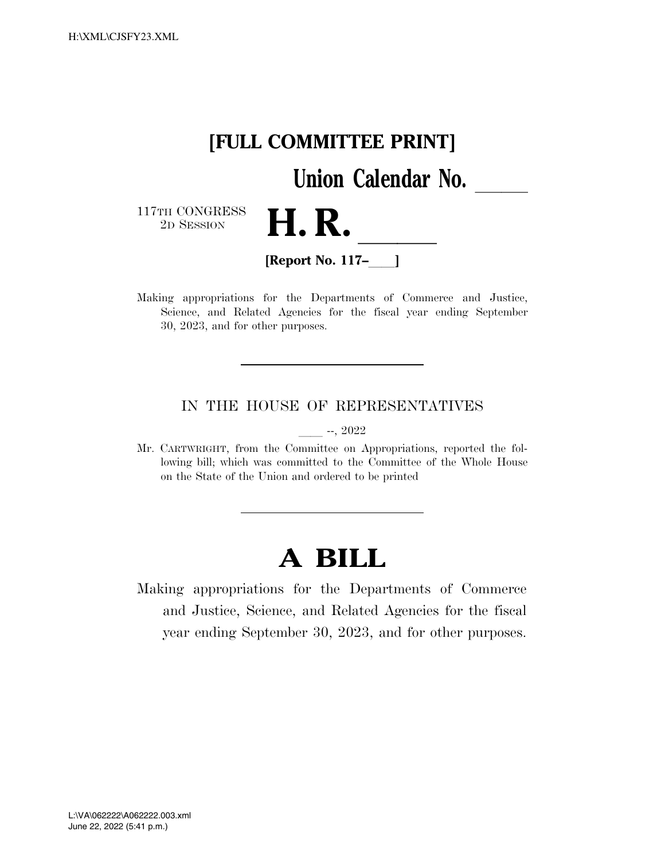

Making appropriations for the Departments of Commerce and Justice, Science, and Related Agencies for the fiscal year ending September 30, 2023, and for other purposes.

# IN THE HOUSE OF REPRESENTATIVES

 $-$ , 2022

Mr. CARTWRIGHT, from the Committee on Appropriations, reported the following bill; which was committed to the Committee of the Whole House on the State of the Union and ordered to be printed

# **A BILL**

Making appropriations for the Departments of Commerce and Justice, Science, and Related Agencies for the fiscal year ending September 30, 2023, and for other purposes.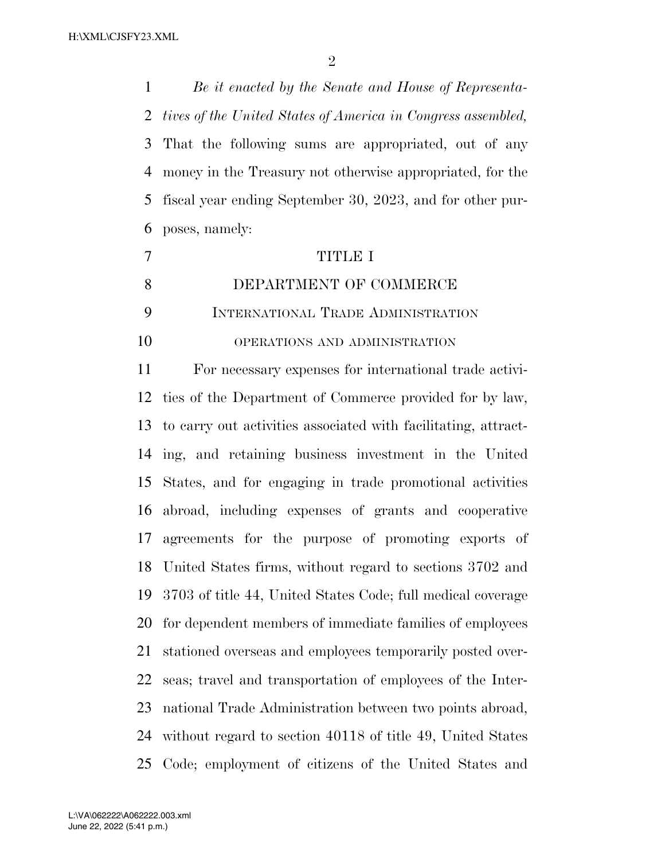*Be it enacted by the Senate and House of Representa- tives of the United States of America in Congress assembled,*  That the following sums are appropriated, out of any money in the Treasury not otherwise appropriated, for the fiscal year ending September 30, 2023, and for other pur-poses, namely:

# TITLE I

# DEPARTMENT OF COMMERCE

INTERNATIONAL TRADE ADMINISTRATION

OPERATIONS AND ADMINISTRATION

 For necessary expenses for international trade activi- ties of the Department of Commerce provided for by law, to carry out activities associated with facilitating, attract- ing, and retaining business investment in the United States, and for engaging in trade promotional activities abroad, including expenses of grants and cooperative agreements for the purpose of promoting exports of United States firms, without regard to sections 3702 and 3703 of title 44, United States Code; full medical coverage for dependent members of immediate families of employees stationed overseas and employees temporarily posted over- seas; travel and transportation of employees of the Inter- national Trade Administration between two points abroad, without regard to section 40118 of title 49, United States Code; employment of citizens of the United States and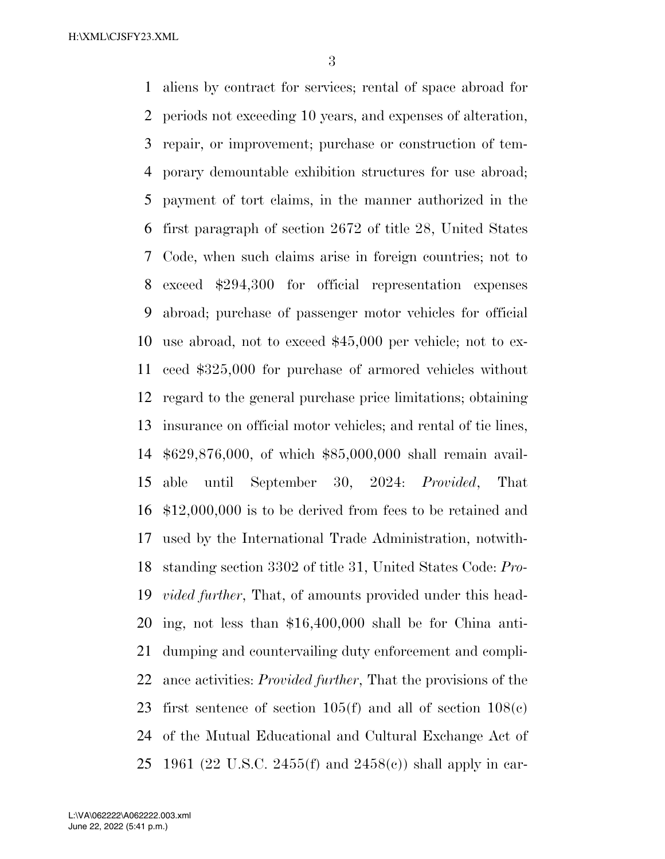aliens by contract for services; rental of space abroad for periods not exceeding 10 years, and expenses of alteration, repair, or improvement; purchase or construction of tem- porary demountable exhibition structures for use abroad; payment of tort claims, in the manner authorized in the first paragraph of section 2672 of title 28, United States Code, when such claims arise in foreign countries; not to exceed \$294,300 for official representation expenses abroad; purchase of passenger motor vehicles for official use abroad, not to exceed \$45,000 per vehicle; not to ex- ceed \$325,000 for purchase of armored vehicles without regard to the general purchase price limitations; obtaining insurance on official motor vehicles; and rental of tie lines, \$629,876,000, of which \$85,000,000 shall remain avail- able until September 30, 2024: *Provided*, That \$12,000,000 is to be derived from fees to be retained and used by the International Trade Administration, notwith- standing section 3302 of title 31, United States Code: *Pro- vided further*, That, of amounts provided under this head- ing, not less than \$16,400,000 shall be for China anti- dumping and countervailing duty enforcement and compli- ance activities: *Provided further*, That the provisions of the 23 first sentence of section  $105(f)$  and all of section  $108(e)$  of the Mutual Educational and Cultural Exchange Act of 1961 (22 U.S.C. 2455(f) and 2458(c)) shall apply in car-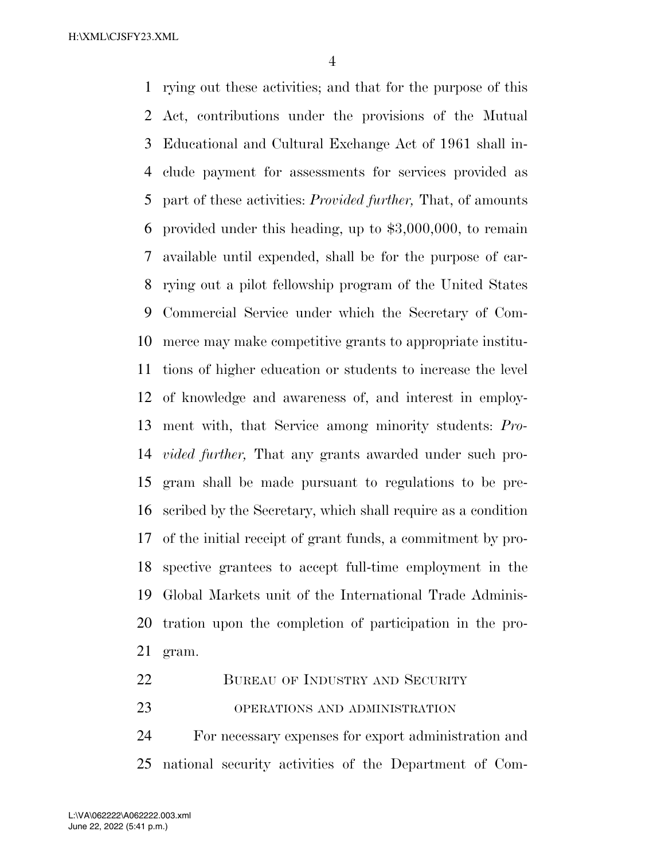rying out these activities; and that for the purpose of this Act, contributions under the provisions of the Mutual Educational and Cultural Exchange Act of 1961 shall in- clude payment for assessments for services provided as part of these activities: *Provided further,* That, of amounts provided under this heading, up to \$3,000,000, to remain available until expended, shall be for the purpose of car- rying out a pilot fellowship program of the United States Commercial Service under which the Secretary of Com- merce may make competitive grants to appropriate institu- tions of higher education or students to increase the level of knowledge and awareness of, and interest in employ- ment with, that Service among minority students: *Pro- vided further,* That any grants awarded under such pro- gram shall be made pursuant to regulations to be pre- scribed by the Secretary, which shall require as a condition of the initial receipt of grant funds, a commitment by pro- spective grantees to accept full-time employment in the Global Markets unit of the International Trade Adminis- tration upon the completion of participation in the pro-gram.

- 22 BUREAU OF INDUSTRY AND SECURITY
- OPERATIONS AND ADMINISTRATION

 For necessary expenses for export administration and national security activities of the Department of Com-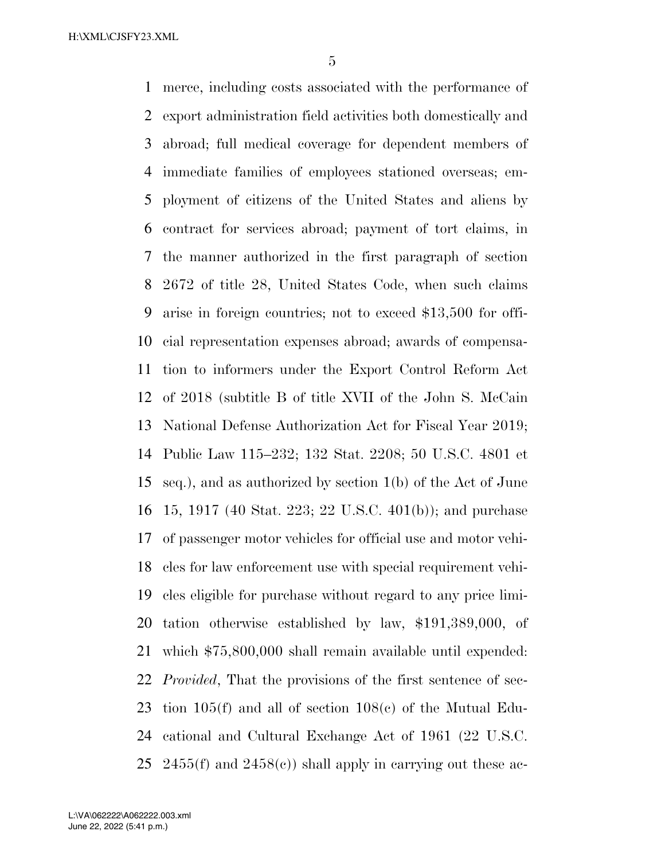merce, including costs associated with the performance of export administration field activities both domestically and abroad; full medical coverage for dependent members of immediate families of employees stationed overseas; em- ployment of citizens of the United States and aliens by contract for services abroad; payment of tort claims, in the manner authorized in the first paragraph of section 2672 of title 28, United States Code, when such claims arise in foreign countries; not to exceed \$13,500 for offi- cial representation expenses abroad; awards of compensa- tion to informers under the Export Control Reform Act of 2018 (subtitle B of title XVII of the John S. McCain National Defense Authorization Act for Fiscal Year 2019; Public Law 115–232; 132 Stat. 2208; 50 U.S.C. 4801 et seq.), and as authorized by section 1(b) of the Act of June 15, 1917 (40 Stat. 223; 22 U.S.C. 401(b)); and purchase of passenger motor vehicles for official use and motor vehi- cles for law enforcement use with special requirement vehi- cles eligible for purchase without regard to any price limi- tation otherwise established by law, \$191,389,000, of which \$75,800,000 shall remain available until expended: *Provided*, That the provisions of the first sentence of sec- tion 105(f) and all of section 108(c) of the Mutual Edu- cational and Cultural Exchange Act of 1961 (22 U.S.C. 25 2455(f) and 2458(c)) shall apply in carrying out these ac-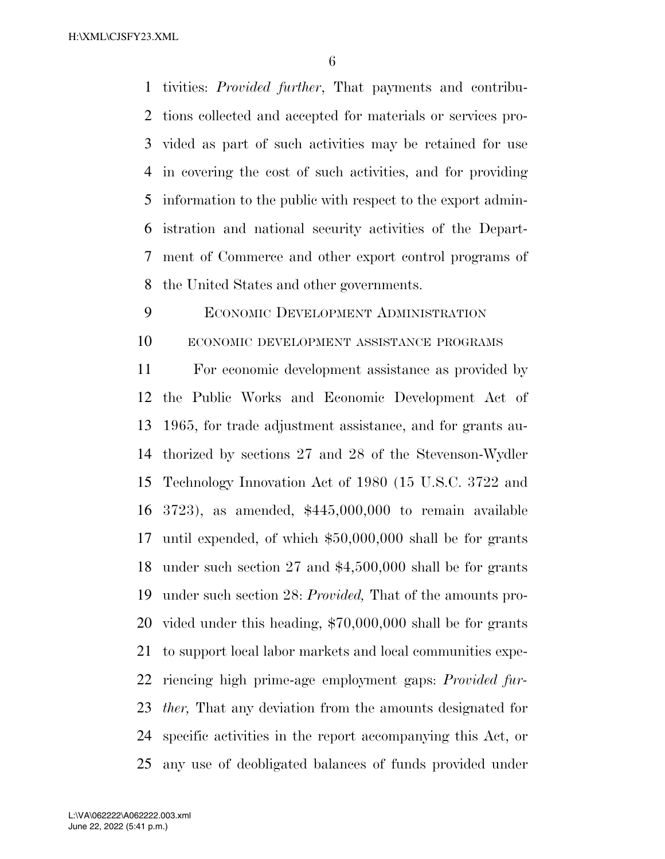tivities: *Provided further*, That payments and contribu- tions collected and accepted for materials or services pro- vided as part of such activities may be retained for use in covering the cost of such activities, and for providing information to the public with respect to the export admin- istration and national security activities of the Depart- ment of Commerce and other export control programs of the United States and other governments.

ECONOMIC DEVELOPMENT ADMINISTRATION

ECONOMIC DEVELOPMENT ASSISTANCE PROGRAMS

 For economic development assistance as provided by the Public Works and Economic Development Act of 1965, for trade adjustment assistance, and for grants au- thorized by sections 27 and 28 of the Stevenson-Wydler Technology Innovation Act of 1980 (15 U.S.C. 3722 and 3723), as amended, \$445,000,000 to remain available until expended, of which \$50,000,000 shall be for grants under such section 27 and \$4,500,000 shall be for grants under such section 28: *Provided,* That of the amounts pro- vided under this heading, \$70,000,000 shall be for grants to support local labor markets and local communities expe- riencing high prime-age employment gaps: *Provided fur- ther,* That any deviation from the amounts designated for specific activities in the report accompanying this Act, or any use of deobligated balances of funds provided under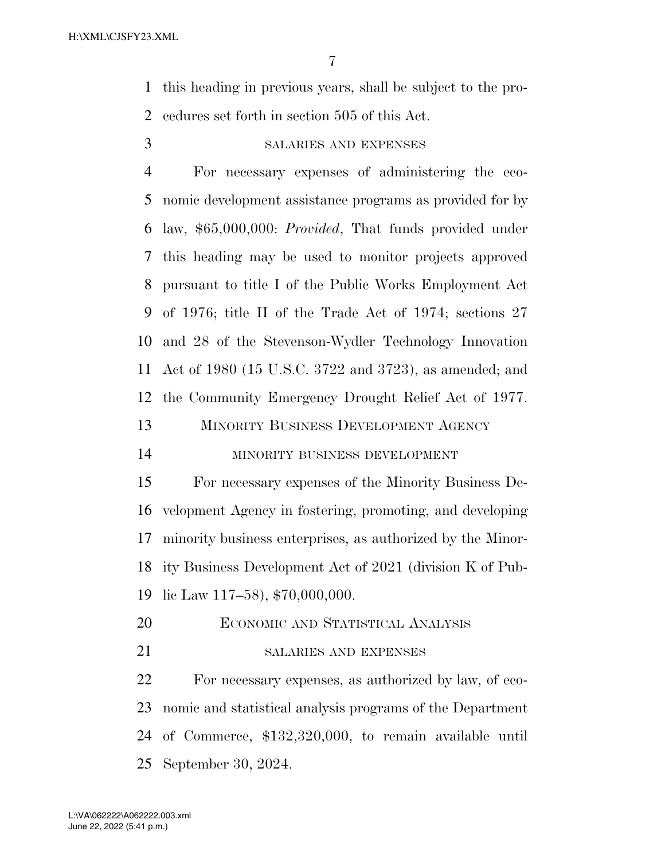this heading in previous years, shall be subject to the pro-cedures set forth in section 505 of this Act.

# SALARIES AND EXPENSES

 For necessary expenses of administering the eco- nomic development assistance programs as provided for by law, \$65,000,000: *Provided*, That funds provided under this heading may be used to monitor projects approved pursuant to title I of the Public Works Employment Act of 1976; title II of the Trade Act of 1974; sections 27 and 28 of the Stevenson-Wydler Technology Innovation Act of 1980 (15 U.S.C. 3722 and 3723), as amended; and the Community Emergency Drought Relief Act of 1977. MINORITY BUSINESS DEVELOPMENT AGENCY

### MINORITY BUSINESS DEVELOPMENT

 For necessary expenses of the Minority Business De- velopment Agency in fostering, promoting, and developing minority business enterprises, as authorized by the Minor- ity Business Development Act of 2021 (division K of Pub-lic Law 117–58), \$70,000,000.

- ECONOMIC AND STATISTICAL ANALYSIS
- 21 SALARIES AND EXPENSES

 For necessary expenses, as authorized by law, of eco- nomic and statistical analysis programs of the Department of Commerce, \$132,320,000, to remain available until September 30, 2024.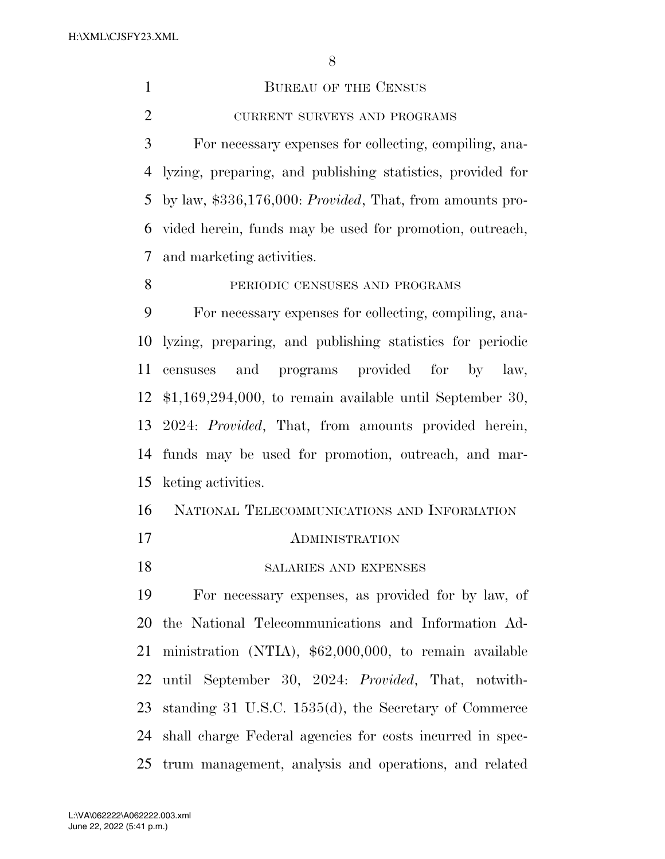1 BUREAU OF THE CENSUS 2 CURRENT SURVEYS AND PROGRAMS For necessary expenses for collecting, compiling, ana- lyzing, preparing, and publishing statistics, provided for by law, \$336,176,000: *Provided*, That, from amounts pro- vided herein, funds may be used for promotion, outreach, and marketing activities. PERIODIC CENSUSES AND PROGRAMS For necessary expenses for collecting, compiling, ana- lyzing, preparing, and publishing statistics for periodic censuses and programs provided for by law, \$1,169,294,000, to remain available until September 30, 2024: *Provided*, That, from amounts provided herein, funds may be used for promotion, outreach, and mar- keting activities. NATIONAL TELECOMMUNICATIONS AND INFORMATION ADMINISTRATION 18 SALARIES AND EXPENSES For necessary expenses, as provided for by law, of the National Telecommunications and Information Ad-

ministration (NTIA), \$62,000,000, to remain available

until September 30, 2024: *Provided*, That, notwith-

standing 31 U.S.C. 1535(d), the Secretary of Commerce

shall charge Federal agencies for costs incurred in spec-

trum management, analysis and operations, and related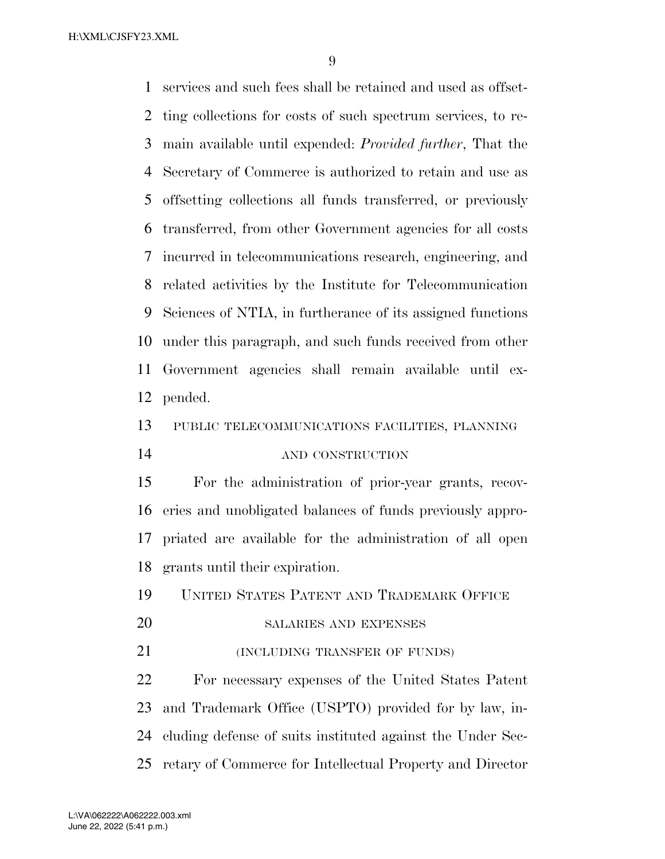services and such fees shall be retained and used as offset- ting collections for costs of such spectrum services, to re- main available until expended: *Provided further*, That the Secretary of Commerce is authorized to retain and use as offsetting collections all funds transferred, or previously transferred, from other Government agencies for all costs incurred in telecommunications research, engineering, and related activities by the Institute for Telecommunication Sciences of NTIA, in furtherance of its assigned functions under this paragraph, and such funds received from other Government agencies shall remain available until ex-pended.

PUBLIC TELECOMMUNICATIONS FACILITIES, PLANNING

AND CONSTRUCTION

 For the administration of prior-year grants, recov- eries and unobligated balances of funds previously appro- priated are available for the administration of all open grants until their expiration.

UNITED STATES PATENT AND TRADEMARK OFFICE

SALARIES AND EXPENSES

**(INCLUDING TRANSFER OF FUNDS)** 

 For necessary expenses of the United States Patent and Trademark Office (USPTO) provided for by law, in- cluding defense of suits instituted against the Under Sec-retary of Commerce for Intellectual Property and Director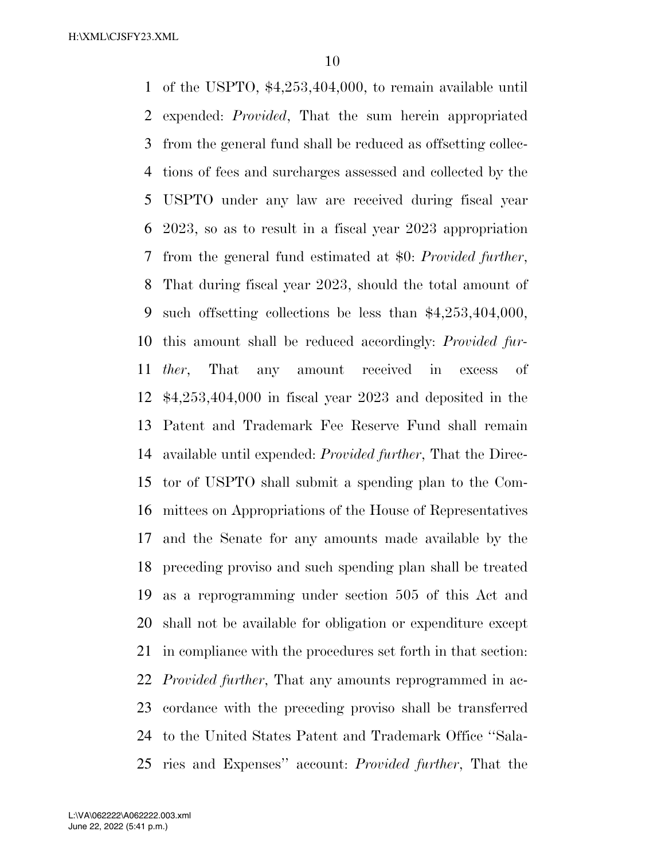of the USPTO, \$4,253,404,000, to remain available until expended: *Provided*, That the sum herein appropriated from the general fund shall be reduced as offsetting collec- tions of fees and surcharges assessed and collected by the USPTO under any law are received during fiscal year 2023, so as to result in a fiscal year 2023 appropriation from the general fund estimated at \$0: *Provided further*, That during fiscal year 2023, should the total amount of such offsetting collections be less than \$4,253,404,000, this amount shall be reduced accordingly: *Provided fur- ther*, That any amount received in excess of \$4,253,404,000 in fiscal year 2023 and deposited in the Patent and Trademark Fee Reserve Fund shall remain available until expended: *Provided further*, That the Direc- tor of USPTO shall submit a spending plan to the Com- mittees on Appropriations of the House of Representatives and the Senate for any amounts made available by the preceding proviso and such spending plan shall be treated as a reprogramming under section 505 of this Act and shall not be available for obligation or expenditure except in compliance with the procedures set forth in that section: *Provided further*, That any amounts reprogrammed in ac- cordance with the preceding proviso shall be transferred to the United States Patent and Trademark Office ''Sala-ries and Expenses'' account: *Provided further*, That the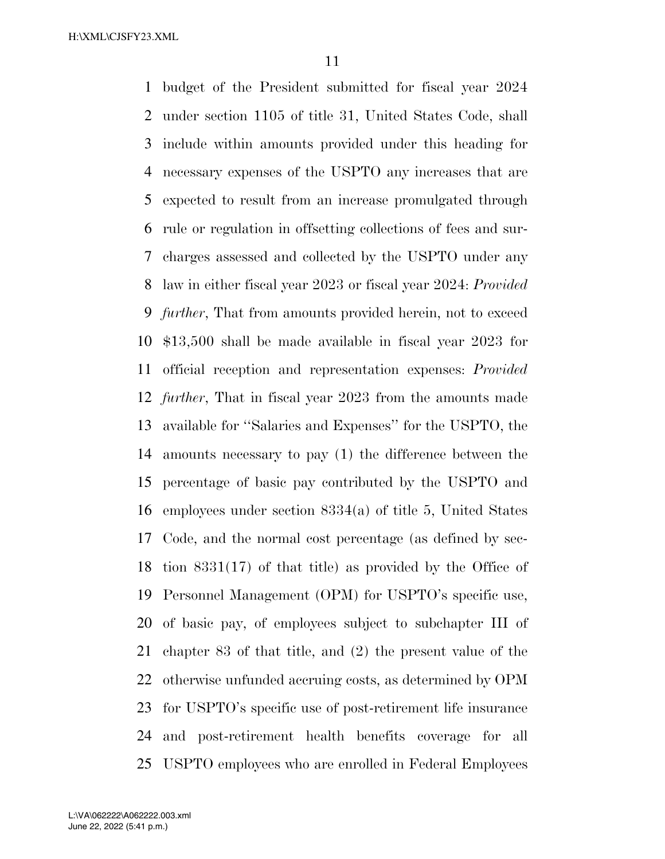budget of the President submitted for fiscal year 2024 under section 1105 of title 31, United States Code, shall include within amounts provided under this heading for necessary expenses of the USPTO any increases that are expected to result from an increase promulgated through rule or regulation in offsetting collections of fees and sur- charges assessed and collected by the USPTO under any law in either fiscal year 2023 or fiscal year 2024: *Provided further*, That from amounts provided herein, not to exceed \$13,500 shall be made available in fiscal year 2023 for official reception and representation expenses: *Provided further*, That in fiscal year 2023 from the amounts made available for ''Salaries and Expenses'' for the USPTO, the amounts necessary to pay (1) the difference between the percentage of basic pay contributed by the USPTO and employees under section 8334(a) of title 5, United States Code, and the normal cost percentage (as defined by sec- tion 8331(17) of that title) as provided by the Office of Personnel Management (OPM) for USPTO's specific use, of basic pay, of employees subject to subchapter III of chapter 83 of that title, and (2) the present value of the otherwise unfunded accruing costs, as determined by OPM for USPTO's specific use of post-retirement life insurance and post-retirement health benefits coverage for all USPTO employees who are enrolled in Federal Employees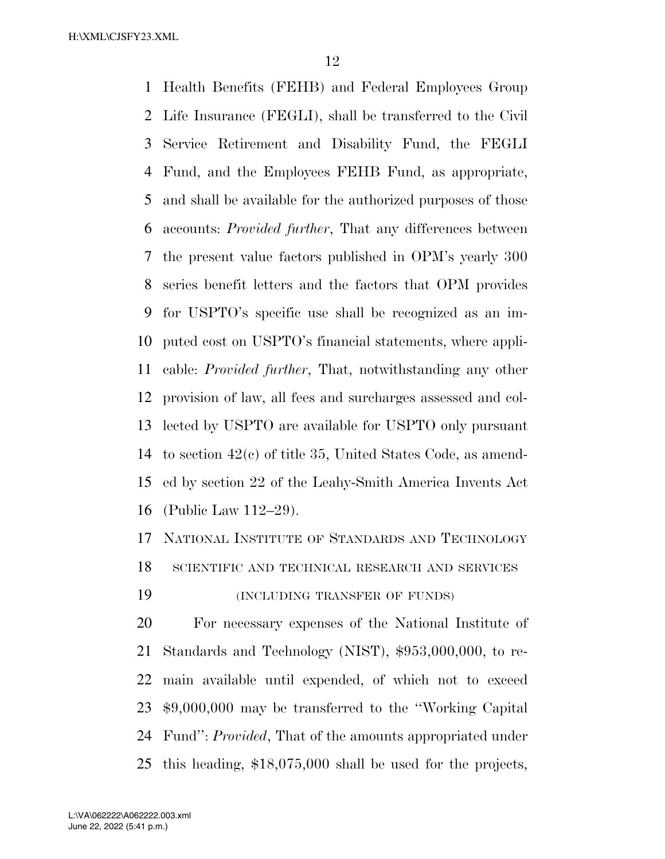Health Benefits (FEHB) and Federal Employees Group Life Insurance (FEGLI), shall be transferred to the Civil Service Retirement and Disability Fund, the FEGLI Fund, and the Employees FEHB Fund, as appropriate, and shall be available for the authorized purposes of those accounts: *Provided further*, That any differences between the present value factors published in OPM's yearly 300 series benefit letters and the factors that OPM provides for USPTO's specific use shall be recognized as an im- puted cost on USPTO's financial statements, where appli- cable: *Provided further*, That, notwithstanding any other provision of law, all fees and surcharges assessed and col- lected by USPTO are available for USPTO only pursuant to section 42(c) of title 35, United States Code, as amend- ed by section 22 of the Leahy-Smith America Invents Act (Public Law 112–29).

 NATIONAL INSTITUTE OF STANDARDS AND TECHNOLOGY SCIENTIFIC AND TECHNICAL RESEARCH AND SERVICES

(INCLUDING TRANSFER OF FUNDS)

 For necessary expenses of the National Institute of Standards and Technology (NIST), \$953,000,000, to re- main available until expended, of which not to exceed \$9,000,000 may be transferred to the ''Working Capital Fund'': *Provided*, That of the amounts appropriated under this heading, \$18,075,000 shall be used for the projects,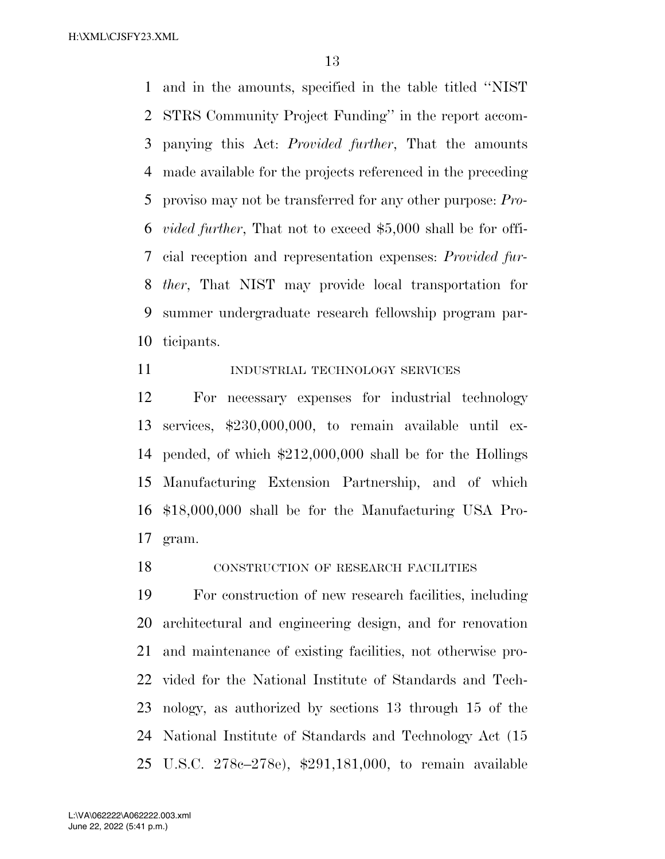and in the amounts, specified in the table titled ''NIST STRS Community Project Funding'' in the report accom- panying this Act: *Provided further*, That the amounts made available for the projects referenced in the preceding proviso may not be transferred for any other purpose: *Pro- vided further*, That not to exceed \$5,000 shall be for offi- cial reception and representation expenses: *Provided fur- ther*, That NIST may provide local transportation for summer undergraduate research fellowship program par-ticipants.

11 INDUSTRIAL TECHNOLOGY SERVICES

 For necessary expenses for industrial technology services, \$230,000,000, to remain available until ex- pended, of which \$212,000,000 shall be for the Hollings Manufacturing Extension Partnership, and of which \$18,000,000 shall be for the Manufacturing USA Pro-gram.

**CONSTRUCTION OF RESEARCH FACILITIES** 

 For construction of new research facilities, including architectural and engineering design, and for renovation and maintenance of existing facilities, not otherwise pro- vided for the National Institute of Standards and Tech- nology, as authorized by sections 13 through 15 of the National Institute of Standards and Technology Act (15 U.S.C. 278c–278e), \$291,181,000, to remain available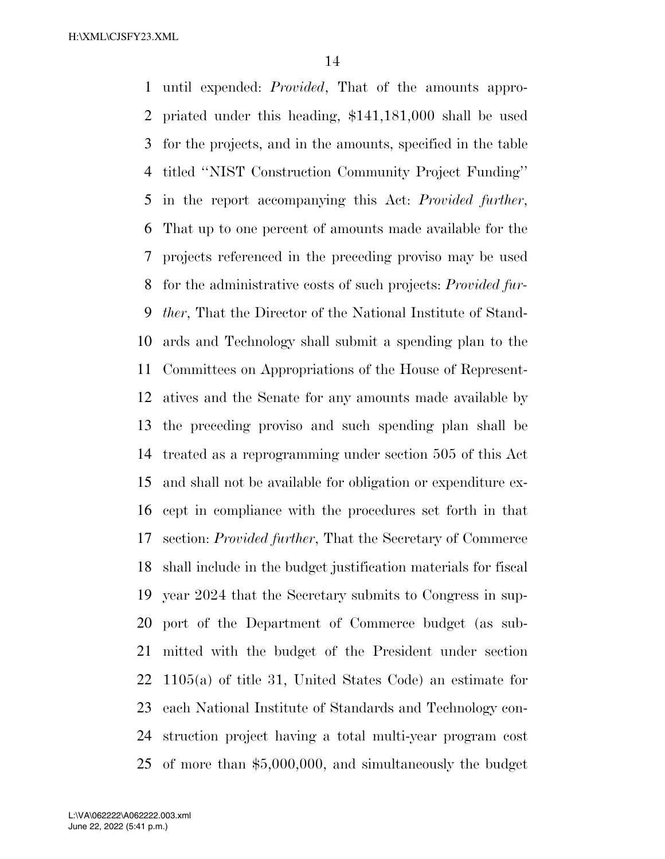until expended: *Provided*, That of the amounts appro- priated under this heading, \$141,181,000 shall be used for the projects, and in the amounts, specified in the table titled ''NIST Construction Community Project Funding'' in the report accompanying this Act: *Provided further*, That up to one percent of amounts made available for the projects referenced in the preceding proviso may be used for the administrative costs of such projects: *Provided fur- ther*, That the Director of the National Institute of Stand- ards and Technology shall submit a spending plan to the Committees on Appropriations of the House of Represent- atives and the Senate for any amounts made available by the preceding proviso and such spending plan shall be treated as a reprogramming under section 505 of this Act and shall not be available for obligation or expenditure ex- cept in compliance with the procedures set forth in that section: *Provided further*, That the Secretary of Commerce shall include in the budget justification materials for fiscal year 2024 that the Secretary submits to Congress in sup- port of the Department of Commerce budget (as sub- mitted with the budget of the President under section 1105(a) of title 31, United States Code) an estimate for each National Institute of Standards and Technology con- struction project having a total multi-year program cost of more than \$5,000,000, and simultaneously the budget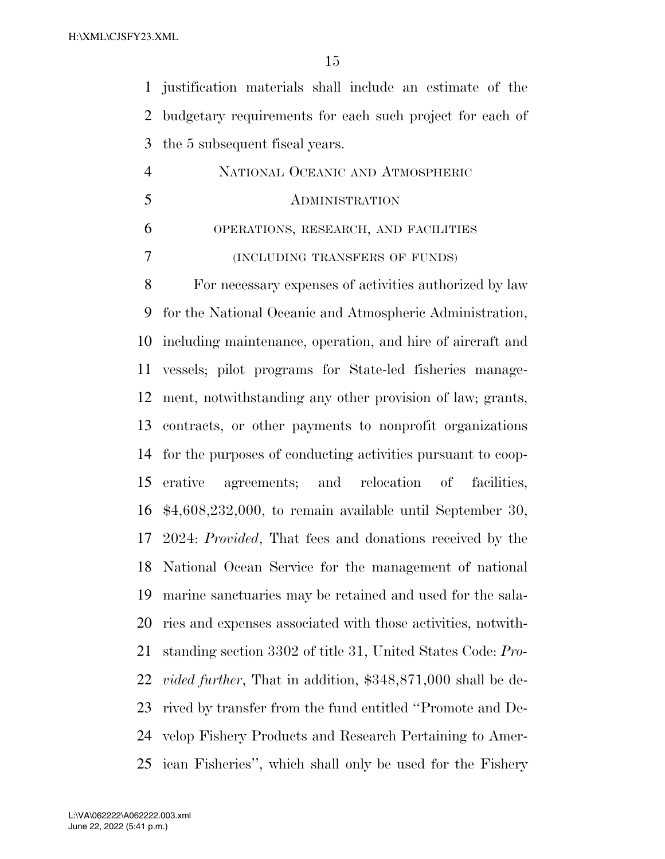justification materials shall include an estimate of the budgetary requirements for each such project for each of the 5 subsequent fiscal years.

| 4 | NATIONAL OCEANIC AND ATMOSPHERIC     |
|---|--------------------------------------|
| 5 | ADMINISTRATION                       |
| 6 | OPERATIONS, RESEARCH, AND FACILITIES |
|   | (INCLUDING TRANSFERS OF FUNDS)       |

 For necessary expenses of activities authorized by law for the National Oceanic and Atmospheric Administration, including maintenance, operation, and hire of aircraft and vessels; pilot programs for State-led fisheries manage- ment, notwithstanding any other provision of law; grants, contracts, or other payments to nonprofit organizations for the purposes of conducting activities pursuant to coop- erative agreements; and relocation of facilities, \$4,608,232,000, to remain available until September 30, 2024: *Provided*, That fees and donations received by the National Ocean Service for the management of national marine sanctuaries may be retained and used for the sala- ries and expenses associated with those activities, notwith- standing section 3302 of title 31, United States Code: *Pro- vided further*, That in addition, \$348,871,000 shall be de- rived by transfer from the fund entitled ''Promote and De- velop Fishery Products and Research Pertaining to Amer-ican Fisheries'', which shall only be used for the Fishery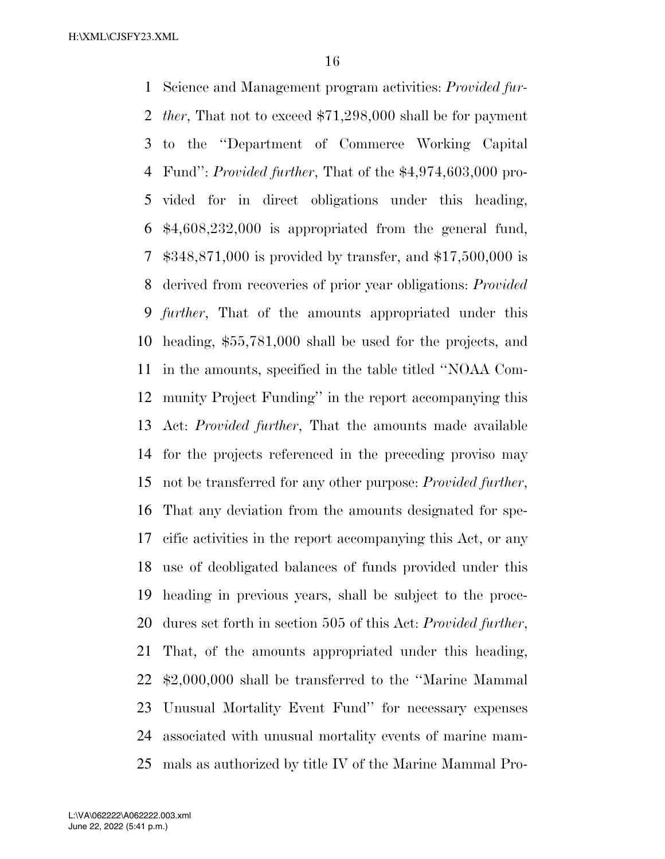Science and Management program activities: *Provided fur- ther*, That not to exceed \$71,298,000 shall be for payment to the ''Department of Commerce Working Capital Fund'': *Provided further*, That of the \$4,974,603,000 pro- vided for in direct obligations under this heading, \$4,608,232,000 is appropriated from the general fund, \$348,871,000 is provided by transfer, and \$17,500,000 is derived from recoveries of prior year obligations: *Provided further*, That of the amounts appropriated under this heading, \$55,781,000 shall be used for the projects, and in the amounts, specified in the table titled ''NOAA Com- munity Project Funding'' in the report accompanying this Act: *Provided further*, That the amounts made available for the projects referenced in the preceding proviso may not be transferred for any other purpose: *Provided further*, That any deviation from the amounts designated for spe- cific activities in the report accompanying this Act, or any use of deobligated balances of funds provided under this heading in previous years, shall be subject to the proce- dures set forth in section 505 of this Act: *Provided further*, That, of the amounts appropriated under this heading, \$2,000,000 shall be transferred to the ''Marine Mammal Unusual Mortality Event Fund'' for necessary expenses associated with unusual mortality events of marine mam-mals as authorized by title IV of the Marine Mammal Pro-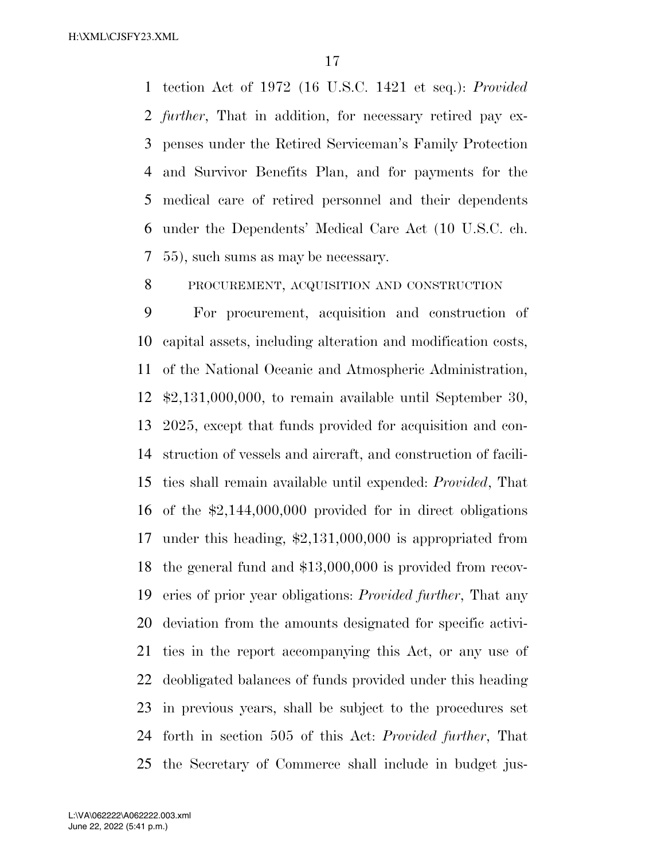tection Act of 1972 (16 U.S.C. 1421 et seq.): *Provided further*, That in addition, for necessary retired pay ex- penses under the Retired Serviceman's Family Protection and Survivor Benefits Plan, and for payments for the medical care of retired personnel and their dependents under the Dependents' Medical Care Act (10 U.S.C. ch. 55), such sums as may be necessary.

PROCUREMENT, ACQUISITION AND CONSTRUCTION

 For procurement, acquisition and construction of capital assets, including alteration and modification costs, of the National Oceanic and Atmospheric Administration, \$2,131,000,000, to remain available until September 30, 2025, except that funds provided for acquisition and con- struction of vessels and aircraft, and construction of facili- ties shall remain available until expended: *Provided*, That of the \$2,144,000,000 provided for in direct obligations under this heading, \$2,131,000,000 is appropriated from the general fund and \$13,000,000 is provided from recov- eries of prior year obligations: *Provided further*, That any deviation from the amounts designated for specific activi- ties in the report accompanying this Act, or any use of deobligated balances of funds provided under this heading in previous years, shall be subject to the procedures set forth in section 505 of this Act: *Provided further*, That the Secretary of Commerce shall include in budget jus-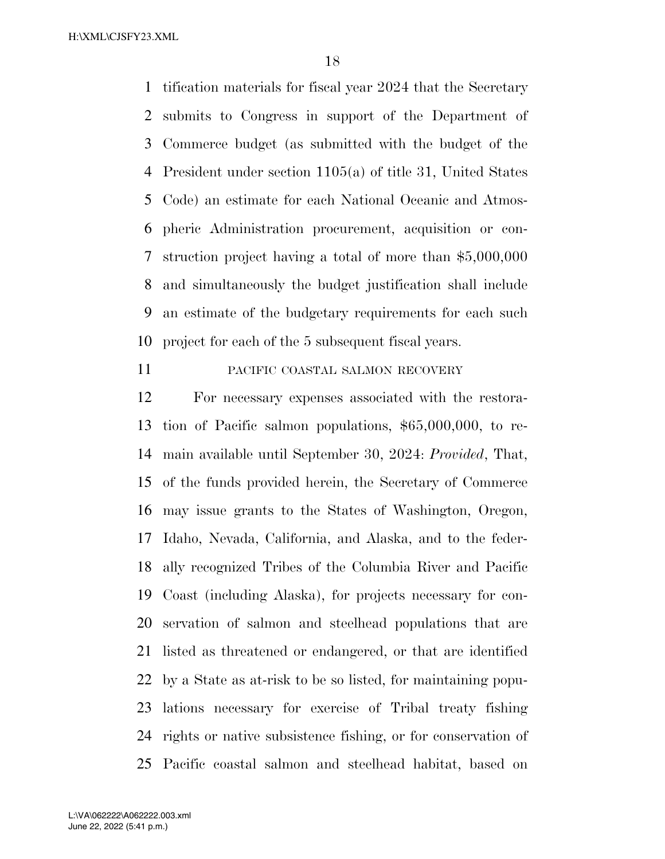tification materials for fiscal year 2024 that the Secretary submits to Congress in support of the Department of Commerce budget (as submitted with the budget of the President under section 1105(a) of title 31, United States Code) an estimate for each National Oceanic and Atmos- pheric Administration procurement, acquisition or con- struction project having a total of more than \$5,000,000 and simultaneously the budget justification shall include an estimate of the budgetary requirements for each such project for each of the 5 subsequent fiscal years.

#### PACIFIC COASTAL SALMON RECOVERY

 For necessary expenses associated with the restora- tion of Pacific salmon populations, \$65,000,000, to re- main available until September 30, 2024: *Provided*, That, of the funds provided herein, the Secretary of Commerce may issue grants to the States of Washington, Oregon, Idaho, Nevada, California, and Alaska, and to the feder- ally recognized Tribes of the Columbia River and Pacific Coast (including Alaska), for projects necessary for con- servation of salmon and steelhead populations that are listed as threatened or endangered, or that are identified by a State as at-risk to be so listed, for maintaining popu- lations necessary for exercise of Tribal treaty fishing rights or native subsistence fishing, or for conservation of Pacific coastal salmon and steelhead habitat, based on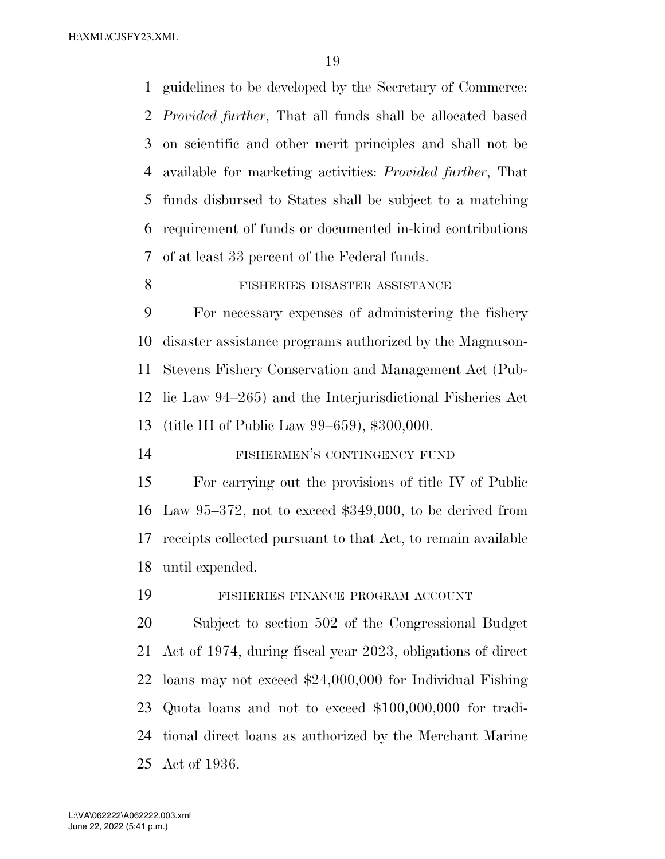guidelines to be developed by the Secretary of Commerce: *Provided further*, That all funds shall be allocated based on scientific and other merit principles and shall not be available for marketing activities: *Provided further*, That funds disbursed to States shall be subject to a matching requirement of funds or documented in-kind contributions of at least 33 percent of the Federal funds.

#### 8 FISHERIES DISASTER ASSISTANCE

 For necessary expenses of administering the fishery disaster assistance programs authorized by the Magnuson- Stevens Fishery Conservation and Management Act (Pub- lic Law 94–265) and the Interjurisdictional Fisheries Act (title III of Public Law 99–659), \$300,000.

FISHERMEN'S CONTINGENCY FUND

 For carrying out the provisions of title IV of Public Law 95–372, not to exceed \$349,000, to be derived from receipts collected pursuant to that Act, to remain available until expended.

FISHERIES FINANCE PROGRAM ACCOUNT

 Subject to section 502 of the Congressional Budget Act of 1974, during fiscal year 2023, obligations of direct loans may not exceed \$24,000,000 for Individual Fishing Quota loans and not to exceed \$100,000,000 for tradi- tional direct loans as authorized by the Merchant Marine Act of 1936.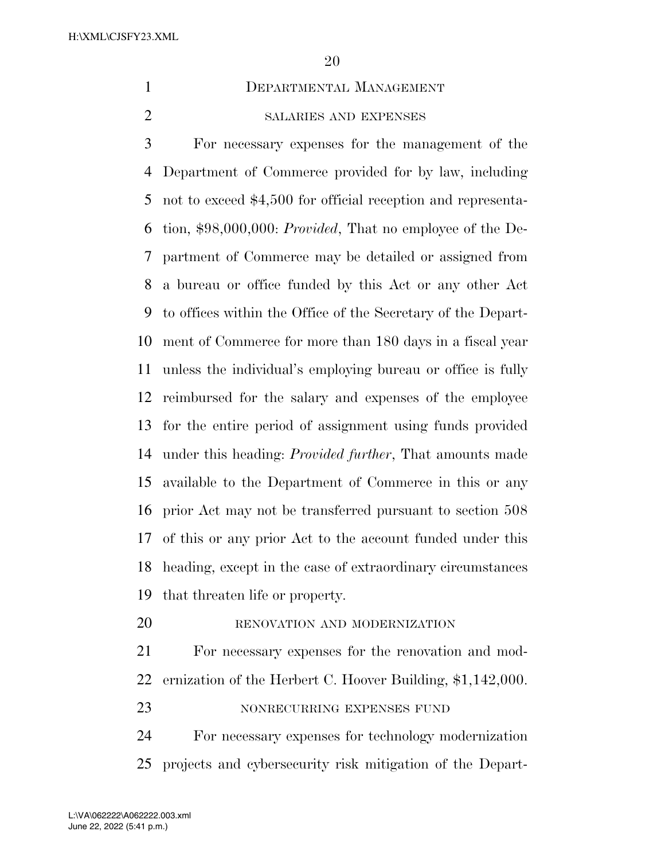DEPARTMENTAL MANAGEMENT

# SALARIES AND EXPENSES

 For necessary expenses for the management of the Department of Commerce provided for by law, including not to exceed \$4,500 for official reception and representa- tion, \$98,000,000: *Provided*, That no employee of the De- partment of Commerce may be detailed or assigned from a bureau or office funded by this Act or any other Act to offices within the Office of the Secretary of the Depart- ment of Commerce for more than 180 days in a fiscal year unless the individual's employing bureau or office is fully reimbursed for the salary and expenses of the employee for the entire period of assignment using funds provided under this heading: *Provided further*, That amounts made available to the Department of Commerce in this or any prior Act may not be transferred pursuant to section 508 of this or any prior Act to the account funded under this heading, except in the case of extraordinary circumstances that threaten life or property.

20 RENOVATION AND MODERNIZATION

 For necessary expenses for the renovation and mod-ernization of the Herbert C. Hoover Building, \$1,142,000.

#### 23 NONRECURRING EXPENSES FUND

 For necessary expenses for technology modernization projects and cybersecurity risk mitigation of the Depart-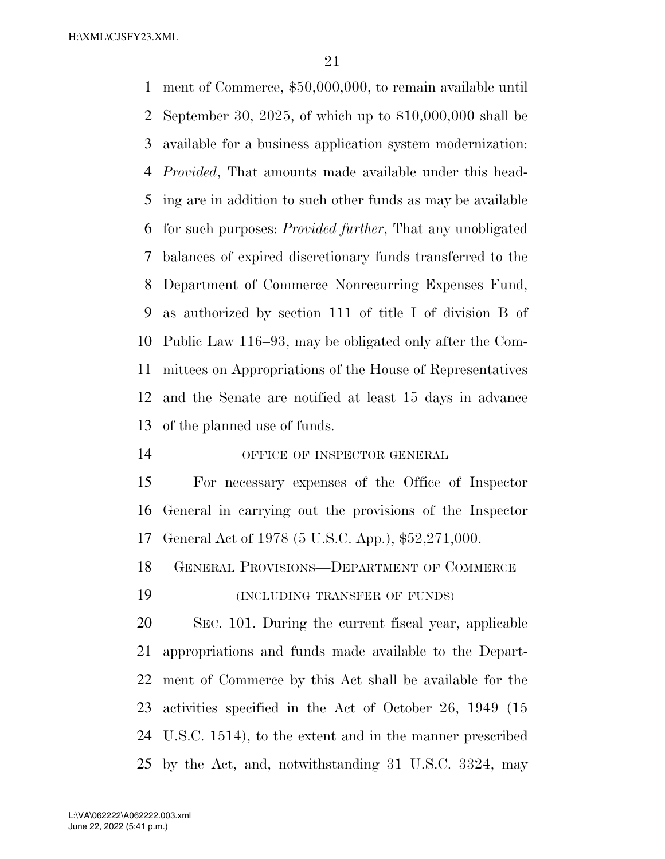ment of Commerce, \$50,000,000, to remain available until September 30, 2025, of which up to \$10,000,000 shall be available for a business application system modernization: *Provided*, That amounts made available under this head- ing are in addition to such other funds as may be available for such purposes: *Provided further*, That any unobligated balances of expired discretionary funds transferred to the Department of Commerce Nonrecurring Expenses Fund, as authorized by section 111 of title I of division B of Public Law 116–93, may be obligated only after the Com- mittees on Appropriations of the House of Representatives and the Senate are notified at least 15 days in advance of the planned use of funds.

OFFICE OF INSPECTOR GENERAL

 For necessary expenses of the Office of Inspector General in carrying out the provisions of the Inspector General Act of 1978 (5 U.S.C. App.), \$52,271,000.

GENERAL PROVISIONS—DEPARTMENT OF COMMERCE

(INCLUDING TRANSFER OF FUNDS)

 SEC. 101. During the current fiscal year, applicable appropriations and funds made available to the Depart- ment of Commerce by this Act shall be available for the activities specified in the Act of October 26, 1949 (15 U.S.C. 1514), to the extent and in the manner prescribed by the Act, and, notwithstanding 31 U.S.C. 3324, may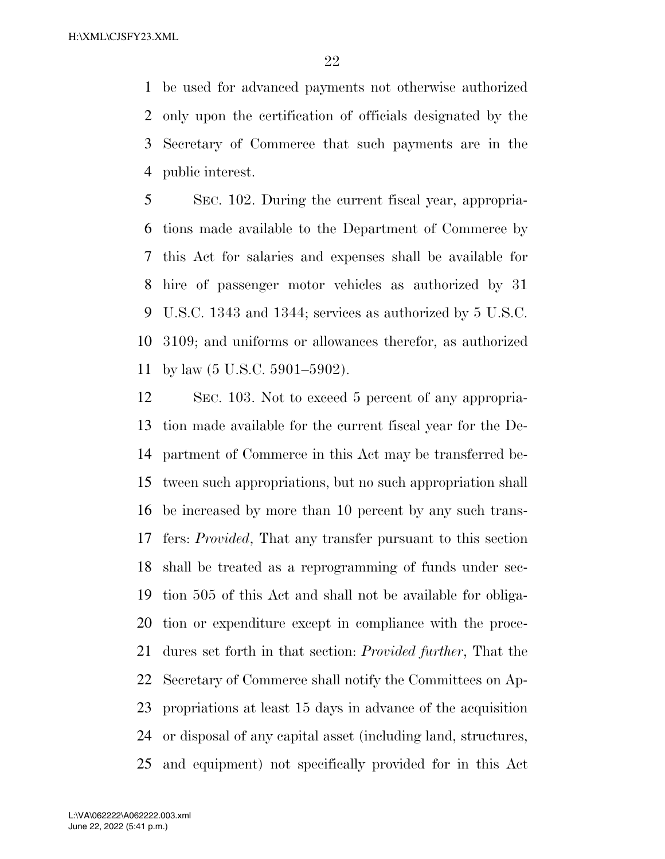be used for advanced payments not otherwise authorized only upon the certification of officials designated by the Secretary of Commerce that such payments are in the public interest.

 SEC. 102. During the current fiscal year, appropria- tions made available to the Department of Commerce by this Act for salaries and expenses shall be available for hire of passenger motor vehicles as authorized by 31 U.S.C. 1343 and 1344; services as authorized by 5 U.S.C. 3109; and uniforms or allowances therefor, as authorized by law (5 U.S.C. 5901–5902).

 SEC. 103. Not to exceed 5 percent of any appropria- tion made available for the current fiscal year for the De- partment of Commerce in this Act may be transferred be- tween such appropriations, but no such appropriation shall be increased by more than 10 percent by any such trans- fers: *Provided*, That any transfer pursuant to this section shall be treated as a reprogramming of funds under sec- tion 505 of this Act and shall not be available for obliga- tion or expenditure except in compliance with the proce- dures set forth in that section: *Provided further*, That the Secretary of Commerce shall notify the Committees on Ap- propriations at least 15 days in advance of the acquisition or disposal of any capital asset (including land, structures, and equipment) not specifically provided for in this Act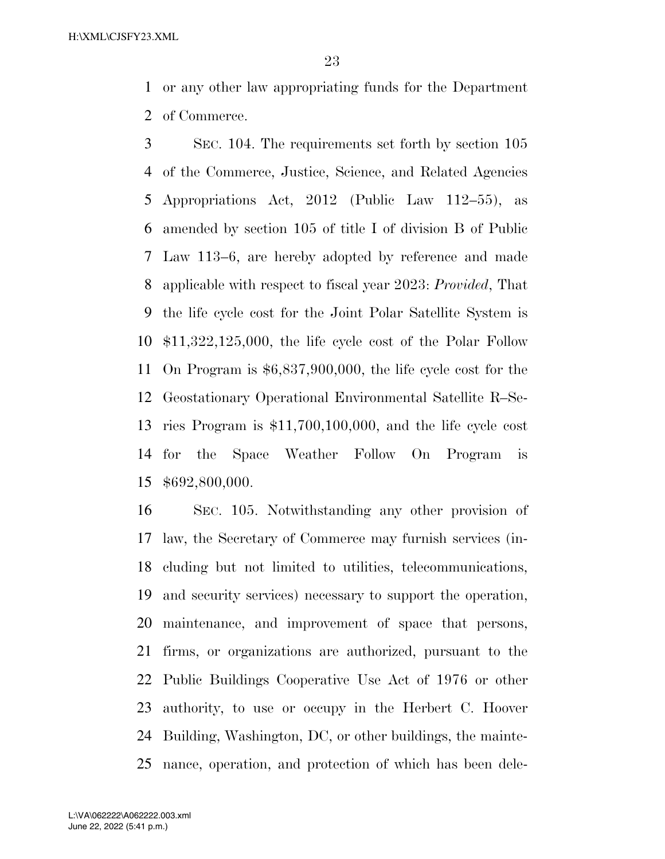or any other law appropriating funds for the Department of Commerce.

 SEC. 104. The requirements set forth by section 105 of the Commerce, Justice, Science, and Related Agencies Appropriations Act, 2012 (Public Law 112–55), as amended by section 105 of title I of division B of Public Law 113–6, are hereby adopted by reference and made applicable with respect to fiscal year 2023: *Provided*, That the life cycle cost for the Joint Polar Satellite System is \$11,322,125,000, the life cycle cost of the Polar Follow On Program is \$6,837,900,000, the life cycle cost for the Geostationary Operational Environmental Satellite R–Se- ries Program is \$11,700,100,000, and the life cycle cost for the Space Weather Follow On Program is \$692,800,000.

 SEC. 105. Notwithstanding any other provision of law, the Secretary of Commerce may furnish services (in- cluding but not limited to utilities, telecommunications, and security services) necessary to support the operation, maintenance, and improvement of space that persons, firms, or organizations are authorized, pursuant to the Public Buildings Cooperative Use Act of 1976 or other authority, to use or occupy in the Herbert C. Hoover Building, Washington, DC, or other buildings, the mainte-nance, operation, and protection of which has been dele-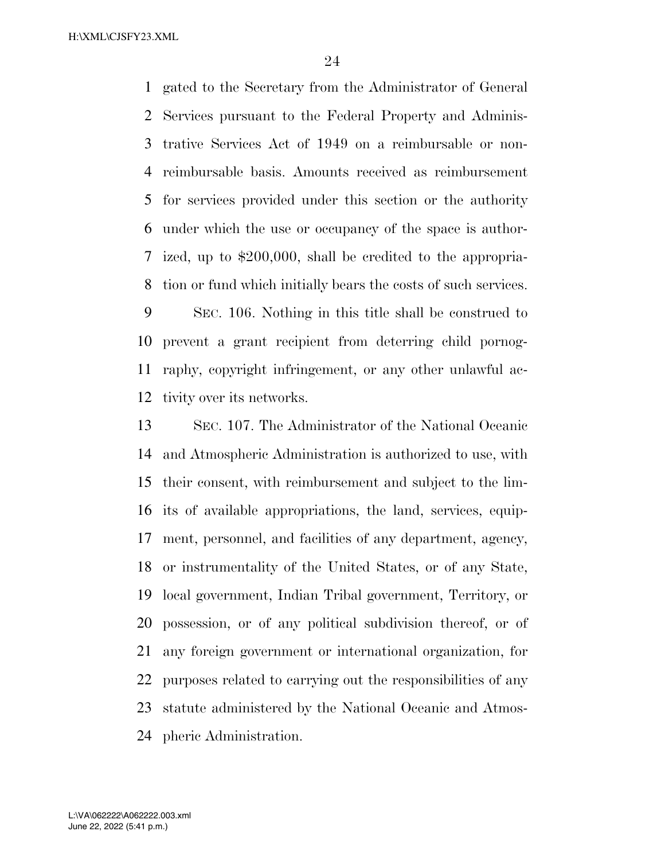gated to the Secretary from the Administrator of General Services pursuant to the Federal Property and Adminis- trative Services Act of 1949 on a reimbursable or non- reimbursable basis. Amounts received as reimbursement for services provided under this section or the authority under which the use or occupancy of the space is author- ized, up to \$200,000, shall be credited to the appropria-tion or fund which initially bears the costs of such services.

 SEC. 106. Nothing in this title shall be construed to prevent a grant recipient from deterring child pornog- raphy, copyright infringement, or any other unlawful ac-tivity over its networks.

 SEC. 107. The Administrator of the National Oceanic and Atmospheric Administration is authorized to use, with their consent, with reimbursement and subject to the lim- its of available appropriations, the land, services, equip- ment, personnel, and facilities of any department, agency, or instrumentality of the United States, or of any State, local government, Indian Tribal government, Territory, or possession, or of any political subdivision thereof, or of any foreign government or international organization, for purposes related to carrying out the responsibilities of any statute administered by the National Oceanic and Atmos-pheric Administration.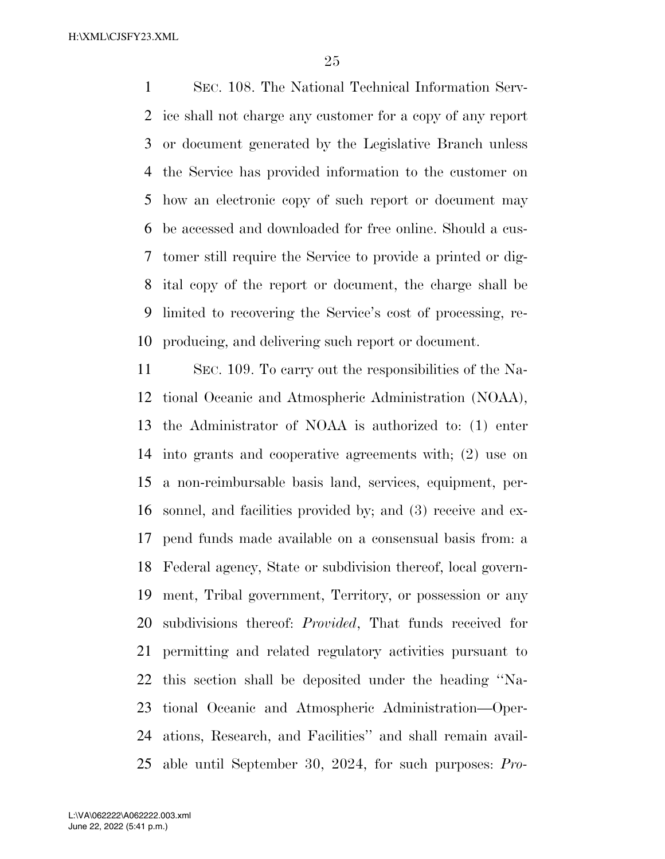SEC. 108. The National Technical Information Serv- ice shall not charge any customer for a copy of any report or document generated by the Legislative Branch unless the Service has provided information to the customer on how an electronic copy of such report or document may be accessed and downloaded for free online. Should a cus- tomer still require the Service to provide a printed or dig- ital copy of the report or document, the charge shall be limited to recovering the Service's cost of processing, re-producing, and delivering such report or document.

 SEC. 109. To carry out the responsibilities of the Na- tional Oceanic and Atmospheric Administration (NOAA), the Administrator of NOAA is authorized to: (1) enter into grants and cooperative agreements with; (2) use on a non-reimbursable basis land, services, equipment, per- sonnel, and facilities provided by; and (3) receive and ex- pend funds made available on a consensual basis from: a Federal agency, State or subdivision thereof, local govern- ment, Tribal government, Territory, or possession or any subdivisions thereof: *Provided*, That funds received for permitting and related regulatory activities pursuant to this section shall be deposited under the heading ''Na- tional Oceanic and Atmospheric Administration—Oper- ations, Research, and Facilities'' and shall remain avail-able until September 30, 2024, for such purposes: *Pro-*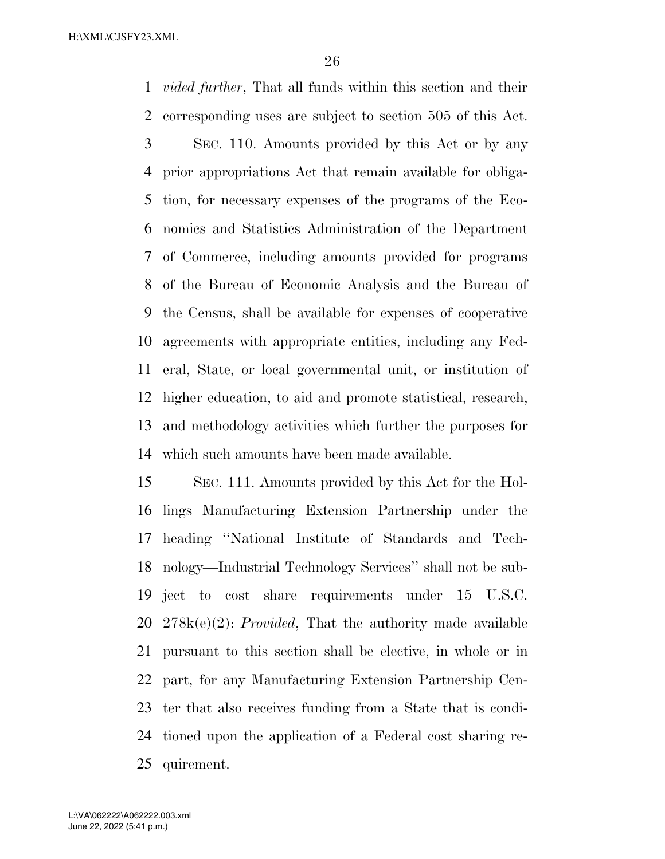*vided further*, That all funds within this section and their corresponding uses are subject to section 505 of this Act. SEC. 110. Amounts provided by this Act or by any prior appropriations Act that remain available for obliga- tion, for necessary expenses of the programs of the Eco- nomics and Statistics Administration of the Department of Commerce, including amounts provided for programs of the Bureau of Economic Analysis and the Bureau of the Census, shall be available for expenses of cooperative agreements with appropriate entities, including any Fed- eral, State, or local governmental unit, or institution of higher education, to aid and promote statistical, research, and methodology activities which further the purposes for

 SEC. 111. Amounts provided by this Act for the Hol- lings Manufacturing Extension Partnership under the heading ''National Institute of Standards and Tech- nology—Industrial Technology Services'' shall not be sub- ject to cost share requirements under 15 U.S.C. 278k(e)(2): *Provided*, That the authority made available pursuant to this section shall be elective, in whole or in part, for any Manufacturing Extension Partnership Cen- ter that also receives funding from a State that is condi- tioned upon the application of a Federal cost sharing re-quirement.

which such amounts have been made available.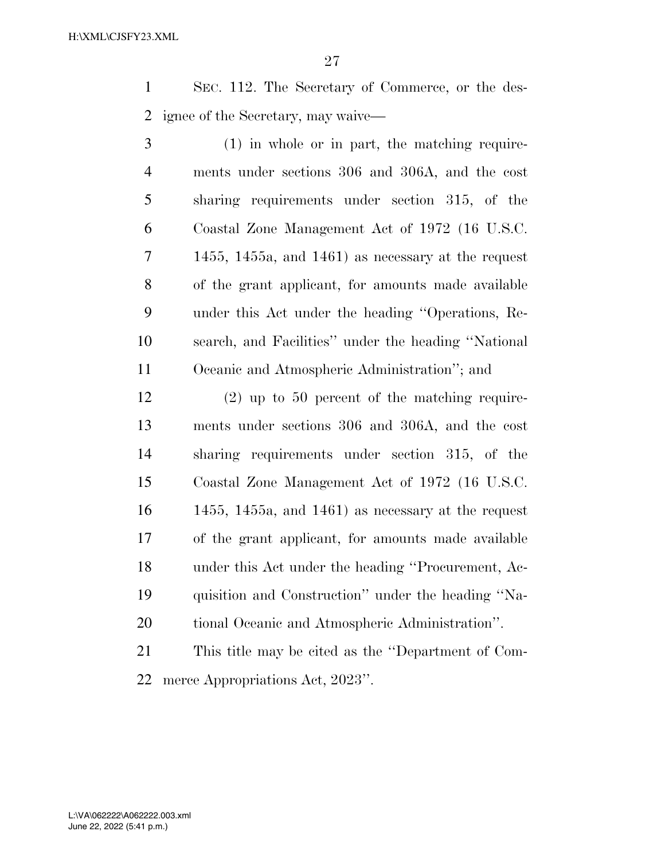SEC. 112. The Secretary of Commerce, or the des-ignee of the Secretary, may waive—

 (1) in whole or in part, the matching require- ments under sections 306 and 306A, and the cost sharing requirements under section 315, of the Coastal Zone Management Act of 1972 (16 U.S.C. 1455, 1455a, and 1461) as necessary at the request of the grant applicant, for amounts made available under this Act under the heading ''Operations, Re- search, and Facilities'' under the heading ''National Oceanic and Atmospheric Administration''; and

 (2) up to 50 percent of the matching require- ments under sections 306 and 306A, and the cost sharing requirements under section 315, of the Coastal Zone Management Act of 1972 (16 U.S.C. 1455, 1455a, and 1461) as necessary at the request of the grant applicant, for amounts made available under this Act under the heading ''Procurement, Ac- quisition and Construction'' under the heading ''Na-tional Oceanic and Atmospheric Administration''.

 This title may be cited as the ''Department of Com-merce Appropriations Act, 2023''.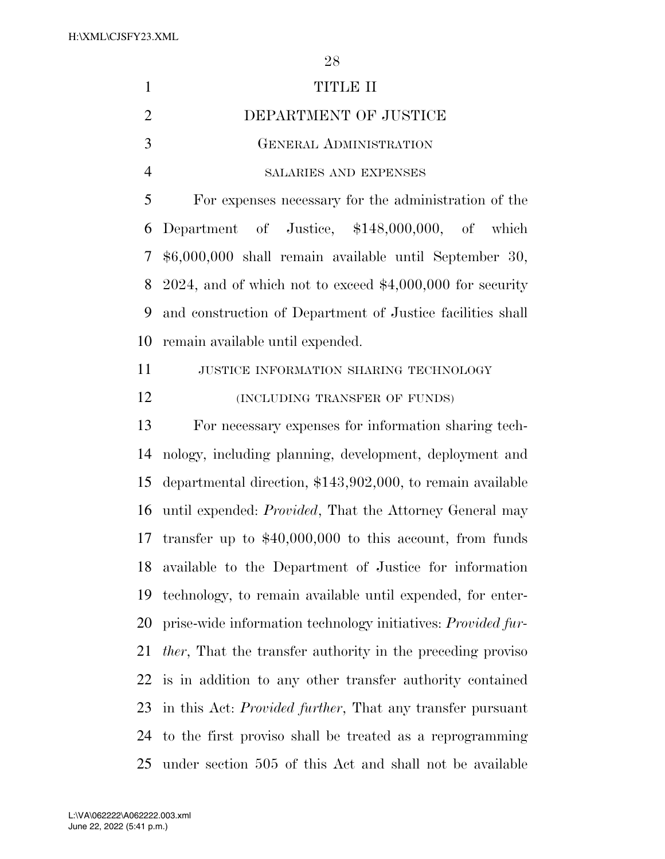| $\mathbf{1}$   | TITLE II                                                            |
|----------------|---------------------------------------------------------------------|
| $\overline{2}$ | DEPARTMENT OF JUSTICE                                               |
| 3              | <b>GENERAL ADMINISTRATION</b>                                       |
| $\overline{4}$ | SALARIES AND EXPENSES                                               |
| 5              | For expenses necessary for the administration of the                |
| 6              | Department of Justice, \$148,000,000, of which                      |
| 7              | \$6,000,000 shall remain available until September 30,              |
| 8              | $2024$ , and of which not to exceed \$4,000,000 for security        |
| 9              | and construction of Department of Justice facilities shall          |
| 10             | remain available until expended.                                    |
| 11             | JUSTICE INFORMATION SHARING TECHNOLOGY                              |
| 12             | (INCLUDING TRANSFER OF FUNDS)                                       |
| 13             | For necessary expenses for information sharing tech-                |
| 14             | nology, including planning, development, deployment and             |
| 15             | departmental direction, \$143,902,000, to remain available          |
| 16             | until expended: <i>Provided</i> , That the Attorney General may     |
| 17             | transfer up to $$40,000,000$ to this account, from funds            |
| 18             | available to the Department of Justice for information              |
| 19             | technology, to remain available until expended, for enter-          |
| 20             | prise-wide information technology initiatives: <i>Provided fur-</i> |
| 21             | <i>ther</i> , That the transfer authority in the preceding proviso  |
| 22             | is in addition to any other transfer authority contained            |
| 23             | in this Act: Provided further, That any transfer pursuant           |
| 24             | to the first proviso shall be treated as a reprogramming            |
| 25             | under section 505 of this Act and shall not be available            |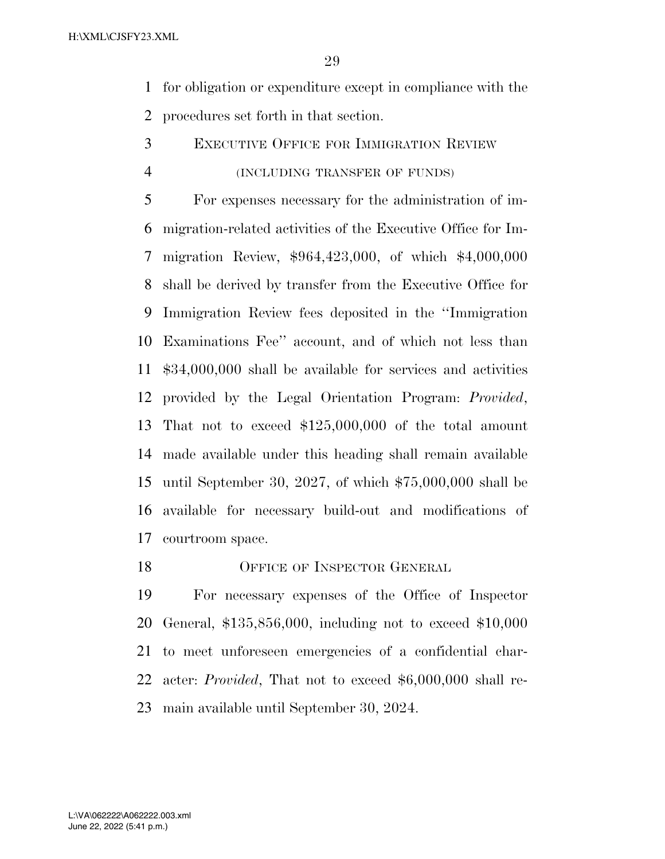for obligation or expenditure except in compliance with the procedures set forth in that section.

- EXECUTIVE OFFICE FOR IMMIGRATION REVIEW
- (INCLUDING TRANSFER OF FUNDS)

 For expenses necessary for the administration of im- migration-related activities of the Executive Office for Im- migration Review, \$964,423,000, of which \$4,000,000 shall be derived by transfer from the Executive Office for Immigration Review fees deposited in the ''Immigration Examinations Fee'' account, and of which not less than \$34,000,000 shall be available for services and activities provided by the Legal Orientation Program: *Provided*, That not to exceed \$125,000,000 of the total amount made available under this heading shall remain available until September 30, 2027, of which \$75,000,000 shall be available for necessary build-out and modifications of courtroom space.

18 OFFICE OF INSPECTOR GENERAL

 For necessary expenses of the Office of Inspector General, \$135,856,000, including not to exceed \$10,000 to meet unforeseen emergencies of a confidential char- acter: *Provided*, That not to exceed \$6,000,000 shall re-main available until September 30, 2024.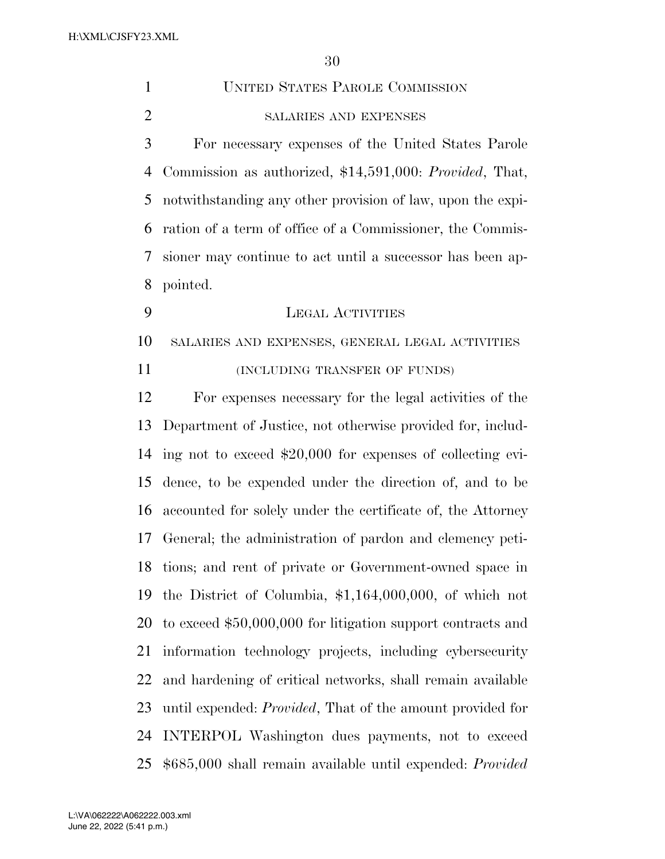| $\mathbf{1}$   | <b>UNITED STATES PAROLE COMMISSION</b>                            |
|----------------|-------------------------------------------------------------------|
| $\overline{2}$ | SALARIES AND EXPENSES                                             |
| 3              | For necessary expenses of the United States Parole                |
| 4              | Commission as authorized, \$14,591,000: Provided, That,           |
| 5              | notwithstanding any other provision of law, upon the expi-        |
| 6              | ration of a term of office of a Commissioner, the Commis-         |
| 7              | sioner may continue to act until a successor has been ap-         |
| 8              | pointed.                                                          |
| 9              | <b>LEGAL ACTIVITIES</b>                                           |
| 10             | SALARIES AND EXPENSES, GENERAL LEGAL ACTIVITIES                   |
| 11             | (INCLUDING TRANSFER OF FUNDS)                                     |
| 12             | For expenses necessary for the legal activities of the            |
| 13             | Department of Justice, not otherwise provided for, includ-        |
| 14             | ing not to exceed \$20,000 for expenses of collecting evi-        |
| 15             | dence, to be expended under the direction of, and to be           |
| 16             | accounted for solely under the certificate of, the Attorney       |
| 17             | General; the administration of pardon and clemency peti-          |
| 18             | tions; and rent of private or Government-owned space in           |
| 19             | the District of Columbia, $$1,164,000,000$ , of which not         |
| 20             | to exceed \$50,000,000 for litigation support contracts and       |
| 21             | information technology projects, including cybersecurity          |
| 22             | and hardening of critical networks, shall remain available        |
| 23             | until expended: <i>Provided</i> , That of the amount provided for |
| 24             | INTERPOL Washington dues payments, not to exceed                  |
| 25             | \$685,000 shall remain available until expended: <i>Provided</i>  |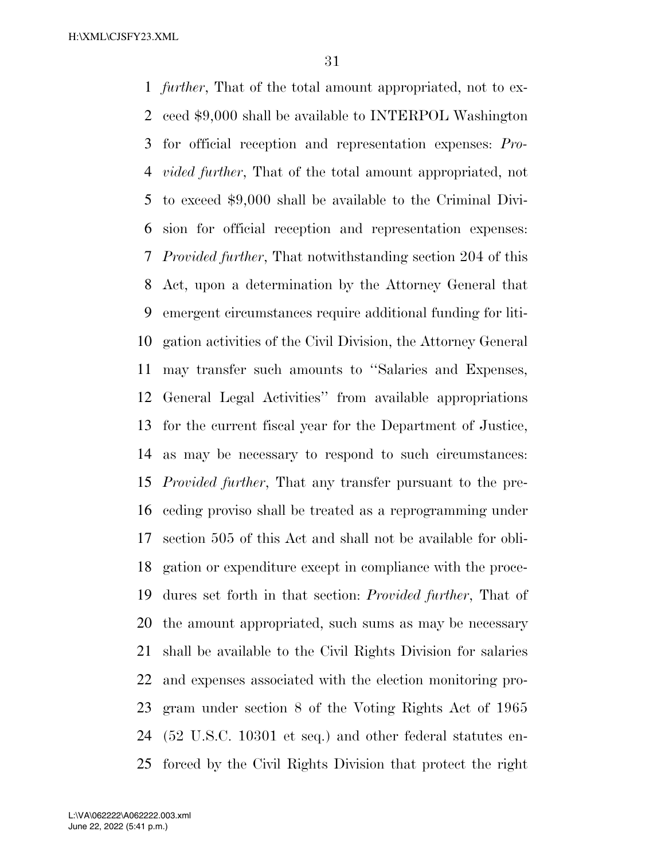*further*, That of the total amount appropriated, not to ex- ceed \$9,000 shall be available to INTERPOL Washington for official reception and representation expenses: *Pro- vided further*, That of the total amount appropriated, not to exceed \$9,000 shall be available to the Criminal Divi- sion for official reception and representation expenses: *Provided further*, That notwithstanding section 204 of this Act, upon a determination by the Attorney General that emergent circumstances require additional funding for liti- gation activities of the Civil Division, the Attorney General may transfer such amounts to ''Salaries and Expenses, General Legal Activities'' from available appropriations for the current fiscal year for the Department of Justice, as may be necessary to respond to such circumstances: *Provided further*, That any transfer pursuant to the pre- ceding proviso shall be treated as a reprogramming under section 505 of this Act and shall not be available for obli- gation or expenditure except in compliance with the proce- dures set forth in that section: *Provided further*, That of the amount appropriated, such sums as may be necessary shall be available to the Civil Rights Division for salaries and expenses associated with the election monitoring pro- gram under section 8 of the Voting Rights Act of 1965 (52 U.S.C. 10301 et seq.) and other federal statutes en-forced by the Civil Rights Division that protect the right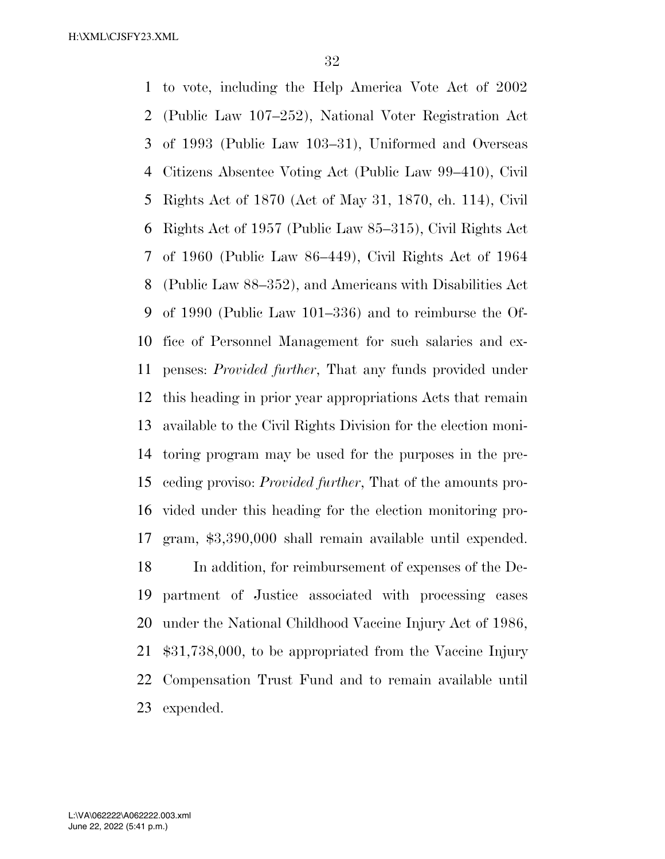to vote, including the Help America Vote Act of 2002 (Public Law 107–252), National Voter Registration Act of 1993 (Public Law 103–31), Uniformed and Overseas Citizens Absentee Voting Act (Public Law 99–410), Civil Rights Act of 1870 (Act of May 31, 1870, ch. 114), Civil Rights Act of 1957 (Public Law 85–315), Civil Rights Act of 1960 (Public Law 86–449), Civil Rights Act of 1964 (Public Law 88–352), and Americans with Disabilities Act of 1990 (Public Law 101–336) and to reimburse the Of- fice of Personnel Management for such salaries and ex- penses: *Provided further*, That any funds provided under this heading in prior year appropriations Acts that remain available to the Civil Rights Division for the election moni- toring program may be used for the purposes in the pre- ceding proviso: *Provided further*, That of the amounts pro- vided under this heading for the election monitoring pro- gram, \$3,390,000 shall remain available until expended. In addition, for reimbursement of expenses of the De- partment of Justice associated with processing cases under the National Childhood Vaccine Injury Act of 1986, \$31,738,000, to be appropriated from the Vaccine Injury Compensation Trust Fund and to remain available until expended.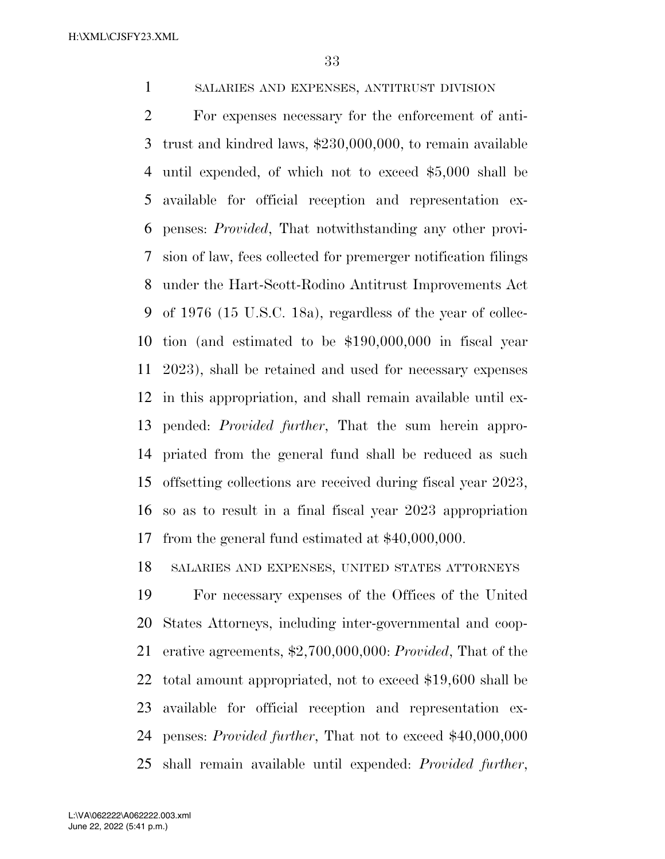SALARIES AND EXPENSES, ANTITRUST DIVISION

 For expenses necessary for the enforcement of anti- trust and kindred laws, \$230,000,000, to remain available until expended, of which not to exceed \$5,000 shall be available for official reception and representation ex- penses: *Provided*, That notwithstanding any other provi- sion of law, fees collected for premerger notification filings under the Hart-Scott-Rodino Antitrust Improvements Act of 1976 (15 U.S.C. 18a), regardless of the year of collec- tion (and estimated to be \$190,000,000 in fiscal year 2023), shall be retained and used for necessary expenses in this appropriation, and shall remain available until ex- pended: *Provided further*, That the sum herein appro- priated from the general fund shall be reduced as such offsetting collections are received during fiscal year 2023, so as to result in a final fiscal year 2023 appropriation from the general fund estimated at \$40,000,000.

SALARIES AND EXPENSES, UNITED STATES ATTORNEYS

 For necessary expenses of the Offices of the United States Attorneys, including inter-governmental and coop- erative agreements, \$2,700,000,000: *Provided*, That of the total amount appropriated, not to exceed \$19,600 shall be available for official reception and representation ex- penses: *Provided further*, That not to exceed \$40,000,000 shall remain available until expended: *Provided further*,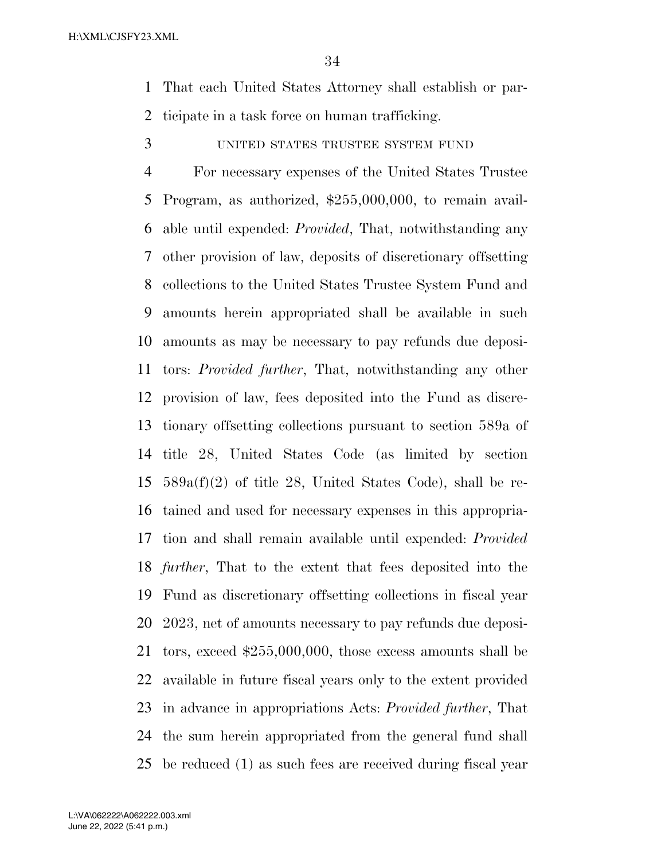That each United States Attorney shall establish or par-ticipate in a task force on human trafficking.

UNITED STATES TRUSTEE SYSTEM FUND

 For necessary expenses of the United States Trustee Program, as authorized, \$255,000,000, to remain avail- able until expended: *Provided*, That, notwithstanding any other provision of law, deposits of discretionary offsetting collections to the United States Trustee System Fund and amounts herein appropriated shall be available in such amounts as may be necessary to pay refunds due deposi- tors: *Provided further*, That, notwithstanding any other provision of law, fees deposited into the Fund as discre- tionary offsetting collections pursuant to section 589a of title 28, United States Code (as limited by section 589a(f)(2) of title 28, United States Code), shall be re- tained and used for necessary expenses in this appropria- tion and shall remain available until expended: *Provided further*, That to the extent that fees deposited into the Fund as discretionary offsetting collections in fiscal year 2023, net of amounts necessary to pay refunds due deposi- tors, exceed \$255,000,000, those excess amounts shall be available in future fiscal years only to the extent provided in advance in appropriations Acts: *Provided further*, That the sum herein appropriated from the general fund shall be reduced (1) as such fees are received during fiscal year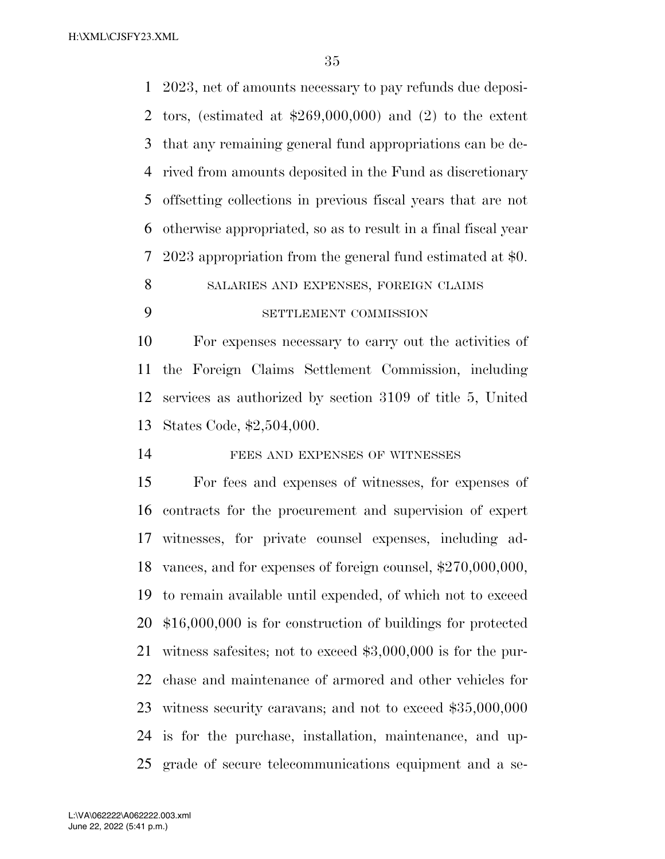2023, net of amounts necessary to pay refunds due deposi- tors, (estimated at \$269,000,000) and (2) to the extent that any remaining general fund appropriations can be de- rived from amounts deposited in the Fund as discretionary offsetting collections in previous fiscal years that are not otherwise appropriated, so as to result in a final fiscal year 2023 appropriation from the general fund estimated at \$0. 8 SALARIES AND EXPENSES, FOREIGN CLAIMS

# SETTLEMENT COMMISSION

 For expenses necessary to carry out the activities of the Foreign Claims Settlement Commission, including services as authorized by section 3109 of title 5, United States Code, \$2,504,000.

14 FEES AND EXPENSES OF WITNESSES

 For fees and expenses of witnesses, for expenses of contracts for the procurement and supervision of expert witnesses, for private counsel expenses, including ad- vances, and for expenses of foreign counsel, \$270,000,000, to remain available until expended, of which not to exceed \$16,000,000 is for construction of buildings for protected witness safesites; not to exceed \$3,000,000 is for the pur- chase and maintenance of armored and other vehicles for witness security caravans; and not to exceed \$35,000,000 is for the purchase, installation, maintenance, and up-grade of secure telecommunications equipment and a se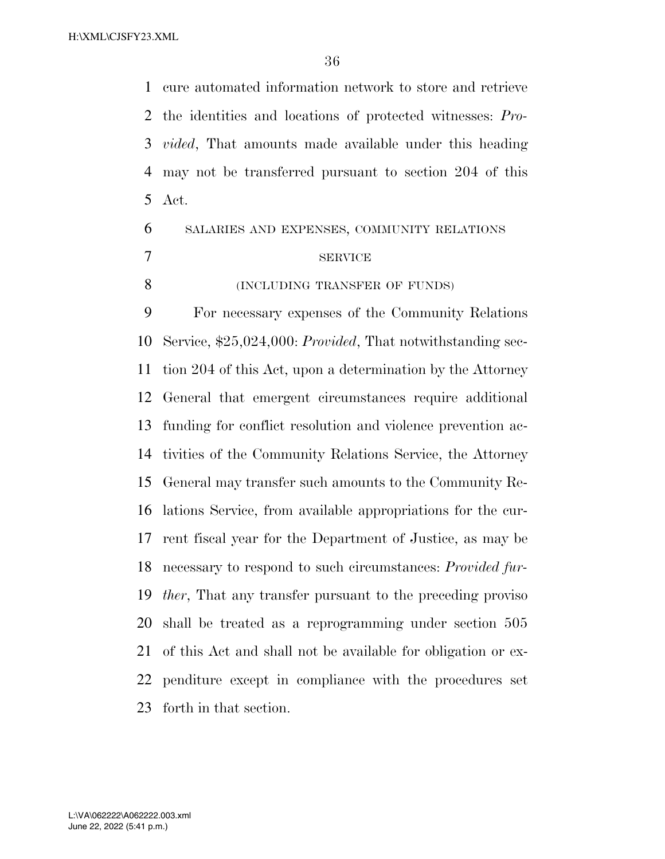cure automated information network to store and retrieve the identities and locations of protected witnesses: *Pro- vided*, That amounts made available under this heading may not be transferred pursuant to section 204 of this Act.

 SALARIES AND EXPENSES, COMMUNITY RELATIONS SERVICE 8 (INCLUDING TRANSFER OF FUNDS)

 For necessary expenses of the Community Relations Service, \$25,024,000: *Provided*, That notwithstanding sec- tion 204 of this Act, upon a determination by the Attorney General that emergent circumstances require additional funding for conflict resolution and violence prevention ac- tivities of the Community Relations Service, the Attorney General may transfer such amounts to the Community Re- lations Service, from available appropriations for the cur- rent fiscal year for the Department of Justice, as may be necessary to respond to such circumstances: *Provided fur- ther*, That any transfer pursuant to the preceding proviso shall be treated as a reprogramming under section 505 of this Act and shall not be available for obligation or ex- penditure except in compliance with the procedures set forth in that section.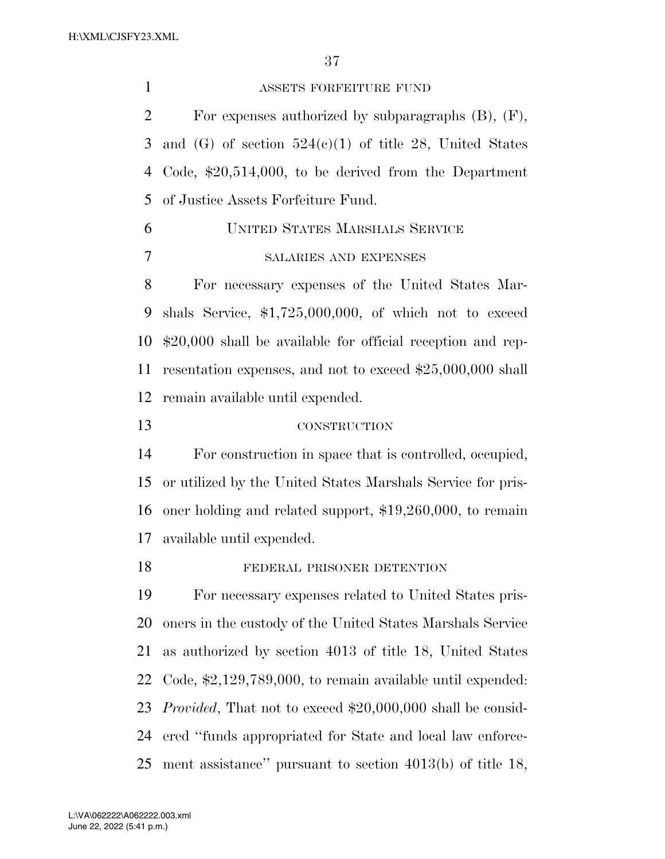ASSETS FORFEITURE FUND For expenses authorized by subparagraphs (B), (F), 3 and  $(G)$  of section  $524(e)(1)$  of title 28, United States Code, \$20,514,000, to be derived from the Department of Justice Assets Forfeiture Fund. UNITED STATES MARSHALS SERVICE SALARIES AND EXPENSES For necessary expenses of the United States Mar- shals Service, \$1,725,000,000, of which not to exceed \$20,000 shall be available for official reception and rep- resentation expenses, and not to exceed \$25,000,000 shall remain available until expended. CONSTRUCTION For construction in space that is controlled, occupied, or utilized by the United States Marshals Service for pris- oner holding and related support, \$19,260,000, to remain available until expended. FEDERAL PRISONER DETENTION For necessary expenses related to United States pris- oners in the custody of the United States Marshals Service as authorized by section 4013 of title 18, United States Code, \$2,129,789,000, to remain available until expended:

*Provided*, That not to exceed \$20,000,000 shall be consid-

ered ''funds appropriated for State and local law enforce-

ment assistance'' pursuant to section 4013(b) of title 18,

June 22, 2022 (5:41 p.m.) L:\VA\062222\A062222.003.xml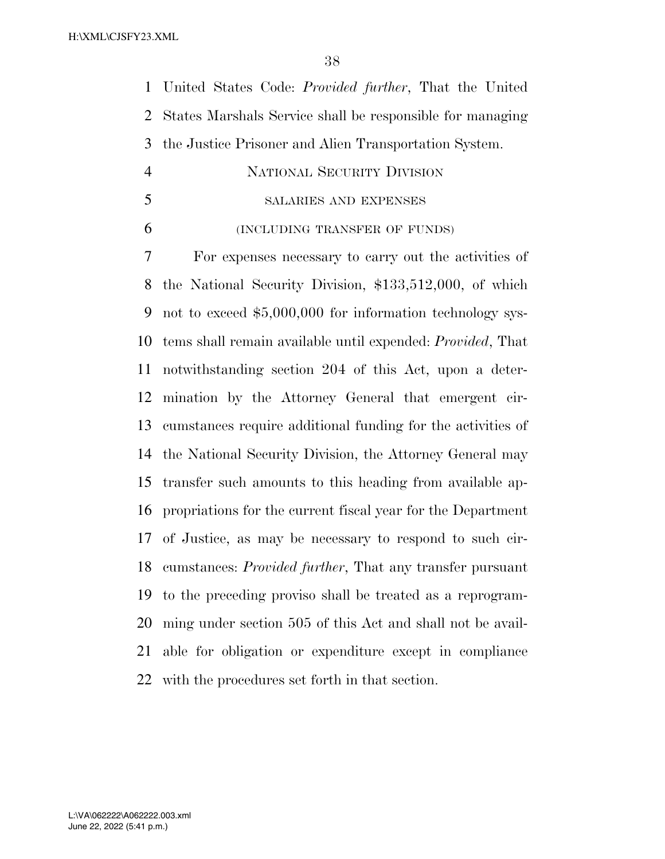United States Code: *Provided further*, That the United States Marshals Service shall be responsible for managing the Justice Prisoner and Alien Transportation System.

- NATIONAL SECURITY DIVISION
- SALARIES AND EXPENSES
- (INCLUDING TRANSFER OF FUNDS)

 For expenses necessary to carry out the activities of the National Security Division, \$133,512,000, of which not to exceed \$5,000,000 for information technology sys- tems shall remain available until expended: *Provided*, That notwithstanding section 204 of this Act, upon a deter- mination by the Attorney General that emergent cir- cumstances require additional funding for the activities of the National Security Division, the Attorney General may transfer such amounts to this heading from available ap- propriations for the current fiscal year for the Department of Justice, as may be necessary to respond to such cir- cumstances: *Provided further*, That any transfer pursuant to the preceding proviso shall be treated as a reprogram- ming under section 505 of this Act and shall not be avail- able for obligation or expenditure except in compliance with the procedures set forth in that section.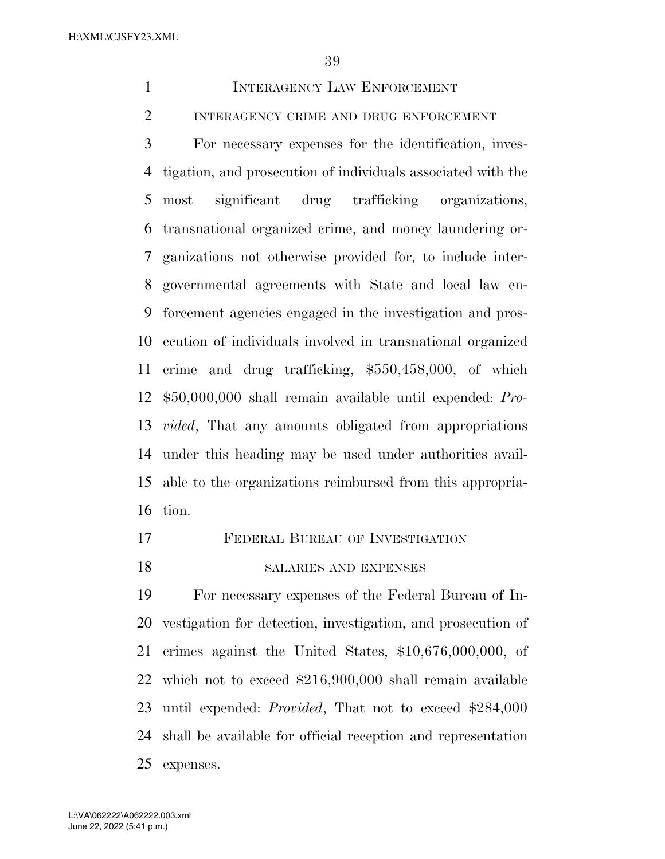INTERAGENCY LAW ENFORCEMENT

INTERAGENCY CRIME AND DRUG ENFORCEMENT

 For necessary expenses for the identification, inves- tigation, and prosecution of individuals associated with the most significant drug trafficking organizations, transnational organized crime, and money laundering or- ganizations not otherwise provided for, to include inter- governmental agreements with State and local law en- forcement agencies engaged in the investigation and pros- ecution of individuals involved in transnational organized crime and drug trafficking, \$550,458,000, of which \$50,000,000 shall remain available until expended: *Pro- vided*, That any amounts obligated from appropriations under this heading may be used under authorities avail- able to the organizations reimbursed from this appropria-tion.

- FEDERAL BUREAU OF INVESTIGATION
- SALARIES AND EXPENSES

 For necessary expenses of the Federal Bureau of In- vestigation for detection, investigation, and prosecution of crimes against the United States, \$10,676,000,000, of which not to exceed \$216,900,000 shall remain available until expended: *Provided*, That not to exceed \$284,000 shall be available for official reception and representation expenses.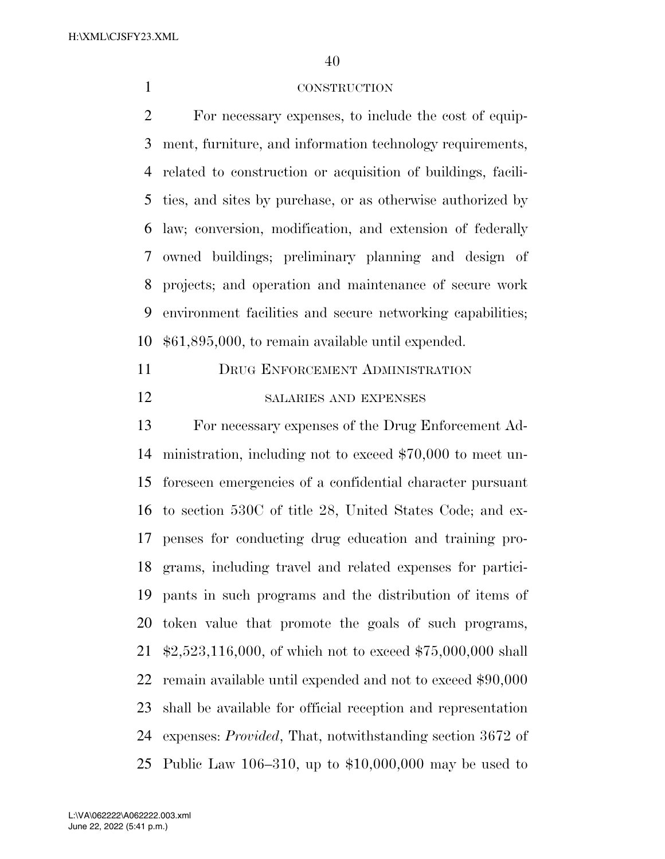## CONSTRUCTION

 For necessary expenses, to include the cost of equip- ment, furniture, and information technology requirements, related to construction or acquisition of buildings, facili- ties, and sites by purchase, or as otherwise authorized by law; conversion, modification, and extension of federally owned buildings; preliminary planning and design of projects; and operation and maintenance of secure work environment facilities and secure networking capabilities; \$61,895,000, to remain available until expended.

 DRUG ENFORCEMENT ADMINISTRATION SALARIES AND EXPENSES

 For necessary expenses of the Drug Enforcement Ad- ministration, including not to exceed \$70,000 to meet un- foreseen emergencies of a confidential character pursuant to section 530C of title 28, United States Code; and ex- penses for conducting drug education and training pro- grams, including travel and related expenses for partici- pants in such programs and the distribution of items of token value that promote the goals of such programs, \$2,523,116,000, of which not to exceed \$75,000,000 shall remain available until expended and not to exceed \$90,000 shall be available for official reception and representation expenses: *Provided*, That, notwithstanding section 3672 of Public Law 106–310, up to \$10,000,000 may be used to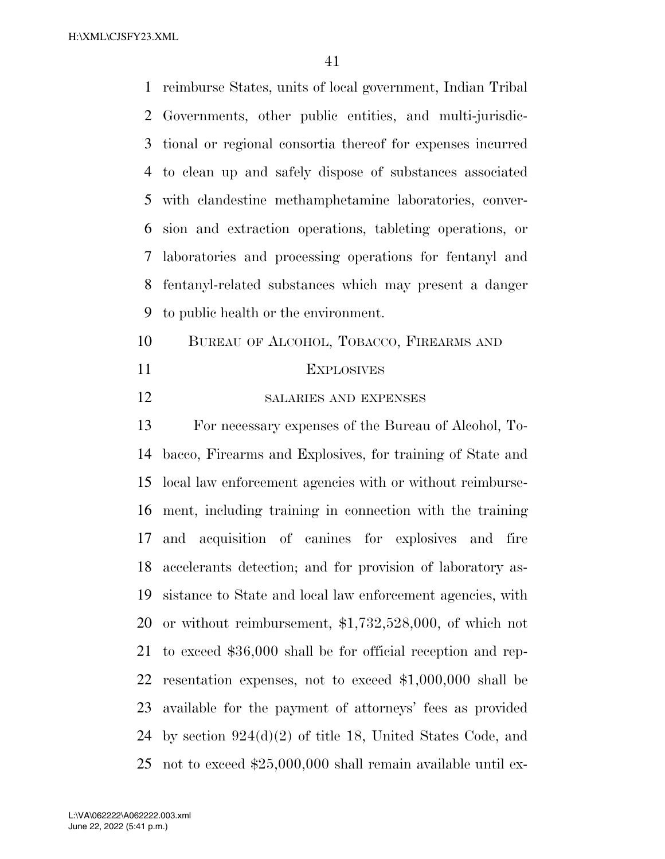reimburse States, units of local government, Indian Tribal Governments, other public entities, and multi-jurisdic- tional or regional consortia thereof for expenses incurred to clean up and safely dispose of substances associated with clandestine methamphetamine laboratories, conver- sion and extraction operations, tableting operations, or laboratories and processing operations for fentanyl and fentanyl-related substances which may present a danger to public health or the environment.

- BUREAU OF ALCOHOL, TOBACCO, FIREARMS AND EXPLOSIVES
- SALARIES AND EXPENSES

 For necessary expenses of the Bureau of Alcohol, To- bacco, Firearms and Explosives, for training of State and local law enforcement agencies with or without reimburse- ment, including training in connection with the training and acquisition of canines for explosives and fire accelerants detection; and for provision of laboratory as- sistance to State and local law enforcement agencies, with or without reimbursement, \$1,732,528,000, of which not to exceed \$36,000 shall be for official reception and rep- resentation expenses, not to exceed \$1,000,000 shall be available for the payment of attorneys' fees as provided by section 924(d)(2) of title 18, United States Code, and not to exceed \$25,000,000 shall remain available until ex-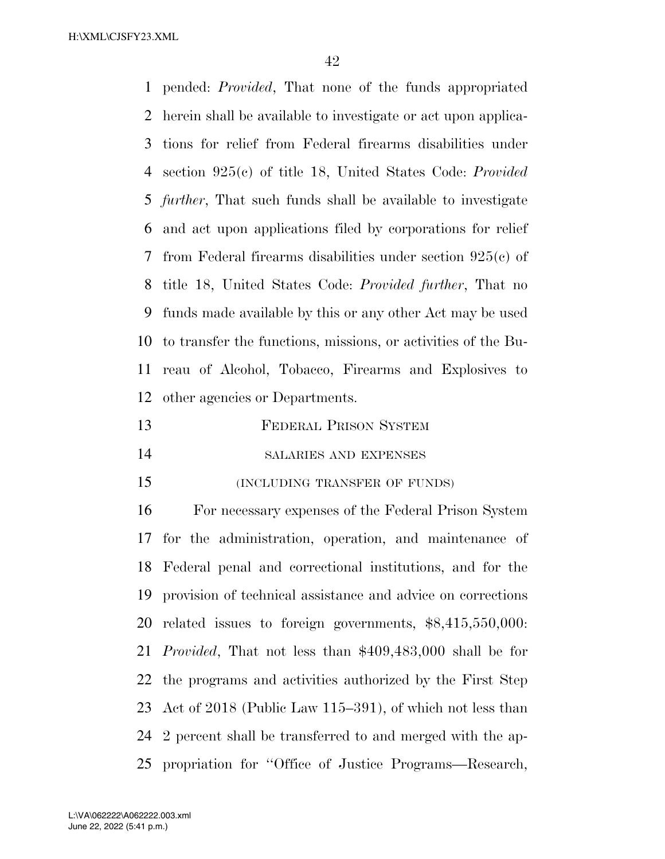pended: *Provided*, That none of the funds appropriated herein shall be available to investigate or act upon applica- tions for relief from Federal firearms disabilities under section 925(c) of title 18, United States Code: *Provided further*, That such funds shall be available to investigate and act upon applications filed by corporations for relief from Federal firearms disabilities under section 925(c) of title 18, United States Code: *Provided further*, That no funds made available by this or any other Act may be used to transfer the functions, missions, or activities of the Bu- reau of Alcohol, Tobacco, Firearms and Explosives to other agencies or Departments.

- FEDERAL PRISON SYSTEM
- SALARIES AND EXPENSES
- (INCLUDING TRANSFER OF FUNDS)

 For necessary expenses of the Federal Prison System for the administration, operation, and maintenance of Federal penal and correctional institutions, and for the provision of technical assistance and advice on corrections related issues to foreign governments, \$8,415,550,000: *Provided*, That not less than \$409,483,000 shall be for the programs and activities authorized by the First Step Act of 2018 (Public Law 115–391), of which not less than 2 percent shall be transferred to and merged with the ap-propriation for ''Office of Justice Programs—Research,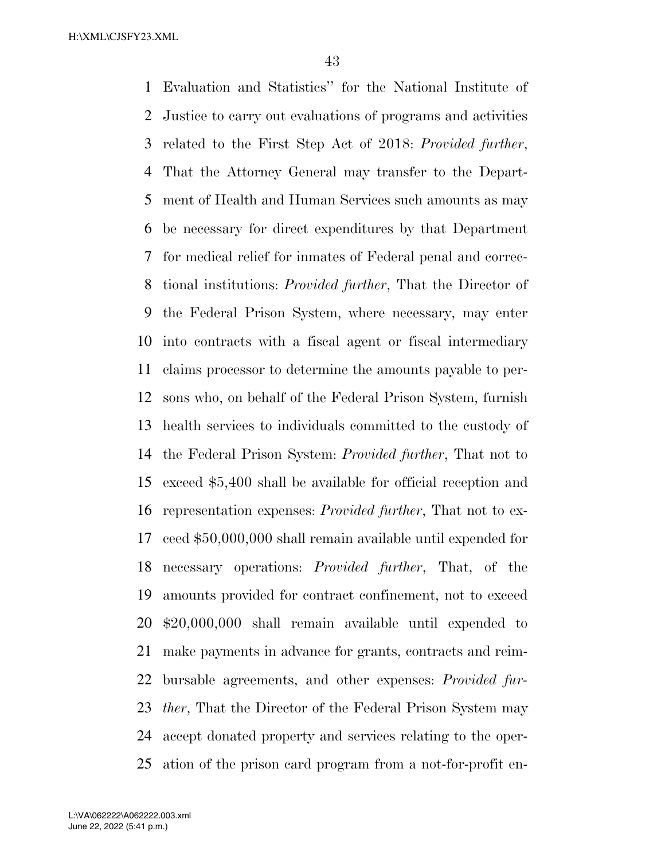Evaluation and Statistics'' for the National Institute of Justice to carry out evaluations of programs and activities related to the First Step Act of 2018: *Provided further*, That the Attorney General may transfer to the Depart- ment of Health and Human Services such amounts as may be necessary for direct expenditures by that Department for medical relief for inmates of Federal penal and correc- tional institutions: *Provided further*, That the Director of the Federal Prison System, where necessary, may enter into contracts with a fiscal agent or fiscal intermediary claims processor to determine the amounts payable to per- sons who, on behalf of the Federal Prison System, furnish health services to individuals committed to the custody of the Federal Prison System: *Provided further*, That not to exceed \$5,400 shall be available for official reception and representation expenses: *Provided further*, That not to ex- ceed \$50,000,000 shall remain available until expended for necessary operations: *Provided further*, That, of the amounts provided for contract confinement, not to exceed \$20,000,000 shall remain available until expended to make payments in advance for grants, contracts and reim- bursable agreements, and other expenses: *Provided fur- ther*, That the Director of the Federal Prison System may accept donated property and services relating to the oper-ation of the prison card program from a not-for-profit en-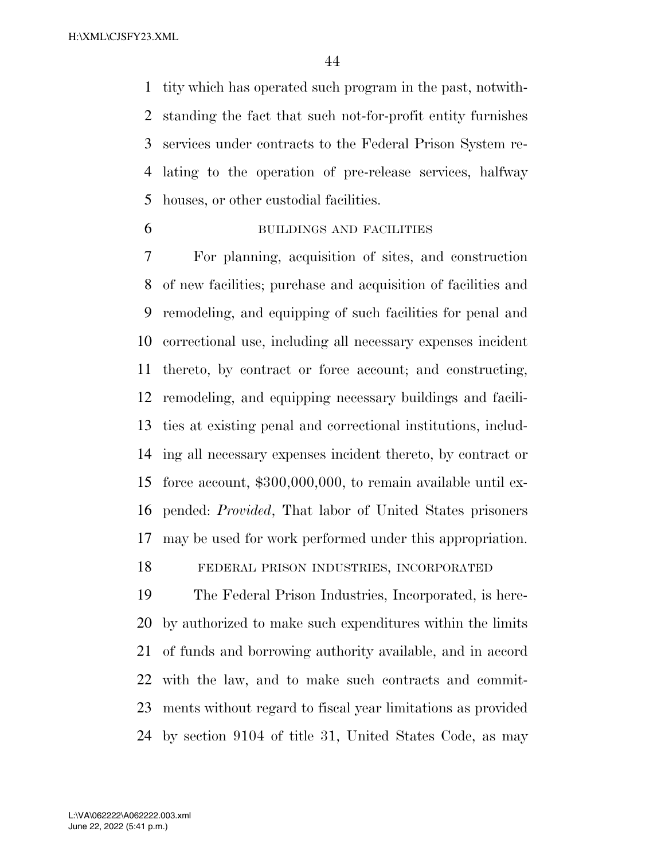tity which has operated such program in the past, notwith- standing the fact that such not-for-profit entity furnishes services under contracts to the Federal Prison System re- lating to the operation of pre-release services, halfway houses, or other custodial facilities.

BUILDINGS AND FACILITIES

 For planning, acquisition of sites, and construction of new facilities; purchase and acquisition of facilities and remodeling, and equipping of such facilities for penal and correctional use, including all necessary expenses incident thereto, by contract or force account; and constructing, remodeling, and equipping necessary buildings and facili- ties at existing penal and correctional institutions, includ- ing all necessary expenses incident thereto, by contract or force account, \$300,000,000, to remain available until ex- pended: *Provided*, That labor of United States prisoners may be used for work performed under this appropriation.

FEDERAL PRISON INDUSTRIES, INCORPORATED

 The Federal Prison Industries, Incorporated, is here- by authorized to make such expenditures within the limits of funds and borrowing authority available, and in accord with the law, and to make such contracts and commit- ments without regard to fiscal year limitations as provided by section 9104 of title 31, United States Code, as may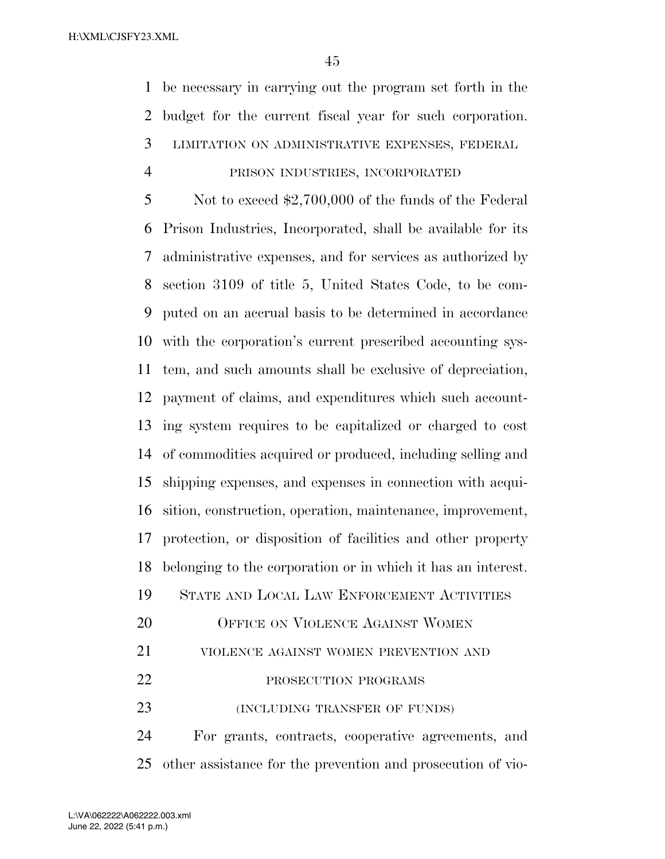be necessary in carrying out the program set forth in the budget for the current fiscal year for such corporation.

## LIMITATION ON ADMINISTRATIVE EXPENSES, FEDERAL

## PRISON INDUSTRIES, INCORPORATED

 Not to exceed \$2,700,000 of the funds of the Federal Prison Industries, Incorporated, shall be available for its administrative expenses, and for services as authorized by section 3109 of title 5, United States Code, to be com- puted on an accrual basis to be determined in accordance with the corporation's current prescribed accounting sys- tem, and such amounts shall be exclusive of depreciation, payment of claims, and expenditures which such account- ing system requires to be capitalized or charged to cost of commodities acquired or produced, including selling and shipping expenses, and expenses in connection with acqui- sition, construction, operation, maintenance, improvement, protection, or disposition of facilities and other property belonging to the corporation or in which it has an interest. STATE AND LOCAL LAW ENFORCEMENT ACTIVITIES

- 20 OFFICE ON VIOLENCE AGAINST WOMEN
- VIOLENCE AGAINST WOMEN PREVENTION AND
- 22 PROSECUTION PROGRAMS
- 23 (INCLUDING TRANSFER OF FUNDS)

 For grants, contracts, cooperative agreements, and other assistance for the prevention and prosecution of vio-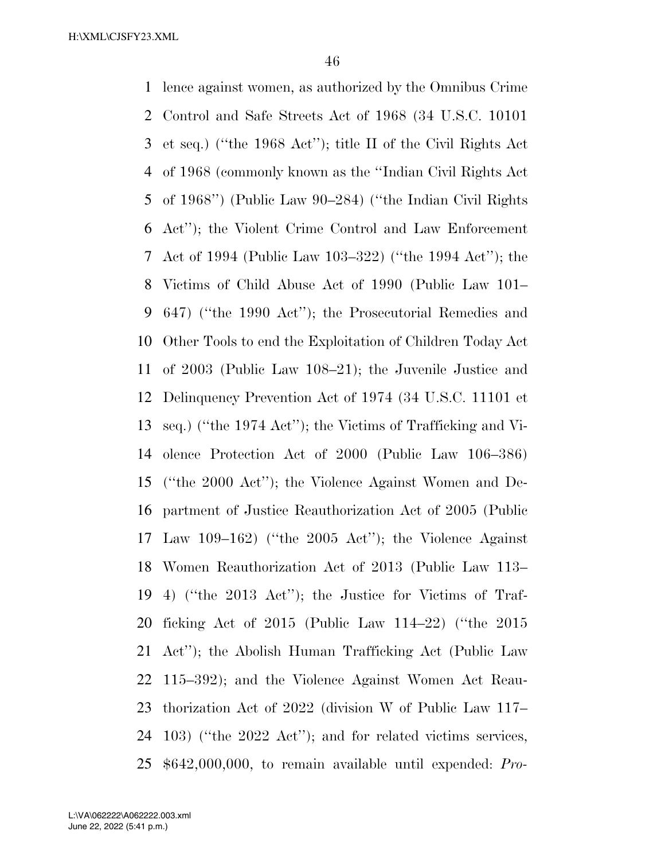lence against women, as authorized by the Omnibus Crime Control and Safe Streets Act of 1968 (34 U.S.C. 10101 et seq.) (''the 1968 Act''); title II of the Civil Rights Act of 1968 (commonly known as the ''Indian Civil Rights Act of 1968'') (Public Law 90–284) (''the Indian Civil Rights Act''); the Violent Crime Control and Law Enforcement Act of 1994 (Public Law 103–322) (''the 1994 Act''); the Victims of Child Abuse Act of 1990 (Public Law 101– 647) (''the 1990 Act''); the Prosecutorial Remedies and Other Tools to end the Exploitation of Children Today Act of 2003 (Public Law 108–21); the Juvenile Justice and Delinquency Prevention Act of 1974 (34 U.S.C. 11101 et seq.) (''the 1974 Act''); the Victims of Trafficking and Vi- olence Protection Act of 2000 (Public Law 106–386) (''the 2000 Act''); the Violence Against Women and De- partment of Justice Reauthorization Act of 2005 (Public Law 109–162) (''the 2005 Act''); the Violence Against Women Reauthorization Act of 2013 (Public Law 113– 4) (''the 2013 Act''); the Justice for Victims of Traf- ficking Act of 2015 (Public Law 114–22) (''the 2015 Act''); the Abolish Human Trafficking Act (Public Law 115–392); and the Violence Against Women Act Reau- thorization Act of 2022 (division W of Public Law 117– 103) (''the 2022 Act''); and for related victims services, \$642,000,000, to remain available until expended: *Pro-*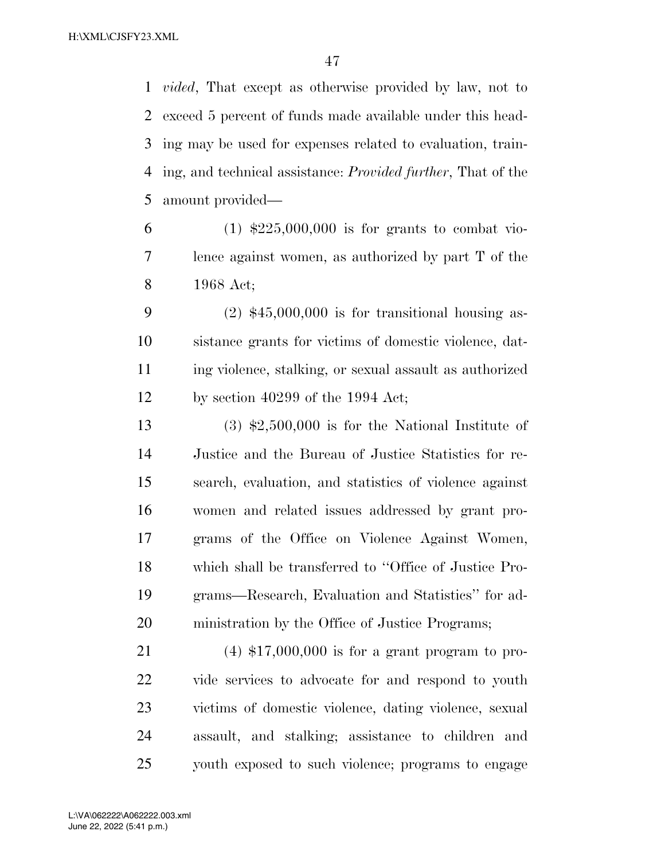*vided*, That except as otherwise provided by law, not to exceed 5 percent of funds made available under this head- ing may be used for expenses related to evaluation, train- ing, and technical assistance: *Provided further*, That of the amount provided—

6 (1)  $\text{$}225,000,000$  is for grants to combat vio- lence against women, as authorized by part T of the 1968 Act;

 (2) \$45,000,000 is for transitional housing as- sistance grants for victims of domestic violence, dat- ing violence, stalking, or sexual assault as authorized by section 40299 of the 1994 Act;

 (3) \$2,500,000 is for the National Institute of Justice and the Bureau of Justice Statistics for re- search, evaluation, and statistics of violence against women and related issues addressed by grant pro- grams of the Office on Violence Against Women, which shall be transferred to ''Office of Justice Pro- grams—Research, Evaluation and Statistics'' for ad-ministration by the Office of Justice Programs;

 (4) \$17,000,000 is for a grant program to pro- vide services to advocate for and respond to youth victims of domestic violence, dating violence, sexual assault, and stalking; assistance to children and youth exposed to such violence; programs to engage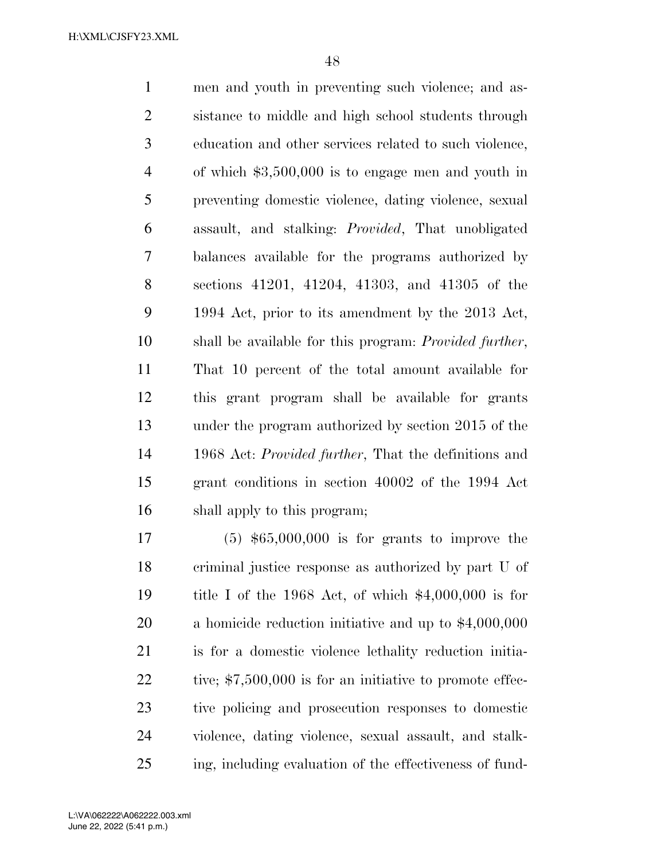men and youth in preventing such violence; and as- sistance to middle and high school students through education and other services related to such violence, of which \$3,500,000 is to engage men and youth in preventing domestic violence, dating violence, sexual assault, and stalking: *Provided*, That unobligated balances available for the programs authorized by sections 41201, 41204, 41303, and 41305 of the 1994 Act, prior to its amendment by the 2013 Act, shall be available for this program: *Provided further*, That 10 percent of the total amount available for this grant program shall be available for grants under the program authorized by section 2015 of the 1968 Act: *Provided further*, That the definitions and grant conditions in section 40002 of the 1994 Act shall apply to this program;

 (5) \$65,000,000 is for grants to improve the criminal justice response as authorized by part U of title I of the 1968 Act, of which \$4,000,000 is for a homicide reduction initiative and up to \$4,000,000 is for a domestic violence lethality reduction initia-22 tive; \$7,500,000 is for an initiative to promote effec- tive policing and prosecution responses to domestic violence, dating violence, sexual assault, and stalk-ing, including evaluation of the effectiveness of fund-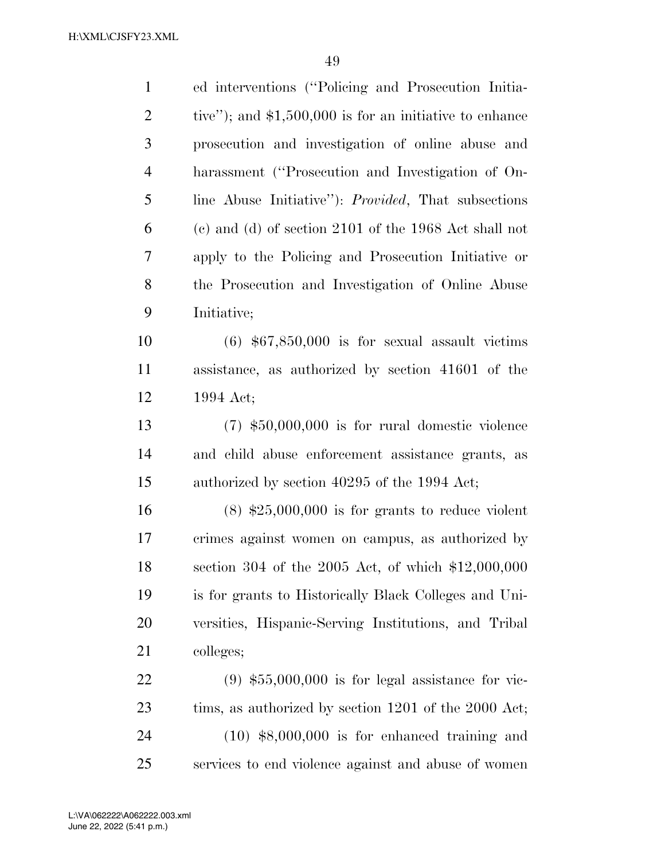| $\mathbf{1}$   | ed interventions ("Policing and Prosecution Initia-         |
|----------------|-------------------------------------------------------------|
| $\overline{2}$ | tive"); and $$1,500,000$ is for an initiative to enhance    |
| 3              | prosecution and investigation of online abuse and           |
| $\overline{4}$ | harassment ("Prosecution and Investigation of On-           |
| 5              | line Abuse Initiative"): <i>Provided</i> , That subsections |
| 6              | $(e)$ and $(d)$ of section 2101 of the 1968 Act shall not   |
| 7              | apply to the Policing and Prosecution Initiative or         |
| 8              | the Prosecution and Investigation of Online Abuse           |
| 9              | Initiative;                                                 |
| 10             | $(6)$ \$67,850,000 is for sexual assault victims            |
| 11             | assistance, as authorized by section 41601 of the           |
| 12             | 1994 Act;                                                   |
| 13             | $(7)$ \$50,000,000 is for rural domestic violence           |
| 14             | and child abuse enforcement assistance grants, as           |
| 15             | authorized by section 40295 of the 1994 Act;                |
| 16             | $(8)$ \$25,000,000 is for grants to reduce violent          |
| 17             | crimes against women on campus, as authorized by            |
| 18             | section 304 of the 2005 Act, of which $$12,000,000$         |
| 19             | is for grants to Historically Black Colleges and Uni-       |
| <b>20</b>      | versities, Hispanic-Serving Institutions, and Tribal        |
| 21             | colleges;                                                   |
| 22             | $(9)$ \$55,000,000 is for legal assistance for vic-         |
| 23             | tims, as authorized by section 1201 of the 2000 Act;        |
| 24             | $(10)$ \$8,000,000 is for enhanced training and             |
| 25             | services to end violence against and abuse of women         |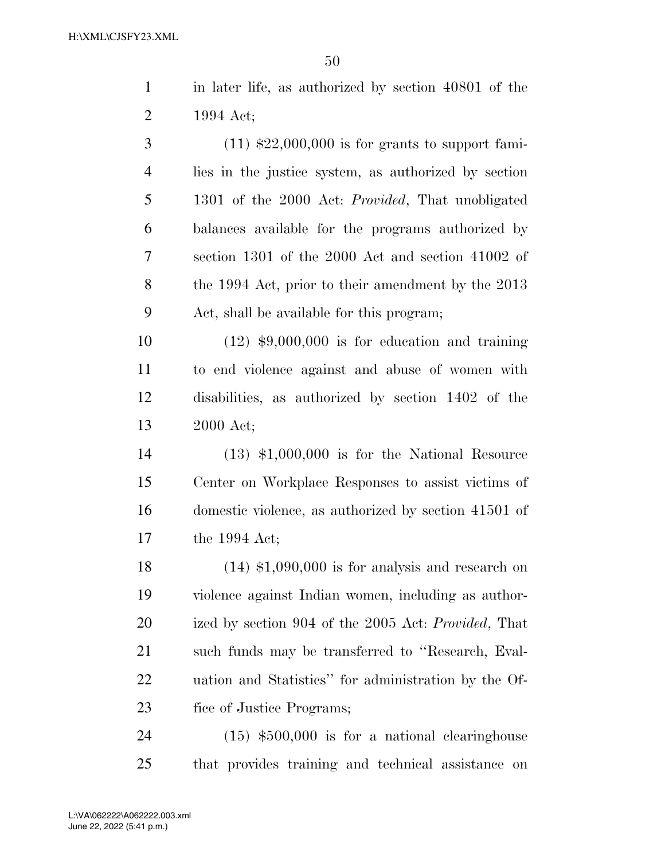in later life, as authorized by section 40801 of the 1994 Act;

 $3 \qquad (11) \text{ $22,000,000 is for grants to support fami-}$  lies in the justice system, as authorized by section 1301 of the 2000 Act: *Provided*, That unobligated balances available for the programs authorized by section 1301 of the 2000 Act and section 41002 of the 1994 Act, prior to their amendment by the 2013 Act, shall be available for this program;

 (12) \$9,000,000 is for education and training to end violence against and abuse of women with disabilities, as authorized by section 1402 of the 2000 Act;

 (13) \$1,000,000 is for the National Resource Center on Workplace Responses to assist victims of domestic violence, as authorized by section 41501 of the 1994 Act;

 $(14)$  \$1,090,000 is for analysis and research on violence against Indian women, including as author- ized by section 904 of the 2005 Act: *Provided*, That such funds may be transferred to ''Research, Eval- uation and Statistics'' for administration by the Of-fice of Justice Programs;

 (15) \$500,000 is for a national clearinghouse that provides training and technical assistance on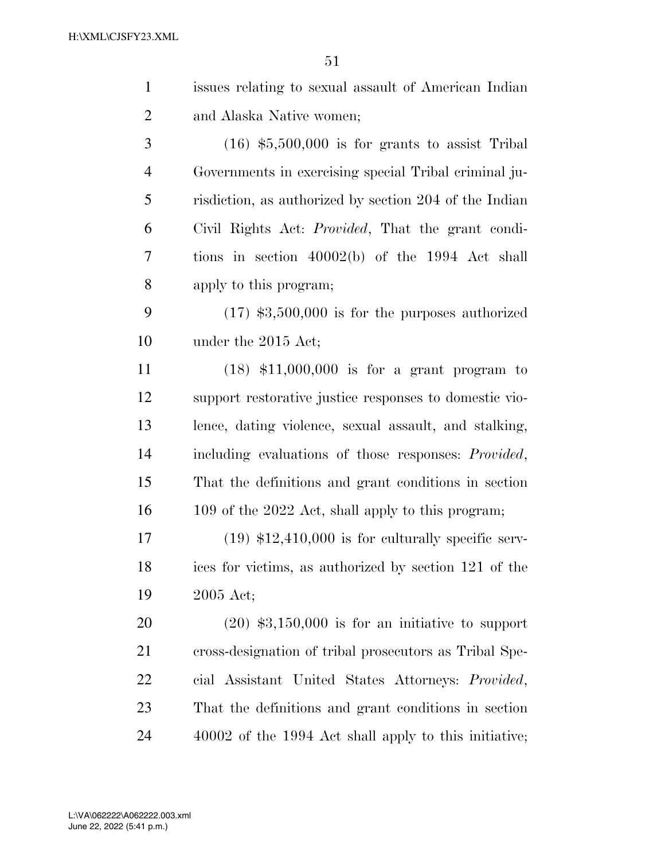| $\mathbf{1}$   | issues relating to sexual assault of American Indian        |
|----------------|-------------------------------------------------------------|
| $\overline{2}$ | and Alaska Native women;                                    |
| 3              | $(16)$ \$5,500,000 is for grants to assist Tribal           |
| $\overline{4}$ | Governments in exercising special Tribal criminal ju-       |
| 5              | risdiction, as authorized by section 204 of the Indian      |
| 6              | Civil Rights Act: <i>Provided</i> , That the grant condi-   |
| 7              | tions in section $40002(b)$ of the 1994 Act shall           |
| 8              | apply to this program;                                      |
| 9              | $(17)$ \$3,500,000 is for the purposes authorized           |
| 10             | under the 2015 Act;                                         |
| 11             | $(18)$ \$11,000,000 is for a grant program to               |
| 12             | support restorative justice responses to domestic vio-      |
| 13             | lence, dating violence, sexual assault, and stalking,       |
| 14             | including evaluations of those responses: <i>Provided</i> , |
| 15             | That the definitions and grant conditions in section        |
| 16             | 109 of the 2022 Act, shall apply to this program;           |
| 17             | $(19)$ \$12,410,000 is for culturally specific serv-        |
| 18             | ices for victims, as authorized by section 121 of the       |
| 19             | 2005 Act;                                                   |
| 20             | $(20)$ \$3,150,000 is for an initiative to support          |
| 21             | cross-designation of tribal prosecutors as Tribal Spe-      |
| 22             | cial Assistant United States Attorneys: Provided,           |
| 23             | That the definitions and grant conditions in section        |
| 24             | 40002 of the 1994 Act shall apply to this initiative;       |
|                |                                                             |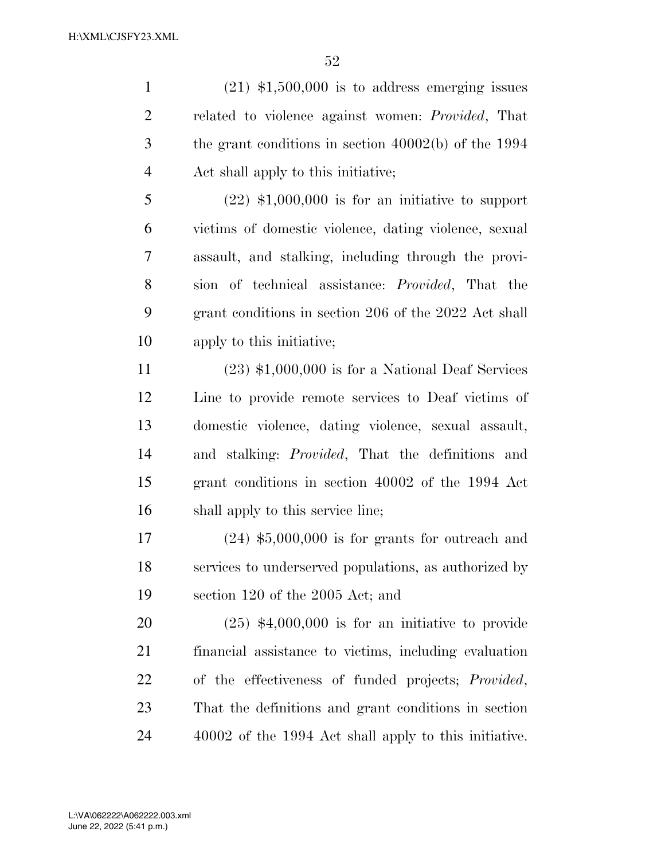$(21)$  \$1,500,000 is to address emerging issues related to violence against women: *Provided*, That the grant conditions in section 40002(b) of the 1994 Act shall apply to this initiative;

 (22) \$1,000,000 is for an initiative to support victims of domestic violence, dating violence, sexual assault, and stalking, including through the provi- sion of technical assistance: *Provided*, That the grant conditions in section 206 of the 2022 Act shall apply to this initiative;

 (23) \$1,000,000 is for a National Deaf Services Line to provide remote services to Deaf victims of domestic violence, dating violence, sexual assault, and stalking: *Provided*, That the definitions and grant conditions in section 40002 of the 1994 Act shall apply to this service line;

 (24) \$5,000,000 is for grants for outreach and services to underserved populations, as authorized by section 120 of the 2005 Act; and

 (25) \$4,000,000 is for an initiative to provide financial assistance to victims, including evaluation of the effectiveness of funded projects; *Provided*, That the definitions and grant conditions in section 40002 of the 1994 Act shall apply to this initiative.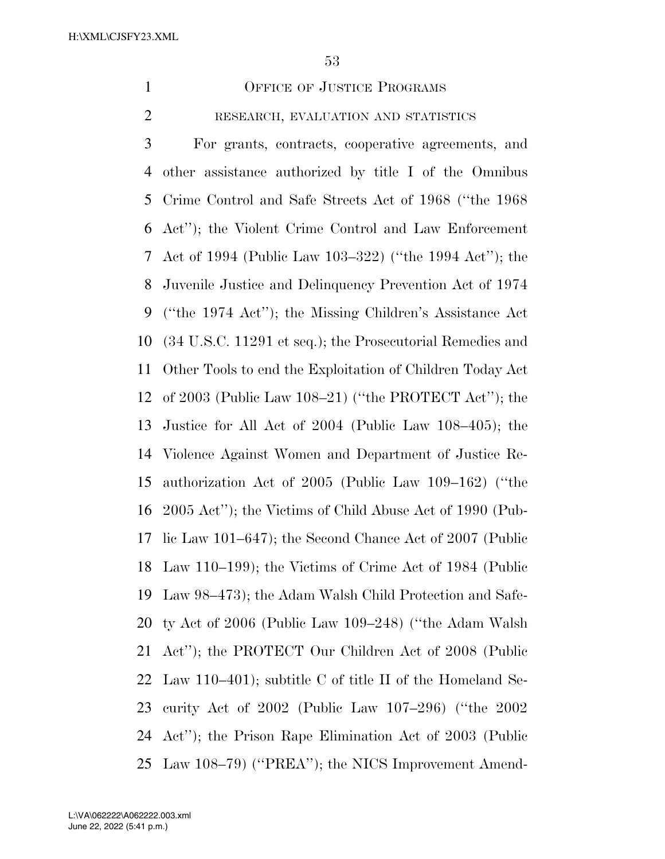1 OFFICE OF JUSTICE PROGRAMS

RESEARCH, EVALUATION AND STATISTICS

 For grants, contracts, cooperative agreements, and other assistance authorized by title I of the Omnibus Crime Control and Safe Streets Act of 1968 (''the 1968 Act''); the Violent Crime Control and Law Enforcement Act of 1994 (Public Law 103–322) (''the 1994 Act''); the Juvenile Justice and Delinquency Prevention Act of 1974 (''the 1974 Act''); the Missing Children's Assistance Act (34 U.S.C. 11291 et seq.); the Prosecutorial Remedies and Other Tools to end the Exploitation of Children Today Act of 2003 (Public Law 108–21) (''the PROTECT Act''); the Justice for All Act of 2004 (Public Law 108–405); the Violence Against Women and Department of Justice Re- authorization Act of 2005 (Public Law 109–162) (''the 2005 Act''); the Victims of Child Abuse Act of 1990 (Pub- lic Law 101–647); the Second Chance Act of 2007 (Public Law 110–199); the Victims of Crime Act of 1984 (Public Law 98–473); the Adam Walsh Child Protection and Safe- ty Act of 2006 (Public Law 109–248) (''the Adam Walsh Act''); the PROTECT Our Children Act of 2008 (Public Law 110–401); subtitle C of title II of the Homeland Se- curity Act of 2002 (Public Law 107–296) (''the 2002 Act''); the Prison Rape Elimination Act of 2003 (Public Law 108–79) (''PREA''); the NICS Improvement Amend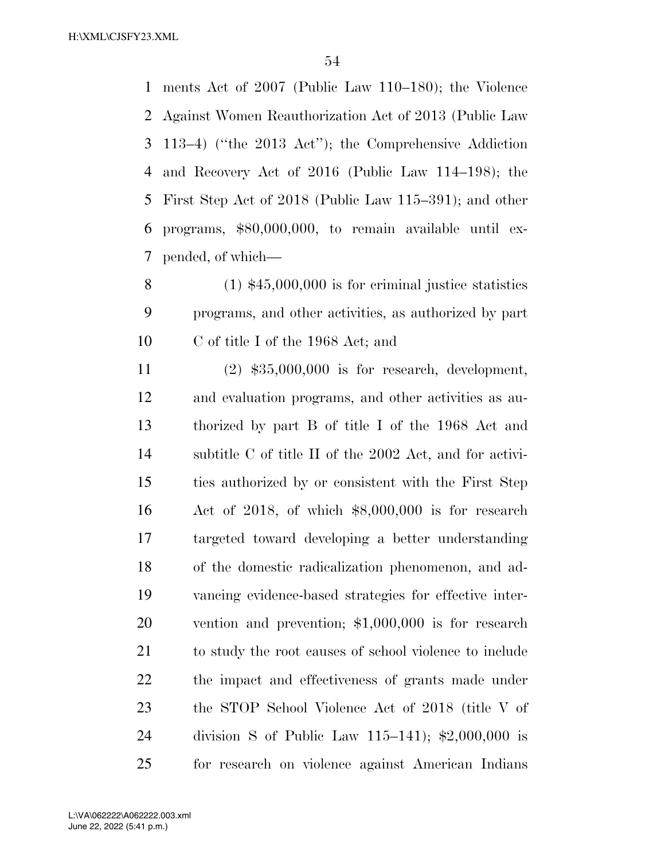ments Act of 2007 (Public Law 110–180); the Violence Against Women Reauthorization Act of 2013 (Public Law 113–4) (''the 2013 Act''); the Comprehensive Addiction and Recovery Act of 2016 (Public Law 114–198); the First Step Act of 2018 (Public Law 115–391); and other programs, \$80,000,000, to remain available until ex-pended, of which—

 (1) \$45,000,000 is for criminal justice statistics programs, and other activities, as authorized by part C of title I of the 1968 Act; and

 (2) \$35,000,000 is for research, development, and evaluation programs, and other activities as au- thorized by part B of title I of the 1968 Act and subtitle C of title II of the 2002 Act, and for activi- ties authorized by or consistent with the First Step Act of 2018, of which \$8,000,000 is for research targeted toward developing a better understanding of the domestic radicalization phenomenon, and ad- vancing evidence-based strategies for effective inter- vention and prevention; \$1,000,000 is for research to study the root causes of school violence to include the impact and effectiveness of grants made under the STOP School Violence Act of 2018 (title V of division S of Public Law 115–141); \$2,000,000 is for research on violence against American Indians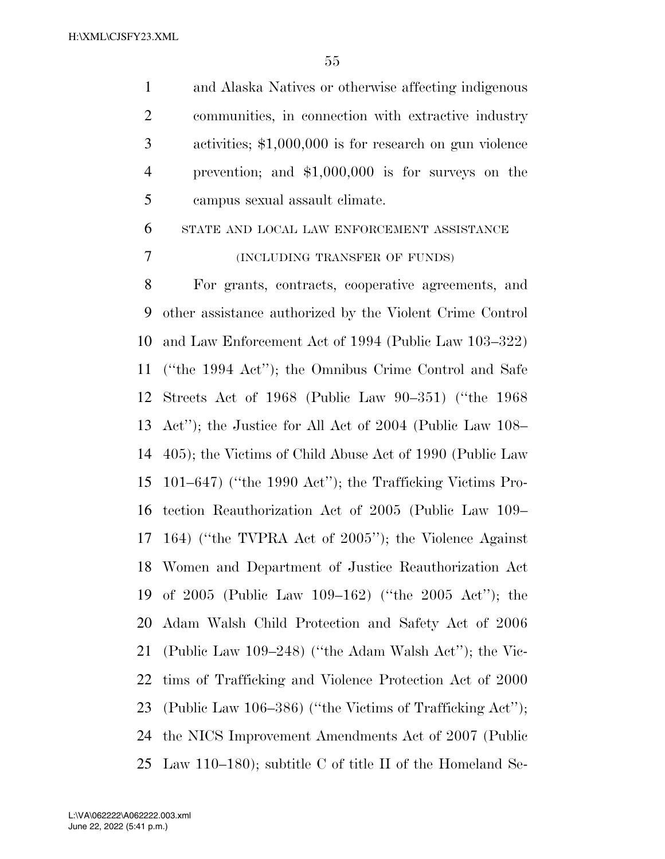and Alaska Natives or otherwise affecting indigenous communities, in connection with extractive industry activities; \$1,000,000 is for research on gun violence prevention; and \$1,000,000 is for surveys on the campus sexual assault climate.

 STATE AND LOCAL LAW ENFORCEMENT ASSISTANCE (INCLUDING TRANSFER OF FUNDS)

 For grants, contracts, cooperative agreements, and other assistance authorized by the Violent Crime Control and Law Enforcement Act of 1994 (Public Law 103–322) (''the 1994 Act''); the Omnibus Crime Control and Safe Streets Act of 1968 (Public Law 90–351) (''the 1968 Act''); the Justice for All Act of 2004 (Public Law 108– 405); the Victims of Child Abuse Act of 1990 (Public Law 101–647) (''the 1990 Act''); the Trafficking Victims Pro- tection Reauthorization Act of 2005 (Public Law 109– 164) (''the TVPRA Act of 2005''); the Violence Against Women and Department of Justice Reauthorization Act of 2005 (Public Law 109–162) (''the 2005 Act''); the Adam Walsh Child Protection and Safety Act of 2006 (Public Law 109–248) (''the Adam Walsh Act''); the Vic- tims of Trafficking and Violence Protection Act of 2000 (Public Law 106–386) (''the Victims of Trafficking Act''); the NICS Improvement Amendments Act of 2007 (Public Law 110–180); subtitle C of title II of the Homeland Se-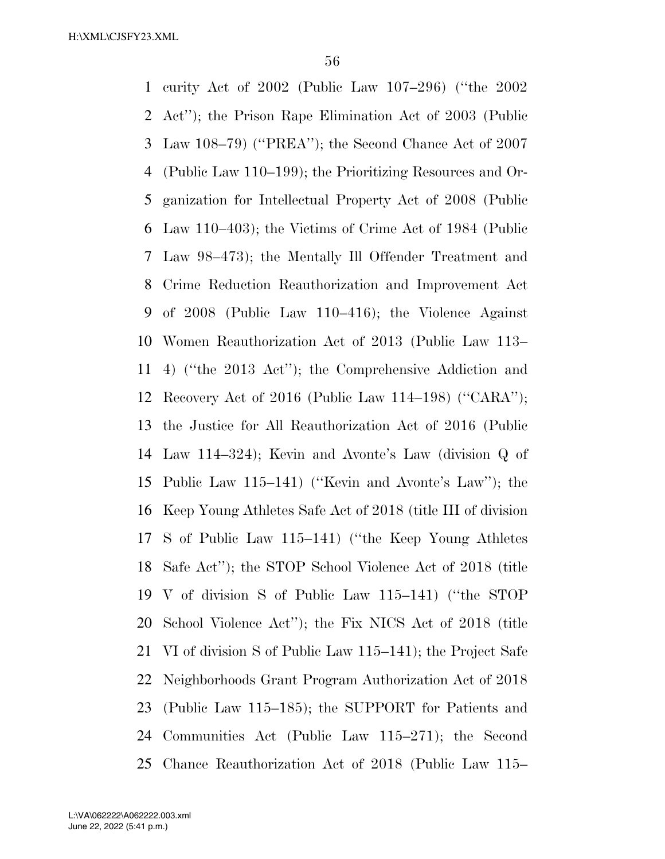curity Act of 2002 (Public Law 107–296) (''the 2002 Act''); the Prison Rape Elimination Act of 2003 (Public Law 108–79) (''PREA''); the Second Chance Act of 2007 (Public Law 110–199); the Prioritizing Resources and Or- ganization for Intellectual Property Act of 2008 (Public Law 110–403); the Victims of Crime Act of 1984 (Public Law 98–473); the Mentally Ill Offender Treatment and Crime Reduction Reauthorization and Improvement Act of 2008 (Public Law 110–416); the Violence Against Women Reauthorization Act of 2013 (Public Law 113– 4) (''the 2013 Act''); the Comprehensive Addiction and Recovery Act of 2016 (Public Law 114–198) (''CARA''); the Justice for All Reauthorization Act of 2016 (Public Law 114–324); Kevin and Avonte's Law (division Q of Public Law 115–141) (''Kevin and Avonte's Law''); the Keep Young Athletes Safe Act of 2018 (title III of division S of Public Law 115–141) (''the Keep Young Athletes Safe Act''); the STOP School Violence Act of 2018 (title V of division S of Public Law 115–141) (''the STOP School Violence Act''); the Fix NICS Act of 2018 (title VI of division S of Public Law 115–141); the Project Safe Neighborhoods Grant Program Authorization Act of 2018 (Public Law 115–185); the SUPPORT for Patients and Communities Act (Public Law 115–271); the Second Chance Reauthorization Act of 2018 (Public Law 115–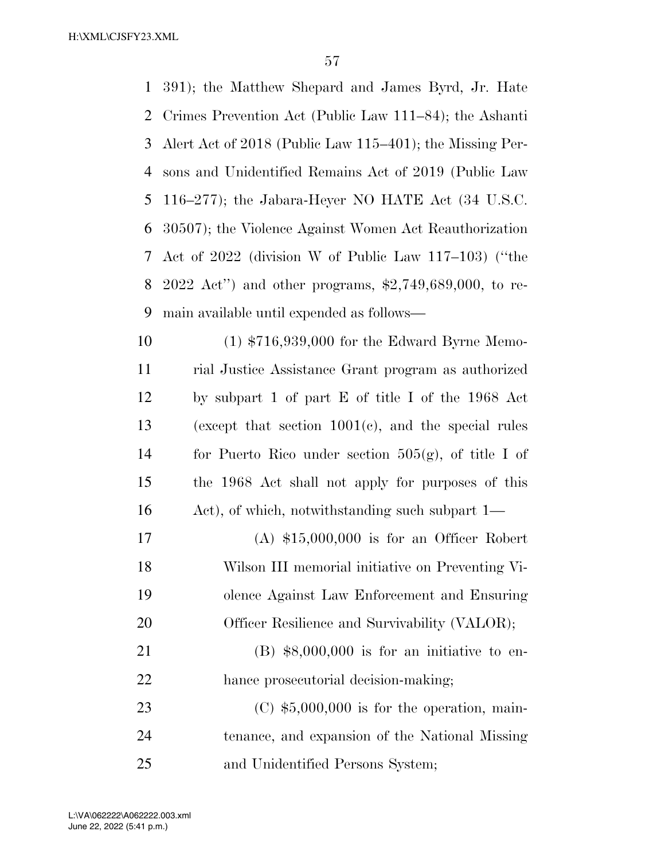391); the Matthew Shepard and James Byrd, Jr. Hate Crimes Prevention Act (Public Law 111–84); the Ashanti Alert Act of 2018 (Public Law 115–401); the Missing Per- sons and Unidentified Remains Act of 2019 (Public Law 116–277); the Jabara-Heyer NO HATE Act (34 U.S.C. 30507); the Violence Against Women Act Reauthorization Act of 2022 (division W of Public Law 117–103) (''the 2022 Act'') and other programs, \$2,749,689,000, to re- main available until expended as follows— (1) \$716,939,000 for the Edward Byrne Memo- rial Justice Assistance Grant program as authorized by subpart 1 of part E of title I of the 1968 Act

 (except that section 1001(c), and the special rules for Puerto Rico under section 505(g), of title I of the 1968 Act shall not apply for purposes of this Act), of which, notwithstanding such subpart 1—

 (A) \$15,000,000 is for an Officer Robert Wilson III memorial initiative on Preventing Vi- olence Against Law Enforcement and Ensuring 20 Officer Resilience and Survivability (VALOR);

 (B) \$8,000,000 is for an initiative to en-22 hance prosecutorial decision-making;

 (C) \$5,000,000 is for the operation, main- tenance, and expansion of the National Missing and Unidentified Persons System;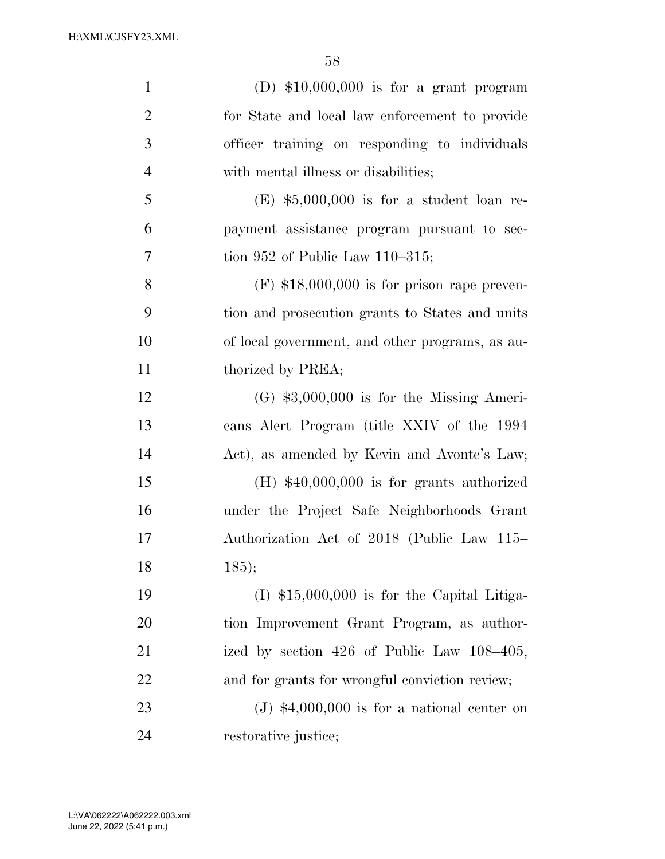| $\mathbf{1}$   | (D) $$10,000,000$ is for a grant program        |
|----------------|-------------------------------------------------|
| $\overline{2}$ | for State and local law enforcement to provide  |
| $\mathfrak{Z}$ | officer training on responding to individuals   |
| $\overline{4}$ | with mental illness or disabilities;            |
| 5              | $(E)$ \$5,000,000 is for a student loan re-     |
| 6              | payment assistance program pursuant to sec-     |
| 7              | tion 952 of Public Law $110-315$ ;              |
| 8              | $(F)$ \$18,000,000 is for prison rape preven-   |
| 9              | tion and prosecution grants to States and units |
| 10             | of local government, and other programs, as au- |
| 11             | thorized by PREA;                               |
| 12             | $(G)$ \$3,000,000 is for the Missing Ameri-     |
| 13             | cans Alert Program (title XXIV of the 1994      |
| 14             | Act), as amended by Kevin and Avonte's Law;     |
| 15             | $(H)$ \$40,000,000 is for grants authorized     |
| 16             | under the Project Safe Neighborhoods Grant      |
| 17             | Authorization Act of 2018 (Public Law 115–      |
| 18             | 185);                                           |
| 19             | $(I)$ \$15,000,000 is for the Capital Litiga-   |
| 20             | tion Improvement Grant Program, as author-      |
| 21             | ized by section 426 of Public Law 108–405,      |
| 22             | and for grants for wrongful conviction review;  |
| 23             | $(J)$ \$4,000,000 is for a national center on   |
| 24             | restorative justice;                            |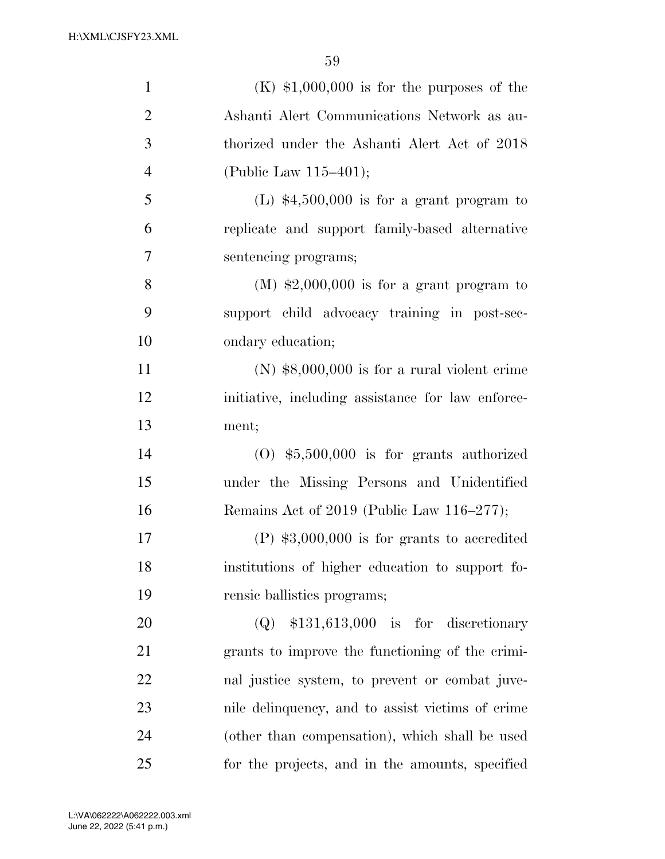| $\mathbf{1}$   | $(K)$ \$1,000,000 is for the purposes of the      |
|----------------|---------------------------------------------------|
| $\overline{2}$ | Ashanti Alert Communications Network as au-       |
| 3              | thorized under the Ashanti Alert Act of 2018      |
| $\overline{4}$ | (Public Law $115-401$ );                          |
| 5              | (L) $$4,500,000$ is for a grant program to        |
| 6              | replicate and support family-based alternative    |
| 7              | sentencing programs;                              |
| 8              | $(M)$ \$2,000,000 is for a grant program to       |
| 9              | support child advocacy training in post-sec-      |
| 10             | ondary education;                                 |
| 11             | $(N)$ \$8,000,000 is for a rural violent crime    |
| 12             | initiative, including assistance for law enforce- |
| 13             | ment;                                             |
| 14             | $(0)$ \$5,500,000 is for grants authorized        |
| 15             | under the Missing Persons and Unidentified        |
| 16             | Remains Act of 2019 (Public Law 116–277);         |
| 17             | $(P)$ \$3,000,000 is for grants to accredited     |
| 18             | institutions of higher education to support fo-   |
| 19             | rensic ballistics programs;                       |
| 20             | $(Q)$ \$131,613,000 is for discretionary          |
| 21             | grants to improve the functioning of the crimi-   |
| 22             | nal justice system, to prevent or combat juve-    |
| 23             | nile delinquency, and to assist victims of crime  |
| 24             | (other than compensation), which shall be used    |
| 25             | for the projects, and in the amounts, specified   |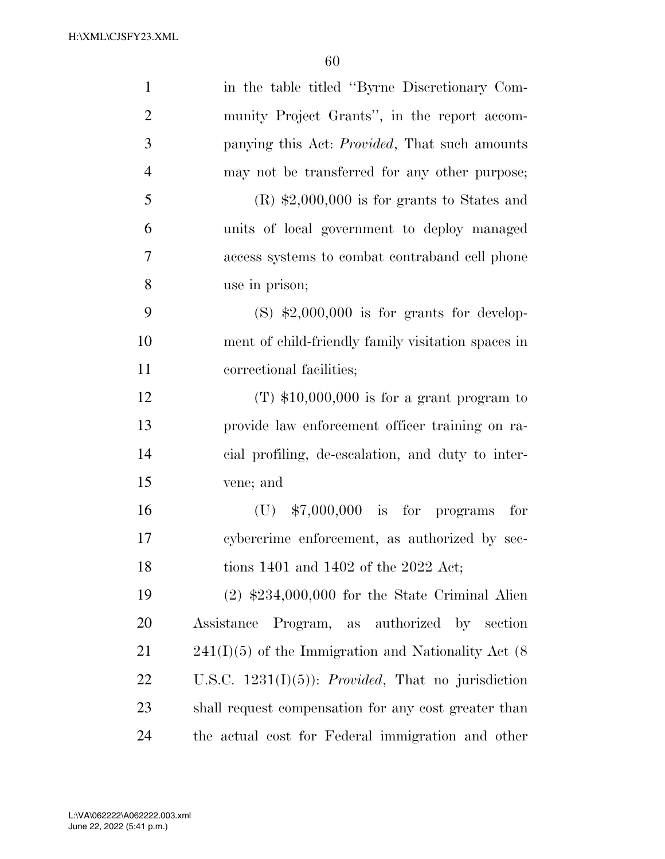| $\mathbf{1}$   | in the table titled "Byrne Discretionary Com-                |
|----------------|--------------------------------------------------------------|
| $\overline{2}$ | munity Project Grants", in the report accom-                 |
| 3              | panying this Act: <i>Provided</i> , That such amounts        |
| $\overline{4}$ | may not be transferred for any other purpose;                |
| 5              | $(R)$ \$2,000,000 is for grants to States and                |
| 6              | units of local government to deploy managed                  |
| 7              | access systems to combat contraband cell phone               |
| 8              | use in prison;                                               |
| 9              | $(S)$ \$2,000,000 is for grants for develop-                 |
| 10             | ment of child-friendly family visitation spaces in           |
| 11             | correctional facilities;                                     |
| 12             | $(T)$ \$10,000,000 is for a grant program to                 |
| 13             | provide law enforcement officer training on ra-              |
| 14             | cial profiling, de-escalation, and duty to inter-            |
| 15             | vene; and                                                    |
| 16             | $(U)$ \$7,000,000 is for programs<br>for                     |
| 17             | cybercrime enforcement, as authorized by sec-                |
| 18             | tions 1401 and 1402 of the 2022 Act;                         |
| 19             | $(2)$ \$234,000,000 for the State Criminal Alien             |
| 20             | Assistance Program, as authorized by section                 |
| 21             | $241(I)(5)$ of the Immigration and Nationality Act (8)       |
| 22             | U.S.C. $1231(I)(5)$ : <i>Provided</i> , That no jurisdiction |
| 23             | shall request compensation for any cost greater than         |
| 24             | the actual cost for Federal immigration and other            |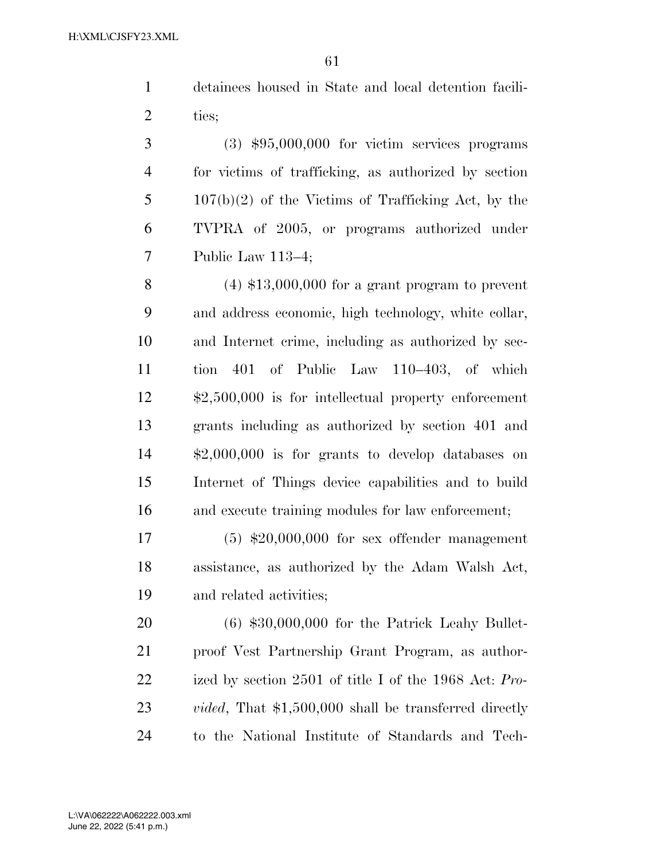detainees housed in State and local detention facili-2 ties;

 (3) \$95,000,000 for victim services programs for victims of trafficking, as authorized by section 107(b)(2) of the Victims of Trafficking Act, by the TVPRA of 2005, or programs authorized under Public Law 113–4;

 (4) \$13,000,000 for a grant program to prevent and address economic, high technology, white collar, and Internet crime, including as authorized by sec- tion 401 of Public Law 110–403, of which \$2,500,000 is for intellectual property enforcement grants including as authorized by section 401 and \$2,000,000 is for grants to develop databases on Internet of Things device capabilities and to build and execute training modules for law enforcement;

 (5) \$20,000,000 for sex offender management assistance, as authorized by the Adam Walsh Act, and related activities;

 (6) \$30,000,000 for the Patrick Leahy Bullet- proof Vest Partnership Grant Program, as author- ized by section 2501 of title I of the 1968 Act: *Pro- vided*, That \$1,500,000 shall be transferred directly to the National Institute of Standards and Tech-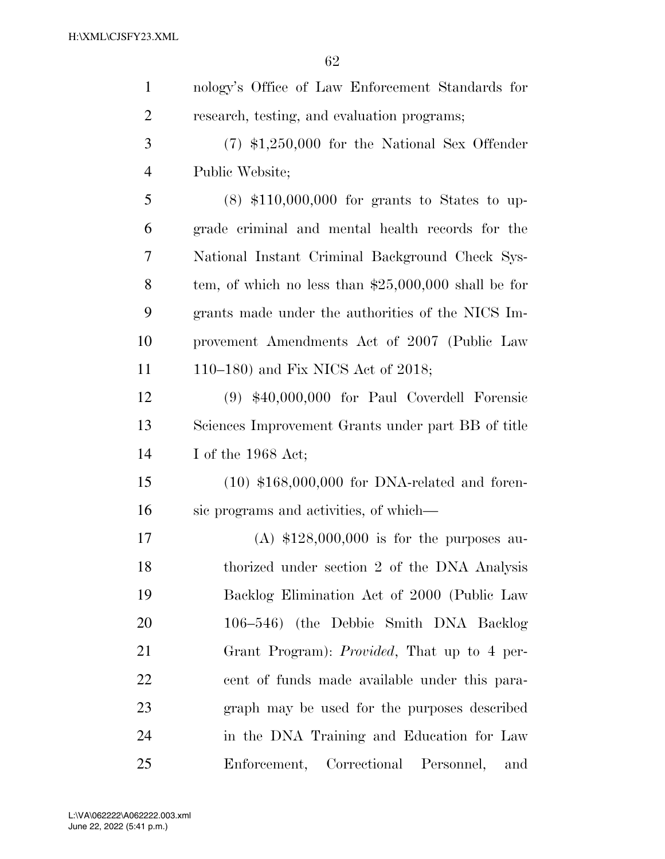| $\mathbf{1}$   | nology's Office of Law Enforcement Standards for      |
|----------------|-------------------------------------------------------|
| $\overline{2}$ | research, testing, and evaluation programs;           |
| 3              | $(7)$ \$1,250,000 for the National Sex Offender       |
| $\overline{4}$ | Public Website;                                       |
| 5              | $(8)$ \$110,000,000 for grants to States to up-       |
| 6              | grade criminal and mental health records for the      |
| $\overline{7}$ | National Instant Criminal Background Check Sys-       |
| 8              | tem, of which no less than $$25,000,000$ shall be for |
| 9              | grants made under the authorities of the NICS Im-     |
| 10             | provement Amendments Act of 2007 (Public Law          |
| 11             | 110–180) and Fix NICS Act of 2018;                    |
| 12             | $(9)$ \$40,000,000 for Paul Coverdell Forensic        |
| 13             | Sciences Improvement Grants under part BB of title    |
| 14             | I of the $1968$ Act;                                  |
| 15             | $(10)$ \$168,000,000 for DNA-related and foren-       |
| 16             | sic programs and activities, of which—                |
| 17             | (A) $$128,000,000$ is for the purposes au-            |
| 18             | thorized under section 2 of the DNA Analysis          |
| 19             | Backlog Elimination Act of 2000 (Public Law           |
| 20             | 106–546) (the Debbie Smith DNA Backlog                |
| 21             | Grant Program): <i>Provided</i> , That up to 4 per-   |
| 22             | cent of funds made available under this para-         |
| 23             | graph may be used for the purposes described          |
| 24             | in the DNA Training and Education for Law             |
| 25             | Enforcement, Correctional Personnel,<br>and           |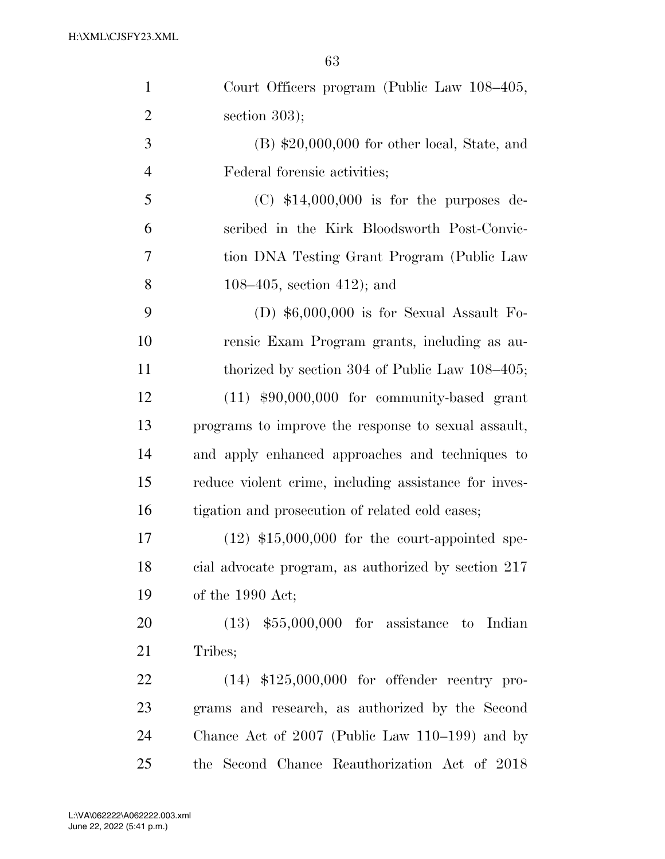| $\mathbf{1}$   | Court Officers program (Public Law 108–405,           |
|----------------|-------------------------------------------------------|
| $\overline{2}$ | section $303$ ;                                       |
| 3              | $(B)$ \$20,000,000 for other local, State, and        |
| $\overline{4}$ | Federal forensic activities;                          |
| 5              | $(C)$ \$14,000,000 is for the purposes de-            |
| 6              | scribed in the Kirk Bloodsworth Post-Convic-          |
| 7              | tion DNA Testing Grant Program (Public Law            |
| 8              | 108–405, section 412); and                            |
| 9              | (D) $$6,000,000$ is for Sexual Assault Fo-            |
| 10             | rensic Exam Program grants, including as au-          |
| 11             | thorized by section $304$ of Public Law $108-405$ ;   |
| 12             | $(11)$ \$90,000,000 for community-based grant         |
| 13             | programs to improve the response to sexual assault,   |
| 14             | and apply enhanced approaches and techniques to       |
| 15             | reduce violent crime, including assistance for inves- |
| 16             | tigation and prosecution of related cold cases;       |
| 17             | $(12)$ \$15,000,000 for the court-appointed spe-      |
| 18             | cial advocate program, as authorized by section 217   |
| 19             | of the 1990 Act;                                      |
| 20             | $(13)$ \$55,000,000 for assistance to Indian          |
| 21             | Tribes;                                               |
| 22             | $(14)$ \$125,000,000 for offender reentry pro-        |
| 23             | grams and research, as authorized by the Second       |
| 24             | Chance Act of $2007$ (Public Law $110-199$ ) and by   |
| 25             | the Second Chance Reauthorization Act of 2018         |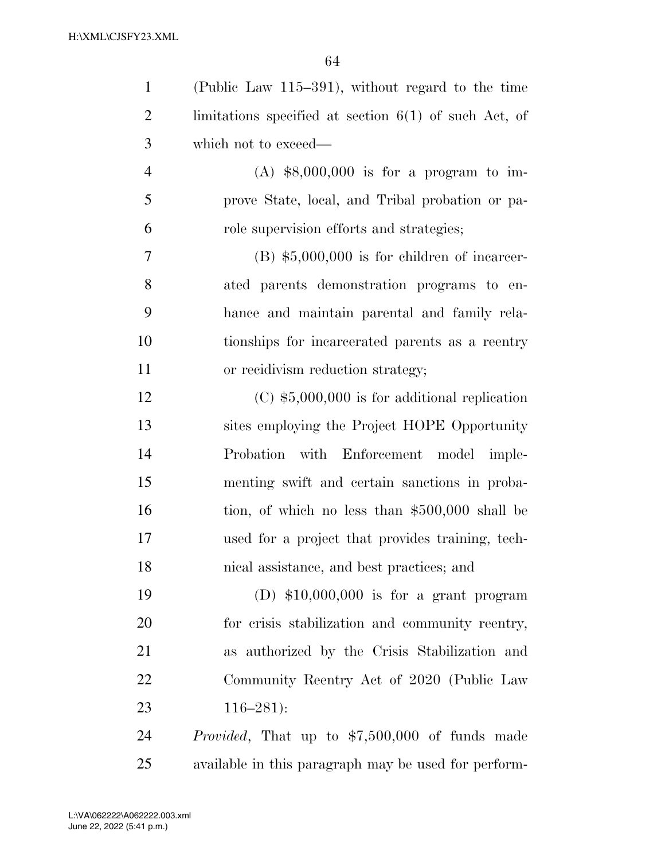| $\mathbf{1}$   | (Public Law $115-391$ ), without regard to the time     |
|----------------|---------------------------------------------------------|
| $\overline{2}$ | limitations specified at section $6(1)$ of such Act, of |
| 3              | which not to exceed—                                    |
| $\overline{4}$ | $(A)$ \$8,000,000 is for a program to im-               |
| 5              | prove State, local, and Tribal probation or pa-         |
| 6              | role supervision efforts and strategies;                |
| 7              | $(B)$ \$5,000,000 is for children of incarcer-          |
| 8              | ated parents demonstration programs to en-              |
| 9              | hance and maintain parental and family rela-            |
| 10             | tionships for incarcerated parents as a reentry         |
| 11             | or recidivism reduction strategy;                       |
| 12             | $(C)$ \$5,000,000 is for additional replication         |
| 13             | sites employing the Project HOPE Opportunity            |
| 14             | with<br>Enforcement model imple-<br>Probation           |
| 15             | menting swift and certain sanctions in proba-           |
| 16             | tion, of which no less than \$500,000 shall be          |
| 17             | used for a project that provides training, tech-        |
| 18             | nical assistance, and best practices; and               |
| 19             | (D) $$10,000,000$ is for a grant program                |
| 20             | for crisis stabilization and community reentry,         |
| 21             | as authorized by the Crisis Stabilization and           |
| 22             | Community Reentry Act of 2020 (Public Law               |
| 23             | $116 - 281$ :                                           |
| 24             | <i>Provided</i> , That up to \$7,500,000 of funds made  |
| 25             | available in this paragraph may be used for perform-    |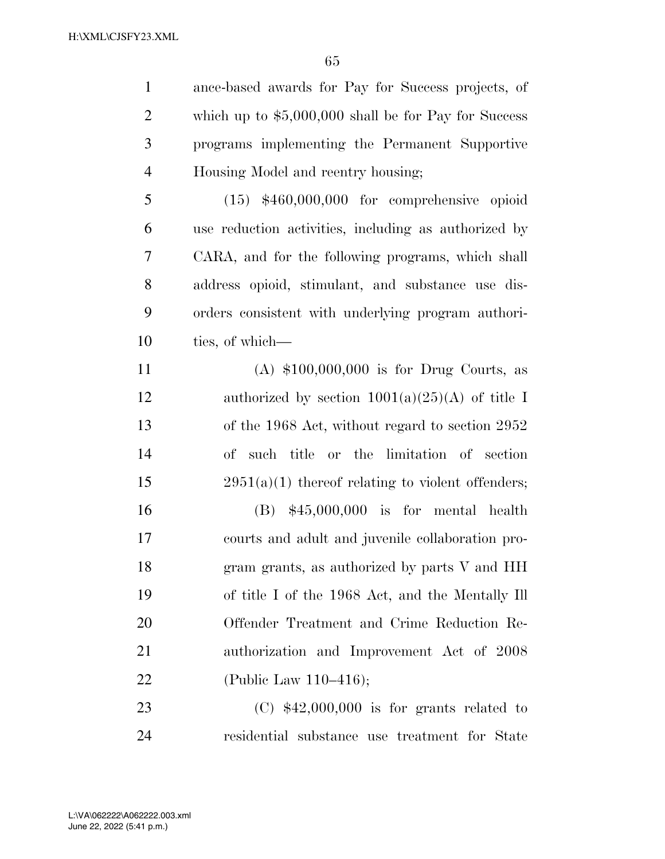ance-based awards for Pay for Success projects, of which up to \$5,000,000 shall be for Pay for Success programs implementing the Permanent Supportive Housing Model and reentry housing; (15) \$460,000,000 for comprehensive opioid use reduction activities, including as authorized by CARA, and for the following programs, which shall address opioid, stimulant, and substance use dis- orders consistent with underlying program authori- ties, of which— (A) \$100,000,000 is for Drug Courts, as 12 authorized by section  $1001(a)(25)(A)$  of title I of the 1968 Act, without regard to section 2952 of such title or the limitation of section 15 2951(a)(1) thereof relating to violent offenders; (B) \$45,000,000 is for mental health courts and adult and juvenile collaboration pro-18 gram grants, as authorized by parts V and HH of title I of the 1968 Act, and the Mentally Ill Offender Treatment and Crime Reduction Re- authorization and Improvement Act of 2008 (Public Law 110–416); (C) \$42,000,000 is for grants related to residential substance use treatment for State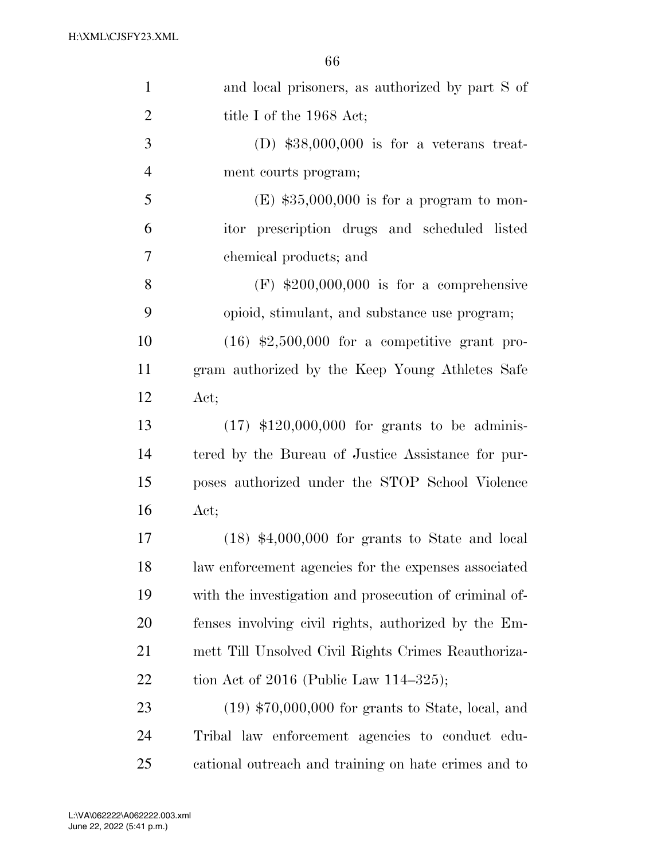| $\mathbf{1}$   | and local prisoners, as authorized by part S of        |
|----------------|--------------------------------------------------------|
| $\overline{2}$ | title I of the 1968 Act;                               |
| 3              | (D) $$38,000,000$ is for a veterans treat-             |
| $\overline{4}$ | ment courts program;                                   |
| 5              | $(E)$ \$35,000,000 is for a program to mon-            |
| 6              | itor prescription drugs and scheduled listed           |
| 7              | chemical products; and                                 |
| 8              | $(F)$ \$200,000,000 is for a comprehensive             |
| 9              | opioid, stimulant, and substance use program;          |
| 10             | $(16)$ \$2,500,000 for a competitive grant pro-        |
| 11             | gram authorized by the Keep Young Athletes Safe        |
| 12             | Act;                                                   |
| 13             | $(17)$ \$120,000,000 for grants to be adminis-         |
| 14             | tered by the Bureau of Justice Assistance for pur-     |
| 15             | poses authorized under the STOP School Violence        |
| 16             | Act;                                                   |
| 17             | $(18)$ \$4,000,000 for grants to State and local       |
| 18             | law enforcement agencies for the expenses associated   |
| 19             | with the investigation and prosecution of criminal of- |
| 20             | fenses involving civil rights, authorized by the Em-   |
| 21             | mett Till Unsolved Civil Rights Crimes Reauthoriza-    |
| 22             | tion Act of 2016 (Public Law $114-325$ );              |
| 23             | $(19)$ \$70,000,000 for grants to State, local, and    |
| 24             | Tribal law enforcement agencies to conduct edu-        |
| 25             | cational outreach and training on hate crimes and to   |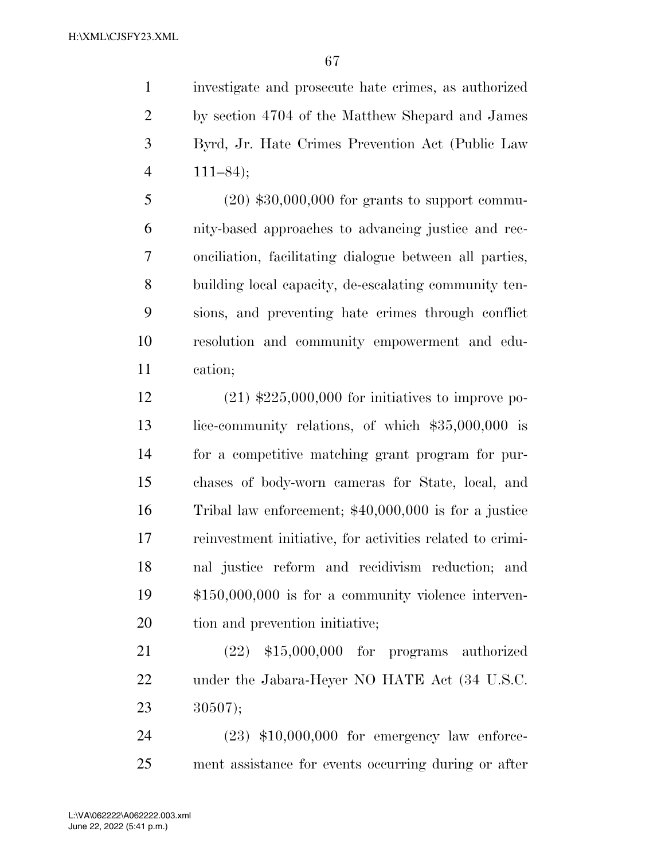investigate and prosecute hate crimes, as authorized by section 4704 of the Matthew Shepard and James Byrd, Jr. Hate Crimes Prevention Act (Public Law 111–84);

 (20) \$30,000,000 for grants to support commu- nity-based approaches to advancing justice and rec- onciliation, facilitating dialogue between all parties, building local capacity, de-escalating community ten- sions, and preventing hate crimes through conflict resolution and community empowerment and edu-cation;

 (21) \$225,000,000 for initiatives to improve po- lice-community relations, of which \$35,000,000 is for a competitive matching grant program for pur- chases of body-worn cameras for State, local, and Tribal law enforcement; \$40,000,000 is for a justice reinvestment initiative, for activities related to crimi- nal justice reform and recidivism reduction; and \$150,000,000 is for a community violence interven-tion and prevention initiative;

 (22) \$15,000,000 for programs authorized 22 under the Jabara-Heyer NO HATE Act (34 U.S.C. 30507);

 (23) \$10,000,000 for emergency law enforce-ment assistance for events occurring during or after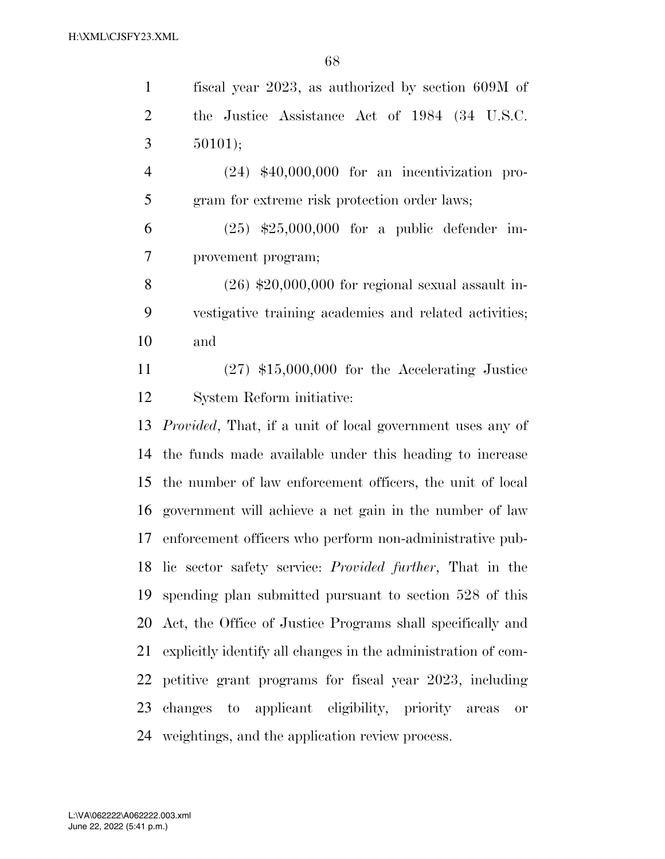| $\mathbf{1}$   | fiscal year 2023, as authorized by section 609M of                |
|----------------|-------------------------------------------------------------------|
| $\overline{2}$ | the Justice Assistance Act of 1984 (34 U.S.C.                     |
| 3              | 50101);                                                           |
| $\overline{4}$ | $(24)$ \$40,000,000 for an incentivization pro-                   |
| 5              | gram for extreme risk protection order laws;                      |
| 6              | $(25)$ \$25,000,000 for a public defender im-                     |
| 7              | provement program;                                                |
| 8              | $(26)$ \$20,000,000 for regional sexual assault in-               |
| 9              | vestigative training academies and related activities;            |
| 10             | and                                                               |
| 11             | $(27)$ \$15,000,000 for the Accelerating Justice                  |
| 12             | System Reform initiative:                                         |
| 13             | <i>Provided</i> , That, if a unit of local government uses any of |
| 14             | the funds made available under this heading to increase           |
| 15             | the number of law enforcement officers, the unit of local         |
| 16             | government will achieve a net gain in the number of law           |
| 17             | enforcement officers who perform non-administrative pub-          |
| 18             | lic sector safety service: <i>Provided further</i> , That in the  |
| 19             | spending plan submitted pursuant to section 528 of this           |
| 20             | Act, the Office of Justice Programs shall specifically and        |
| 21             | explicitly identify all changes in the administration of com-     |
| 22             | petitive grant programs for fiscal year 2023, including           |
| 23             | changes to applicant eligibility, priority<br>areas<br><b>or</b>  |
| 24             | weightings, and the application review process.                   |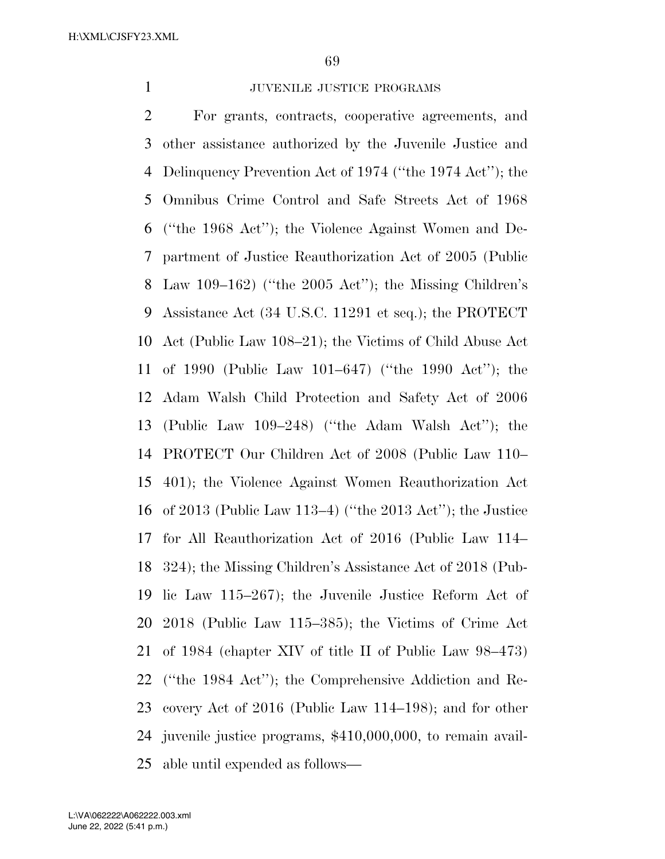## 1 JUVENILE JUSTICE PROGRAMS

 For grants, contracts, cooperative agreements, and other assistance authorized by the Juvenile Justice and Delinquency Prevention Act of 1974 (''the 1974 Act''); the Omnibus Crime Control and Safe Streets Act of 1968 (''the 1968 Act''); the Violence Against Women and De- partment of Justice Reauthorization Act of 2005 (Public Law 109–162) (''the 2005 Act''); the Missing Children's Assistance Act (34 U.S.C. 11291 et seq.); the PROTECT Act (Public Law 108–21); the Victims of Child Abuse Act of 1990 (Public Law 101–647) (''the 1990 Act''); the Adam Walsh Child Protection and Safety Act of 2006 (Public Law 109–248) (''the Adam Walsh Act''); the PROTECT Our Children Act of 2008 (Public Law 110– 401); the Violence Against Women Reauthorization Act of 2013 (Public Law 113–4) (''the 2013 Act''); the Justice for All Reauthorization Act of 2016 (Public Law 114– 324); the Missing Children's Assistance Act of 2018 (Pub- lic Law 115–267); the Juvenile Justice Reform Act of 2018 (Public Law 115–385); the Victims of Crime Act of 1984 (chapter XIV of title II of Public Law 98–473) (''the 1984 Act''); the Comprehensive Addiction and Re- covery Act of 2016 (Public Law 114–198); and for other juvenile justice programs, \$410,000,000, to remain avail-able until expended as follows—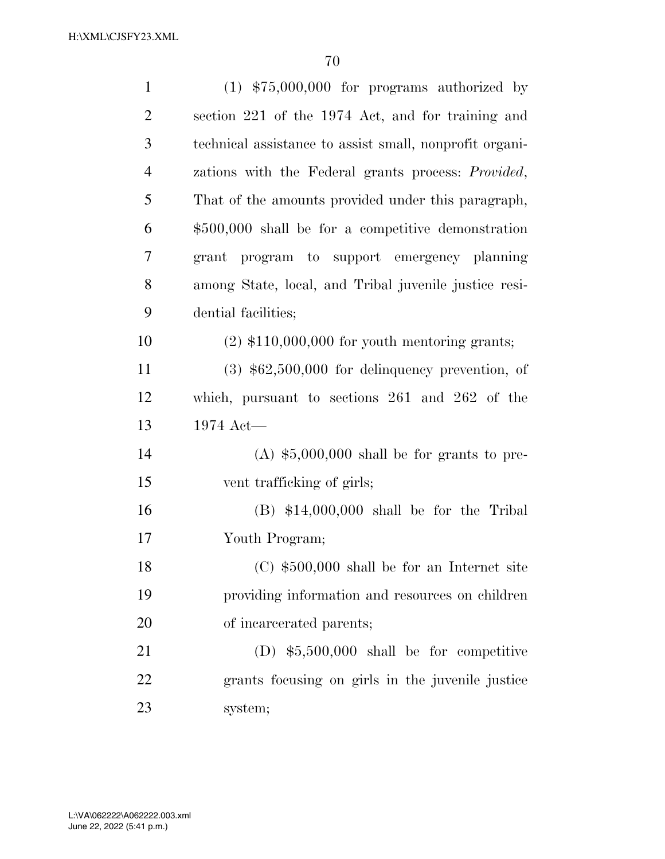| $\mathbf{1}$   | $(1)$ \$75,000,000 for programs authorized by              |
|----------------|------------------------------------------------------------|
| $\overline{2}$ | section 221 of the 1974 Act, and for training and          |
| 3              | technical assistance to assist small, nonprofit organi-    |
| $\overline{4}$ | zations with the Federal grants process: <i>Provided</i> , |
| 5              | That of the amounts provided under this paragraph,         |
| 6              | $$500,000$ shall be for a competitive demonstration        |
| $\overline{7}$ | grant program to support emergency planning                |
| 8              | among State, local, and Tribal juvenile justice resi-      |
| 9              | dential facilities;                                        |
| 10             | $(2)$ \$110,000,000 for youth mentoring grants;            |
| 11             | $(3)$ \$62,500,000 for delinquency prevention, of          |
| 12             | which, pursuant to sections $261$ and $262$ of the         |
| 13             | $1974$ Act—                                                |
| 14             | $(A)$ \$5,000,000 shall be for grants to pre-              |
| 15             | vent trafficking of girls;                                 |
| 16             | $(B)$ \$14,000,000 shall be for the Tribal                 |
| 17             | Youth Program;                                             |
| 18             | $(C)$ \$500,000 shall be for an Internet site              |
| 19             | providing information and resources on children            |
| <b>20</b>      | of incarcerated parents;                                   |
| 21             | (D) $$5,500,000$ shall be for competitive                  |
| 22             | grants focusing on girls in the juvenile justice           |
| 23             | system;                                                    |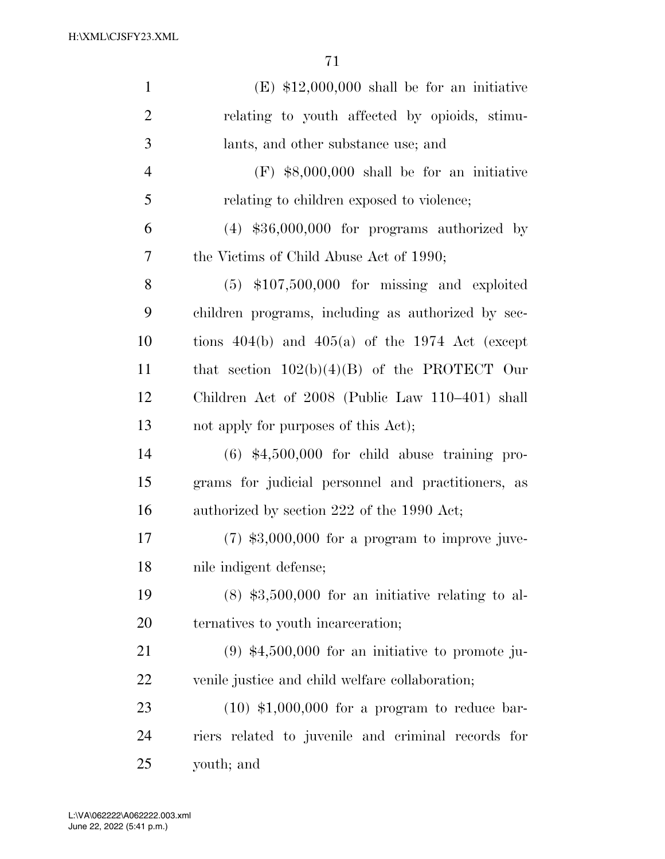| $\mathbf{1}$   | $(E)$ \$12,000,000 shall be for an initiative       |
|----------------|-----------------------------------------------------|
| $\overline{2}$ | relating to youth affected by opioids, stimu-       |
| 3              | lants, and other substance use; and                 |
| $\overline{4}$ | $(F)$ \$8,000,000 shall be for an initiative        |
| 5              | relating to children exposed to violence;           |
| 6              | $(4)$ \$36,000,000 for programs authorized by       |
| 7              | the Victims of Child Abuse Act of 1990;             |
| 8              | $(5)$ \$107,500,000 for missing and exploited       |
| 9              | children programs, including as authorized by sec-  |
| 10             | tions $404(b)$ and $405(a)$ of the 1974 Act (except |
| 11             | that section $102(b)(4)(B)$ of the PROTECT Our      |
| 12             | Children Act of 2008 (Public Law 110-401) shall     |
| 13             | not apply for purposes of this Act);                |
| 14             | $(6)$ \$4,500,000 for child abuse training pro-     |
| 15             | grams for judicial personnel and practitioners, as  |
| 16             | authorized by section 222 of the 1990 Act;          |
| 17             | $(7)$ \$3,000,000 for a program to improve juve-    |
| 18             | nile indigent defense;                              |
| 19             | $(8)$ \$3,500,000 for an initiative relating to al- |
| 20             | ternatives to youth incarceration;                  |
| 21             | $(9)$ \$4,500,000 for an initiative to promote ju-  |
| 22             | venile justice and child welfare collaboration;     |
| 23             | $(10)$ \$1,000,000 for a program to reduce bar-     |
| 24             | riers related to juvenile and criminal records for  |
| 25             | youth; and                                          |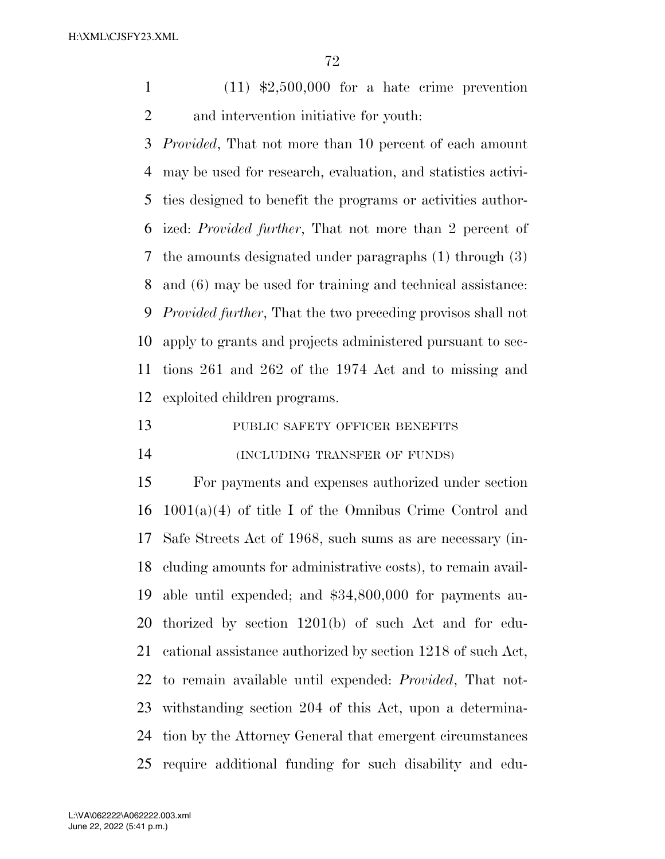(11) \$2,500,000 for a hate crime prevention and intervention initiative for youth:

 *Provided*, That not more than 10 percent of each amount may be used for research, evaluation, and statistics activi- ties designed to benefit the programs or activities author- ized: *Provided further*, That not more than 2 percent of the amounts designated under paragraphs (1) through (3) and (6) may be used for training and technical assistance: *Provided further*, That the two preceding provisos shall not apply to grants and projects administered pursuant to sec- tions 261 and 262 of the 1974 Act and to missing and exploited children programs.

13 PUBLIC SAFETY OFFICER BENEFITS

(INCLUDING TRANSFER OF FUNDS)

 For payments and expenses authorized under section  $1001(a)(4)$  of title I of the Omnibus Crime Control and Safe Streets Act of 1968, such sums as are necessary (in- cluding amounts for administrative costs), to remain avail- able until expended; and \$34,800,000 for payments au- thorized by section 1201(b) of such Act and for edu- cational assistance authorized by section 1218 of such Act, to remain available until expended: *Provided*, That not- withstanding section 204 of this Act, upon a determina- tion by the Attorney General that emergent circumstances require additional funding for such disability and edu-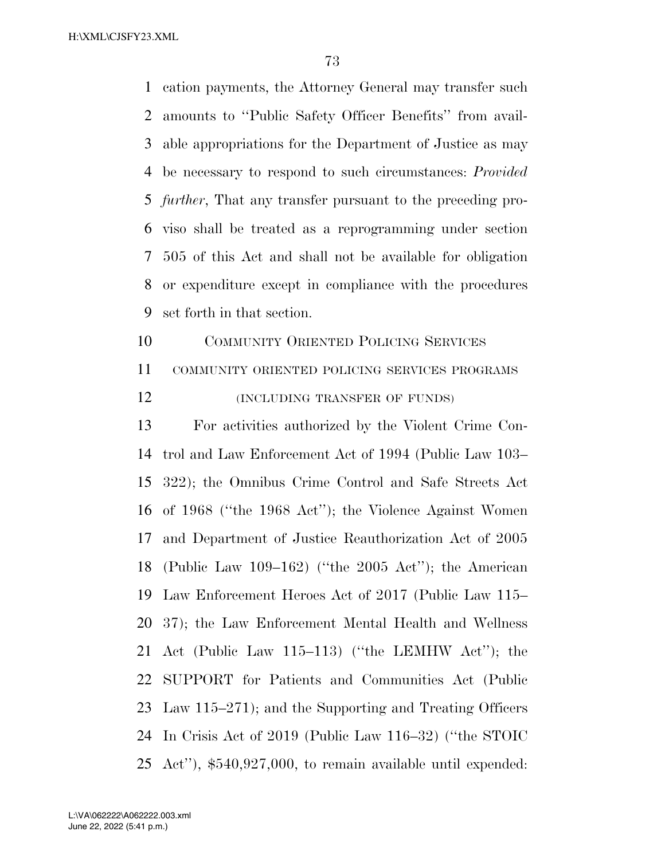cation payments, the Attorney General may transfer such amounts to ''Public Safety Officer Benefits'' from avail- able appropriations for the Department of Justice as may be necessary to respond to such circumstances: *Provided further*, That any transfer pursuant to the preceding pro- viso shall be treated as a reprogramming under section 505 of this Act and shall not be available for obligation or expenditure except in compliance with the procedures set forth in that section.

 COMMUNITY ORIENTED POLICING SERVICES COMMUNITY ORIENTED POLICING SERVICES PROGRAMS **(INCLUDING TRANSFER OF FUNDS)** 

 For activities authorized by the Violent Crime Con- trol and Law Enforcement Act of 1994 (Public Law 103– 322); the Omnibus Crime Control and Safe Streets Act of 1968 (''the 1968 Act''); the Violence Against Women and Department of Justice Reauthorization Act of 2005 (Public Law 109–162) (''the 2005 Act''); the American Law Enforcement Heroes Act of 2017 (Public Law 115– 37); the Law Enforcement Mental Health and Wellness Act (Public Law 115–113) (''the LEMHW Act''); the SUPPORT for Patients and Communities Act (Public Law 115–271); and the Supporting and Treating Officers In Crisis Act of 2019 (Public Law 116–32) (''the STOIC Act''), \$540,927,000, to remain available until expended: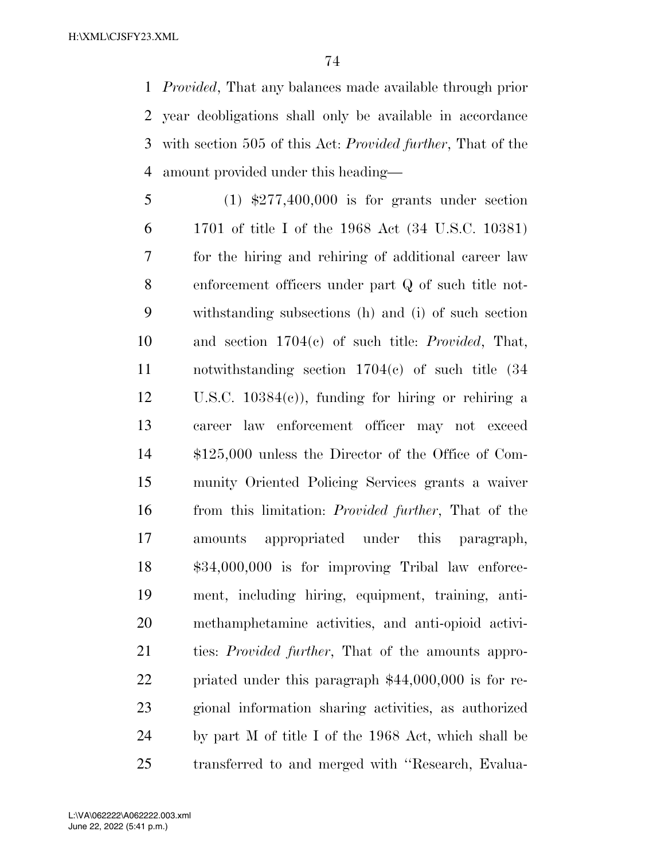*Provided*, That any balances made available through prior year deobligations shall only be available in accordance with section 505 of this Act: *Provided further*, That of the amount provided under this heading—

 (1) \$277,400,000 is for grants under section 1701 of title I of the 1968 Act (34 U.S.C. 10381) for the hiring and rehiring of additional career law enforcement officers under part Q of such title not- withstanding subsections (h) and (i) of such section and section 1704(c) of such title: *Provided*, That, notwithstanding section 1704(c) of such title (34 U.S.C. 10384(c)), funding for hiring or rehiring a career law enforcement officer may not exceed \$125,000 unless the Director of the Office of Com- munity Oriented Policing Services grants a waiver from this limitation: *Provided further*, That of the amounts appropriated under this paragraph, \$34,000,000 is for improving Tribal law enforce- ment, including hiring, equipment, training, anti- methamphetamine activities, and anti-opioid activi- ties: *Provided further*, That of the amounts appro- priated under this paragraph \$44,000,000 is for re- gional information sharing activities, as authorized by part M of title I of the 1968 Act, which shall be transferred to and merged with ''Research, Evalua-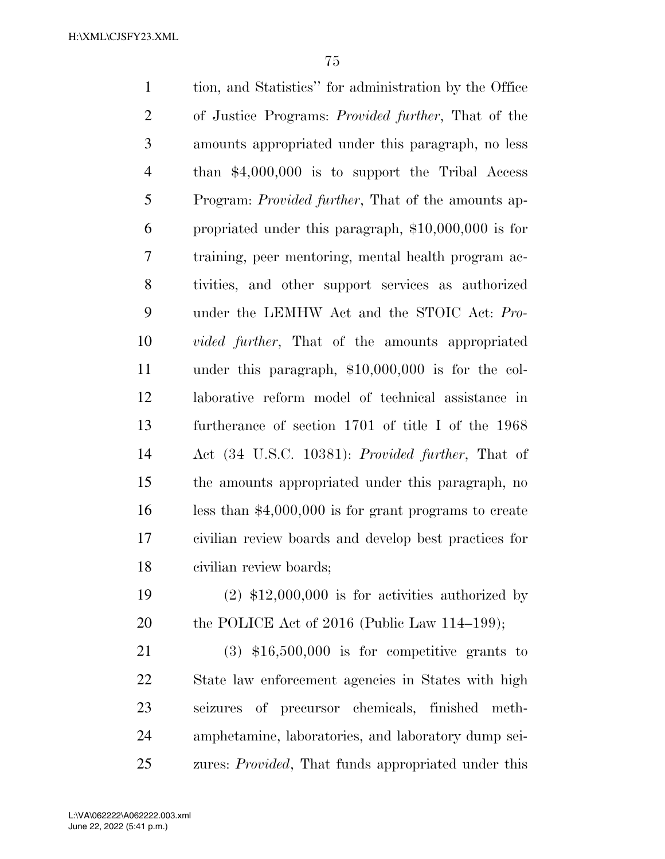tion, and Statistics'' for administration by the Office of Justice Programs: *Provided further*, That of the amounts appropriated under this paragraph, no less than \$4,000,000 is to support the Tribal Access Program: *Provided further*, That of the amounts ap- propriated under this paragraph, \$10,000,000 is for training, peer mentoring, mental health program ac- tivities, and other support services as authorized under the LEMHW Act and the STOIC Act: *Pro- vided further*, That of the amounts appropriated under this paragraph, \$10,000,000 is for the col- laborative reform model of technical assistance in furtherance of section 1701 of title I of the 1968 Act (34 U.S.C. 10381): *Provided further*, That of the amounts appropriated under this paragraph, no less than \$4,000,000 is for grant programs to create civilian review boards and develop best practices for civilian review boards;

19  $(2)$  \$12,000,000 is for activities authorized by 20 the POLICE Act of 2016 (Public Law 114–199);

 (3) \$16,500,000 is for competitive grants to State law enforcement agencies in States with high seizures of precursor chemicals, finished meth- amphetamine, laboratories, and laboratory dump sei-zures: *Provided*, That funds appropriated under this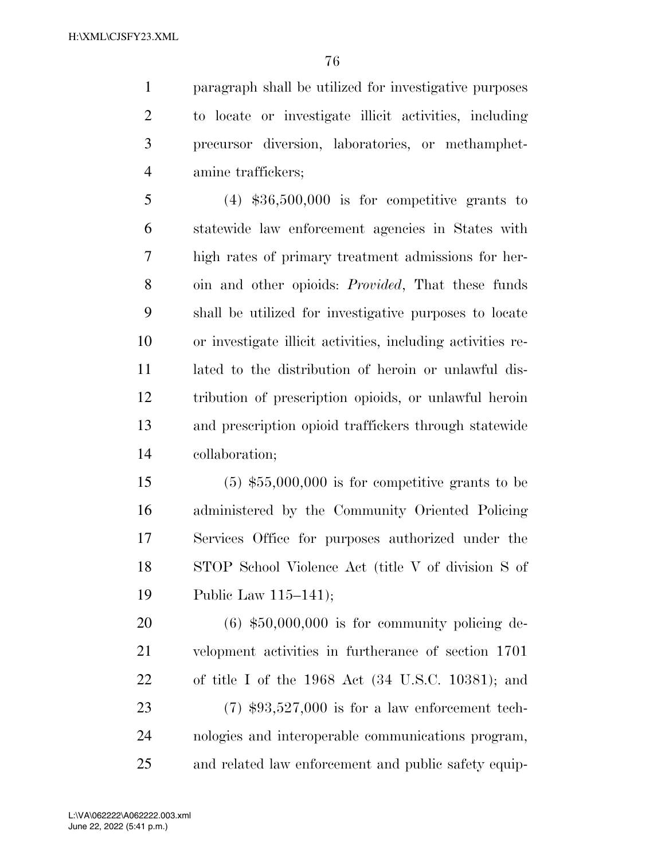paragraph shall be utilized for investigative purposes to locate or investigate illicit activities, including precursor diversion, laboratories, or methamphet-amine traffickers;

 (4) \$36,500,000 is for competitive grants to statewide law enforcement agencies in States with high rates of primary treatment admissions for her- oin and other opioids: *Provided*, That these funds shall be utilized for investigative purposes to locate or investigate illicit activities, including activities re- lated to the distribution of heroin or unlawful dis- tribution of prescription opioids, or unlawful heroin and prescription opioid traffickers through statewide collaboration;

 (5) \$55,000,000 is for competitive grants to be administered by the Community Oriented Policing Services Office for purposes authorized under the STOP School Violence Act (title V of division S of Public Law 115–141);

 (6) \$50,000,000 is for community policing de- velopment activities in furtherance of section 1701 of title I of the 1968 Act (34 U.S.C. 10381); and (7) \$93,527,000 is for a law enforcement tech- nologies and interoperable communications program, and related law enforcement and public safety equip-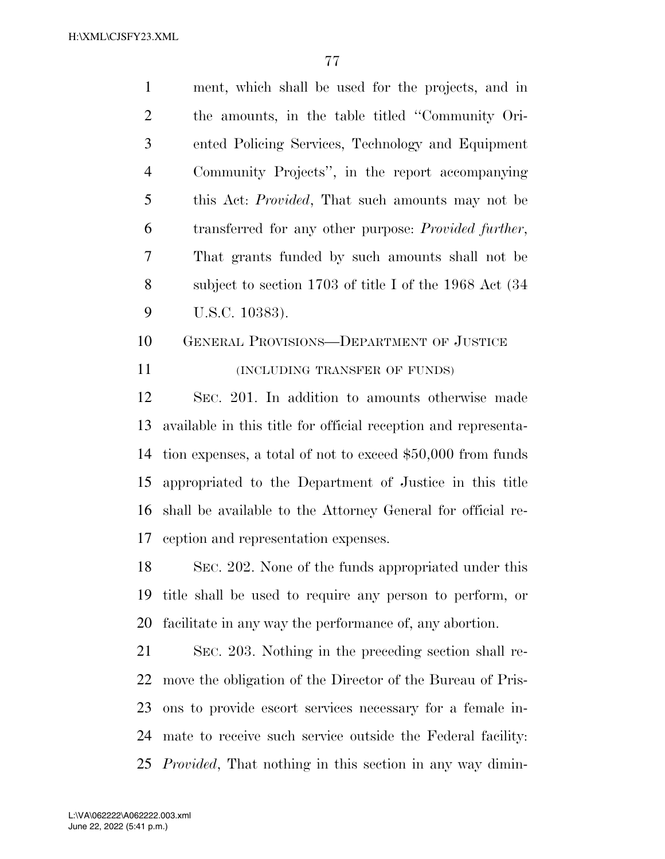ment, which shall be used for the projects, and in the amounts, in the table titled ''Community Ori- ented Policing Services, Technology and Equipment Community Projects'', in the report accompanying this Act: *Provided*, That such amounts may not be transferred for any other purpose: *Provided further*, That grants funded by such amounts shall not be subject to section 1703 of title I of the 1968 Act (34 U.S.C. 10383).

# GENERAL PROVISIONS—DEPARTMENT OF JUSTICE **INCLUDING TRANSFER OF FUNDS**)

 SEC. 201. In addition to amounts otherwise made available in this title for official reception and representa- tion expenses, a total of not to exceed \$50,000 from funds appropriated to the Department of Justice in this title shall be available to the Attorney General for official re-ception and representation expenses.

 SEC. 202. None of the funds appropriated under this title shall be used to require any person to perform, or facilitate in any way the performance of, any abortion.

 SEC. 203. Nothing in the preceding section shall re- move the obligation of the Director of the Bureau of Pris- ons to provide escort services necessary for a female in- mate to receive such service outside the Federal facility: *Provided*, That nothing in this section in any way dimin-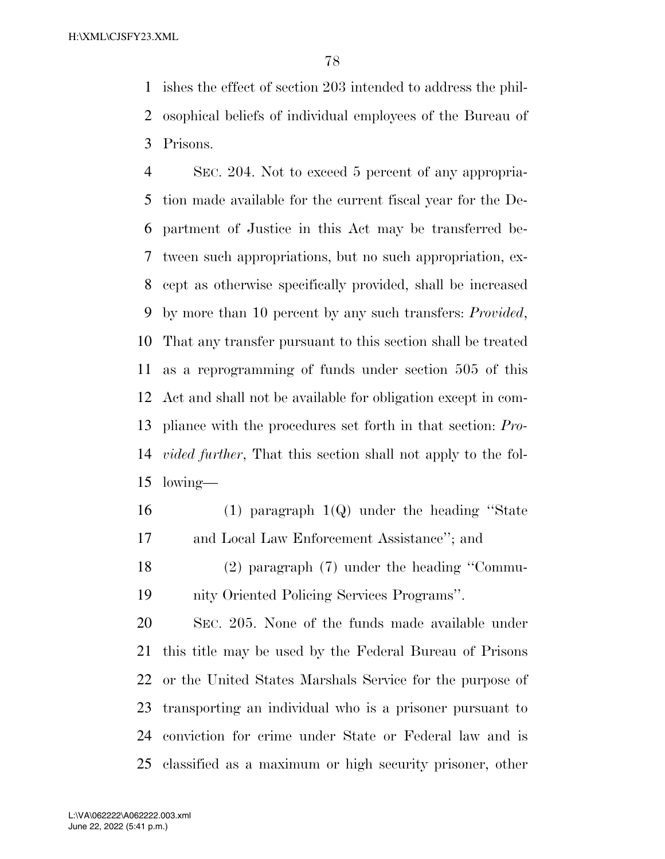ishes the effect of section 203 intended to address the phil- osophical beliefs of individual employees of the Bureau of Prisons.

 SEC. 204. Not to exceed 5 percent of any appropria- tion made available for the current fiscal year for the De- partment of Justice in this Act may be transferred be- tween such appropriations, but no such appropriation, ex- cept as otherwise specifically provided, shall be increased by more than 10 percent by any such transfers: *Provided*, That any transfer pursuant to this section shall be treated as a reprogramming of funds under section 505 of this Act and shall not be available for obligation except in com- pliance with the procedures set forth in that section: *Pro- vided further*, That this section shall not apply to the fol-lowing—

- (1) paragraph 1(Q) under the heading ''State and Local Law Enforcement Assistance''; and
- (2) paragraph (7) under the heading ''Commu-nity Oriented Policing Services Programs''.

 SEC. 205. None of the funds made available under this title may be used by the Federal Bureau of Prisons or the United States Marshals Service for the purpose of transporting an individual who is a prisoner pursuant to conviction for crime under State or Federal law and is classified as a maximum or high security prisoner, other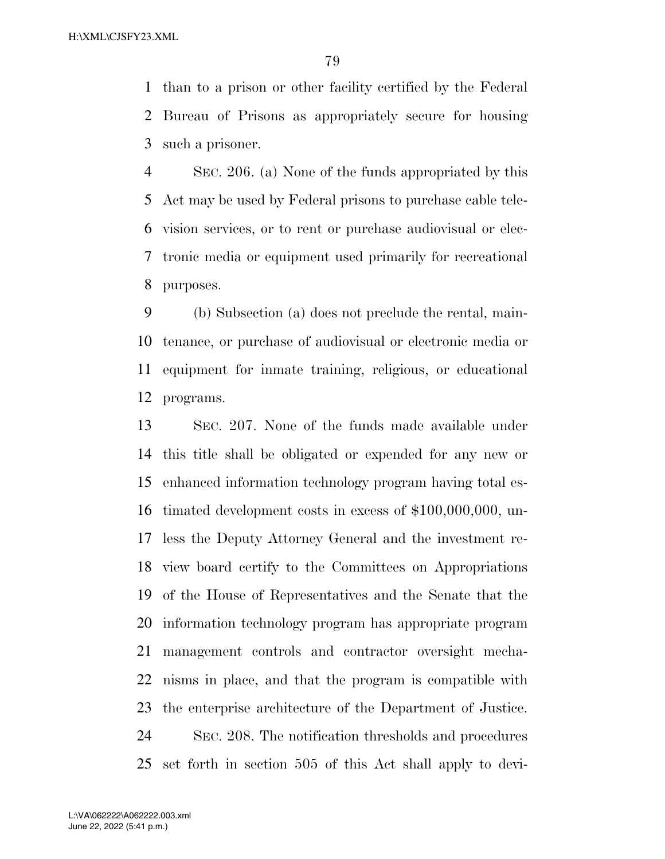than to a prison or other facility certified by the Federal Bureau of Prisons as appropriately secure for housing such a prisoner.

 SEC. 206. (a) None of the funds appropriated by this Act may be used by Federal prisons to purchase cable tele- vision services, or to rent or purchase audiovisual or elec- tronic media or equipment used primarily for recreational purposes.

 (b) Subsection (a) does not preclude the rental, main- tenance, or purchase of audiovisual or electronic media or equipment for inmate training, religious, or educational programs.

 SEC. 207. None of the funds made available under this title shall be obligated or expended for any new or enhanced information technology program having total es- timated development costs in excess of \$100,000,000, un- less the Deputy Attorney General and the investment re- view board certify to the Committees on Appropriations of the House of Representatives and the Senate that the information technology program has appropriate program management controls and contractor oversight mecha- nisms in place, and that the program is compatible with the enterprise architecture of the Department of Justice. SEC. 208. The notification thresholds and procedures set forth in section 505 of this Act shall apply to devi-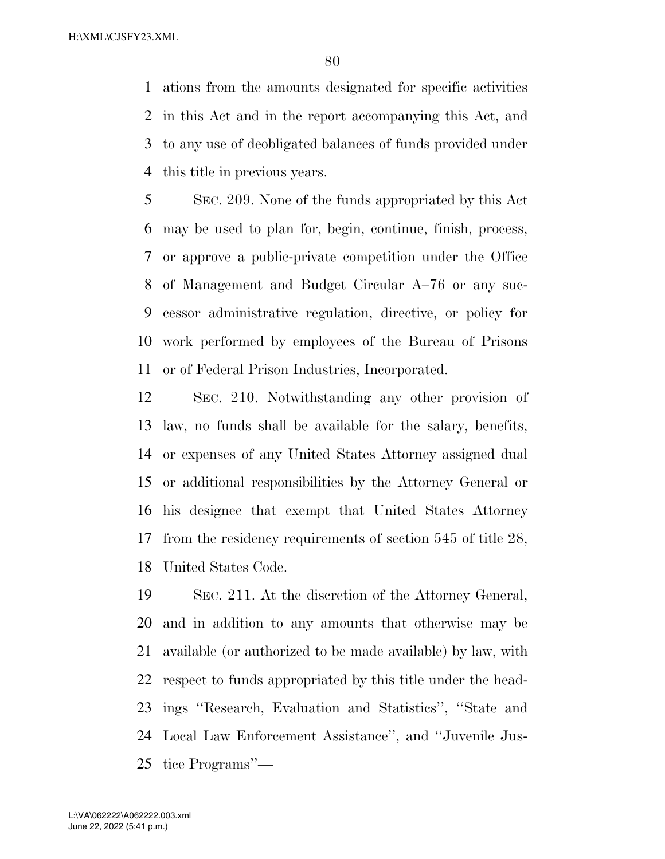ations from the amounts designated for specific activities in this Act and in the report accompanying this Act, and to any use of deobligated balances of funds provided under this title in previous years.

 SEC. 209. None of the funds appropriated by this Act may be used to plan for, begin, continue, finish, process, or approve a public-private competition under the Office of Management and Budget Circular A–76 or any suc- cessor administrative regulation, directive, or policy for work performed by employees of the Bureau of Prisons or of Federal Prison Industries, Incorporated.

 SEC. 210. Notwithstanding any other provision of law, no funds shall be available for the salary, benefits, or expenses of any United States Attorney assigned dual or additional responsibilities by the Attorney General or his designee that exempt that United States Attorney from the residency requirements of section 545 of title 28, United States Code.

 SEC. 211. At the discretion of the Attorney General, and in addition to any amounts that otherwise may be available (or authorized to be made available) by law, with respect to funds appropriated by this title under the head- ings ''Research, Evaluation and Statistics'', ''State and Local Law Enforcement Assistance'', and ''Juvenile Jus-tice Programs''—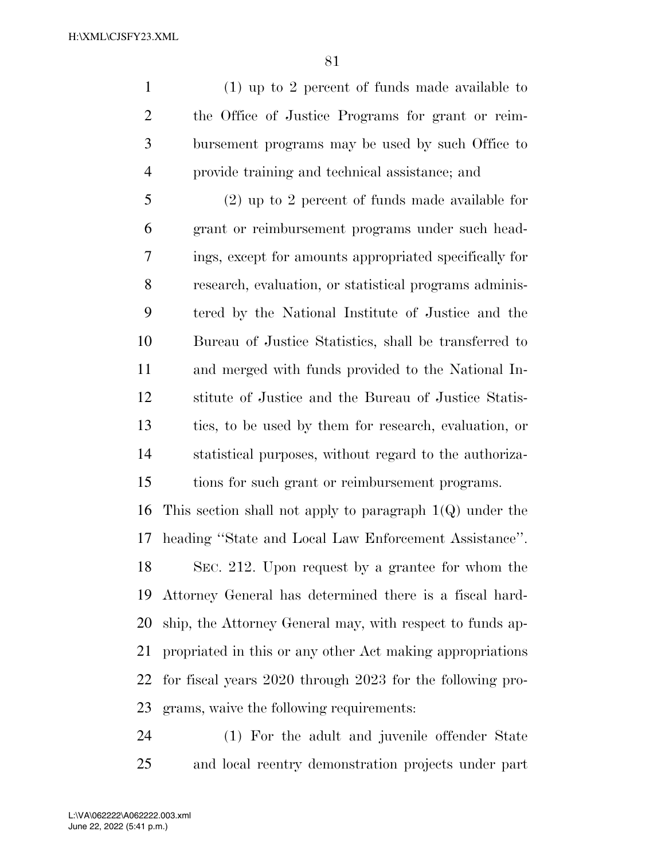(1) up to 2 percent of funds made available to the Office of Justice Programs for grant or reim- bursement programs may be used by such Office to provide training and technical assistance; and

 (2) up to 2 percent of funds made available for grant or reimbursement programs under such head- ings, except for amounts appropriated specifically for research, evaluation, or statistical programs adminis- tered by the National Institute of Justice and the Bureau of Justice Statistics, shall be transferred to and merged with funds provided to the National In- stitute of Justice and the Bureau of Justice Statis- tics, to be used by them for research, evaluation, or statistical purposes, without regard to the authoriza-tions for such grant or reimbursement programs.

16 This section shall not apply to paragraph  $1(Q)$  under the heading ''State and Local Law Enforcement Assistance''. SEC. 212. Upon request by a grantee for whom the Attorney General has determined there is a fiscal hard- ship, the Attorney General may, with respect to funds ap- propriated in this or any other Act making appropriations for fiscal years 2020 through 2023 for the following pro-grams, waive the following requirements:

 (1) For the adult and juvenile offender State and local reentry demonstration projects under part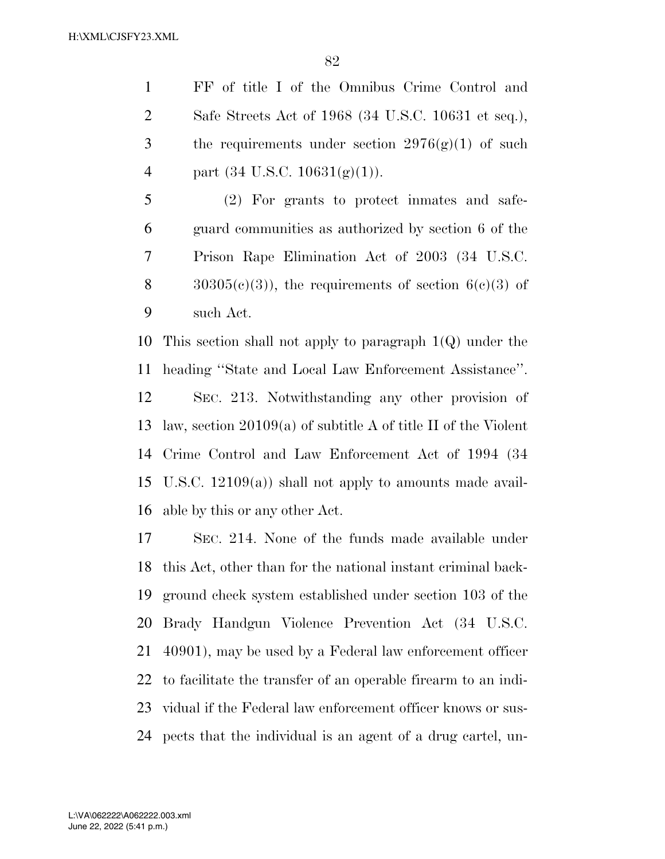FF of title I of the Omnibus Crime Control and Safe Streets Act of 1968 (34 U.S.C. 10631 et seq.), 3 the requirements under section  $2976(g)(1)$  of such 4 part  $(34 \text{ U.S.C. } 10631(g)(1)).$ 

 (2) For grants to protect inmates and safe- guard communities as authorized by section 6 of the Prison Rape Elimination Act of 2003 (34 U.S.C.  $30305(c)(3)$ , the requirements of section  $6(c)(3)$  of such Act.

 This section shall not apply to paragraph 1(Q) under the heading ''State and Local Law Enforcement Assistance''. SEC. 213. Notwithstanding any other provision of law, section 20109(a) of subtitle A of title II of the Violent Crime Control and Law Enforcement Act of 1994 (34 U.S.C. 12109(a)) shall not apply to amounts made avail-able by this or any other Act.

 SEC. 214. None of the funds made available under this Act, other than for the national instant criminal back- ground check system established under section 103 of the Brady Handgun Violence Prevention Act (34 U.S.C. 40901), may be used by a Federal law enforcement officer to facilitate the transfer of an operable firearm to an indi- vidual if the Federal law enforcement officer knows or sus-pects that the individual is an agent of a drug cartel, un-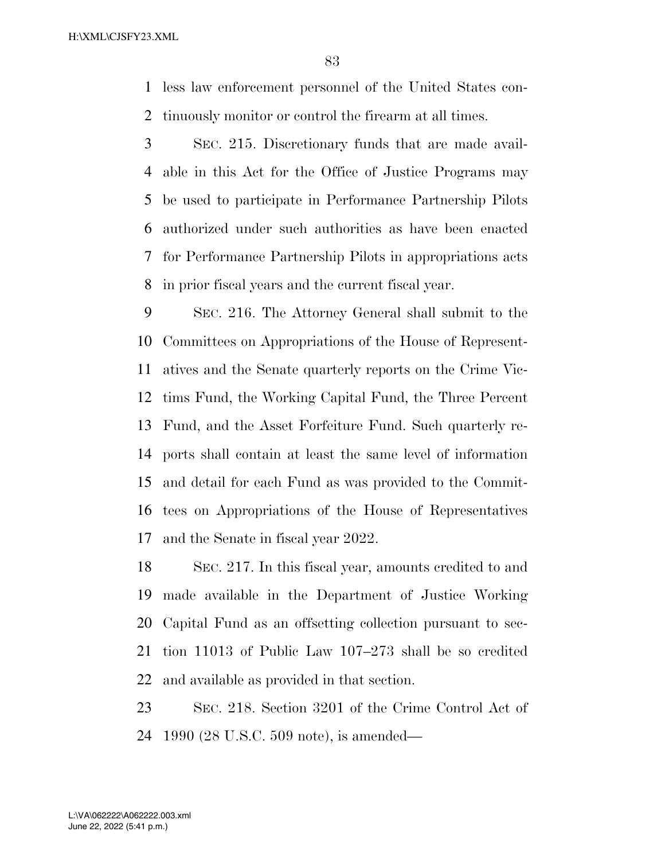less law enforcement personnel of the United States con-tinuously monitor or control the firearm at all times.

 SEC. 215. Discretionary funds that are made avail- able in this Act for the Office of Justice Programs may be used to participate in Performance Partnership Pilots authorized under such authorities as have been enacted for Performance Partnership Pilots in appropriations acts in prior fiscal years and the current fiscal year.

 SEC. 216. The Attorney General shall submit to the Committees on Appropriations of the House of Represent- atives and the Senate quarterly reports on the Crime Vic- tims Fund, the Working Capital Fund, the Three Percent Fund, and the Asset Forfeiture Fund. Such quarterly re- ports shall contain at least the same level of information and detail for each Fund as was provided to the Commit- tees on Appropriations of the House of Representatives and the Senate in fiscal year 2022.

 SEC. 217. In this fiscal year, amounts credited to and made available in the Department of Justice Working Capital Fund as an offsetting collection pursuant to sec- tion 11013 of Public Law 107–273 shall be so credited and available as provided in that section.

 SEC. 218. Section 3201 of the Crime Control Act of 1990 (28 U.S.C. 509 note), is amended—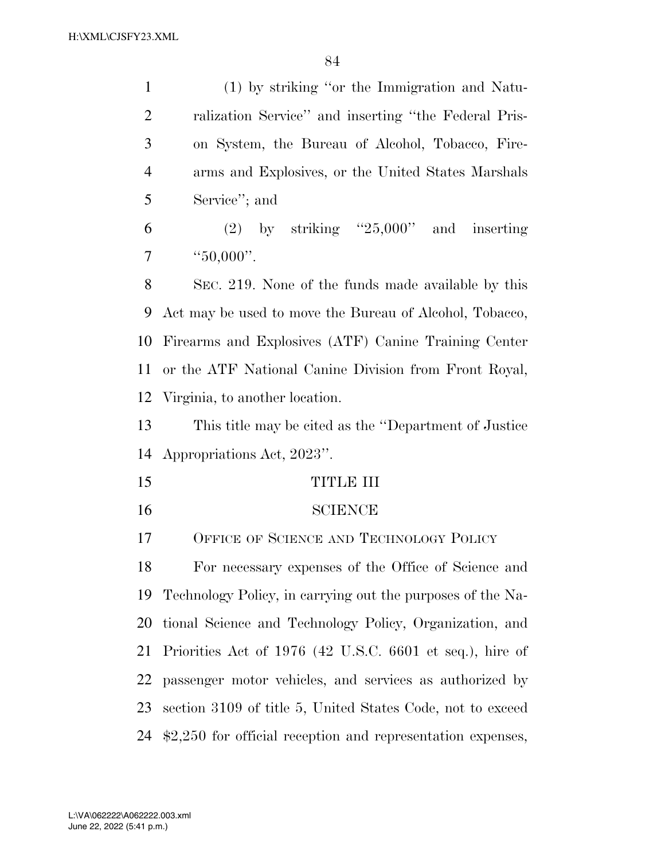| $\mathbf{1}$   | (1) by striking "or the Immigration and Natu-              |
|----------------|------------------------------------------------------------|
| $\overline{2}$ | ralization Service" and inserting "the Federal Pris-       |
| 3              | on System, the Bureau of Alcohol, Tobacco, Fire-           |
| $\overline{4}$ | arms and Explosives, or the United States Marshals         |
| 5              | Service"; and                                              |
| 6              | (2) by striking " $25,000$ " and inserting                 |
| 7              | " $50,000$ ".                                              |
| 8              | SEC. 219. None of the funds made available by this         |
| 9              | Act may be used to move the Bureau of Alcohol, Tobacco,    |
| 10             | Firearms and Explosives (ATF) Canine Training Center       |
| 11             | or the ATF National Canine Division from Front Royal,      |
| 12             | Virginia, to another location.                             |
| 13             | This title may be cited as the "Department of Justice"     |
| 14             | Appropriations Act, 2023".                                 |
| 15             | TITLE III                                                  |
| 16             | <b>SCIENCE</b>                                             |
| 17             |                                                            |
| 18             | OFFICE OF SCIENCE AND TECHNOLOGY POLICY                    |
|                | For necessary expenses of the Office of Science and        |
| 19             | Technology Policy, in carrying out the purposes of the Na- |
| 20             | tional Science and Technology Policy, Organization, and    |
| 21             | Priorities Act of 1976 (42 U.S.C. 6601 et seq.), hire of   |
| 22             | passenger motor vehicles, and services as authorized by    |
| 23             | section 3109 of title 5, United States Code, not to exceed |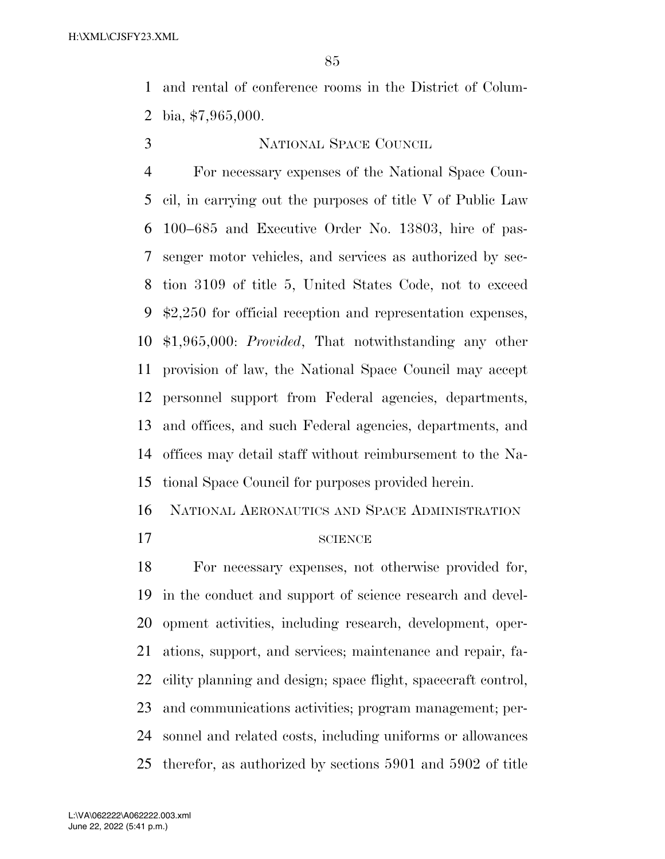and rental of conference rooms in the District of Colum-bia, \$7,965,000.

### NATIONAL SPACE COUNCIL

 For necessary expenses of the National Space Coun- cil, in carrying out the purposes of title V of Public Law 100–685 and Executive Order No. 13803, hire of pas- senger motor vehicles, and services as authorized by sec- tion 3109 of title 5, United States Code, not to exceed \$2,250 for official reception and representation expenses, \$1,965,000: *Provided*, That notwithstanding any other provision of law, the National Space Council may accept personnel support from Federal agencies, departments, and offices, and such Federal agencies, departments, and offices may detail staff without reimbursement to the Na-tional Space Council for purposes provided herein.

NATIONAL AERONAUTICS AND SPACE ADMINISTRATION

#### 17 SCIENCE

 For necessary expenses, not otherwise provided for, in the conduct and support of science research and devel- opment activities, including research, development, oper- ations, support, and services; maintenance and repair, fa- cility planning and design; space flight, spacecraft control, and communications activities; program management; per- sonnel and related costs, including uniforms or allowances therefor, as authorized by sections 5901 and 5902 of title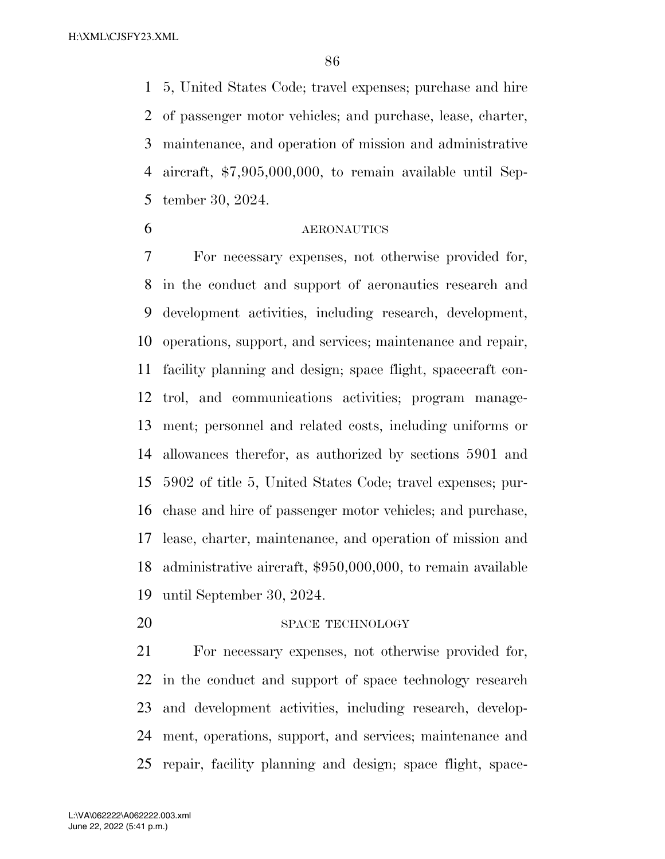5, United States Code; travel expenses; purchase and hire of passenger motor vehicles; and purchase, lease, charter, maintenance, and operation of mission and administrative aircraft, \$7,905,000,000, to remain available until Sep-tember 30, 2024.

#### AERONAUTICS

 For necessary expenses, not otherwise provided for, in the conduct and support of aeronautics research and development activities, including research, development, operations, support, and services; maintenance and repair, facility planning and design; space flight, spacecraft con- trol, and communications activities; program manage- ment; personnel and related costs, including uniforms or allowances therefor, as authorized by sections 5901 and 5902 of title 5, United States Code; travel expenses; pur- chase and hire of passenger motor vehicles; and purchase, lease, charter, maintenance, and operation of mission and administrative aircraft, \$950,000,000, to remain available until September 30, 2024.

#### 20 SPACE TECHNOLOGY

 For necessary expenses, not otherwise provided for, in the conduct and support of space technology research and development activities, including research, develop- ment, operations, support, and services; maintenance and repair, facility planning and design; space flight, space-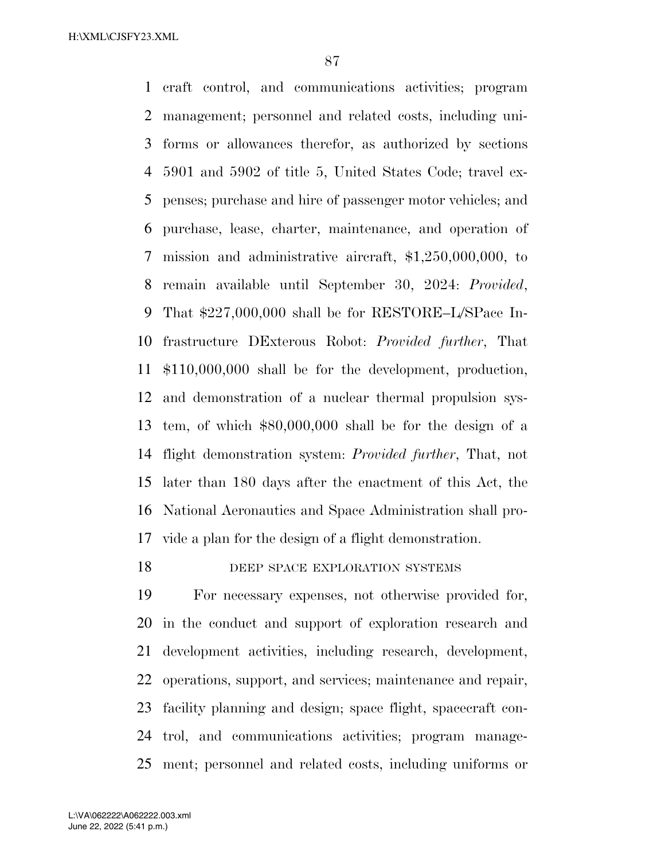craft control, and communications activities; program management; personnel and related costs, including uni- forms or allowances therefor, as authorized by sections 5901 and 5902 of title 5, United States Code; travel ex- penses; purchase and hire of passenger motor vehicles; and purchase, lease, charter, maintenance, and operation of mission and administrative aircraft, \$1,250,000,000, to remain available until September 30, 2024: *Provided*, That \$227,000,000 shall be for RESTORE–L/SPace In- frastructure DExterous Robot: *Provided further*, That \$110,000,000 shall be for the development, production, and demonstration of a nuclear thermal propulsion sys- tem, of which \$80,000,000 shall be for the design of a flight demonstration system: *Provided further*, That, not later than 180 days after the enactment of this Act, the National Aeronautics and Space Administration shall pro-vide a plan for the design of a flight demonstration.

18 DEEP SPACE EXPLORATION SYSTEMS

 For necessary expenses, not otherwise provided for, in the conduct and support of exploration research and development activities, including research, development, operations, support, and services; maintenance and repair, facility planning and design; space flight, spacecraft con- trol, and communications activities; program manage-ment; personnel and related costs, including uniforms or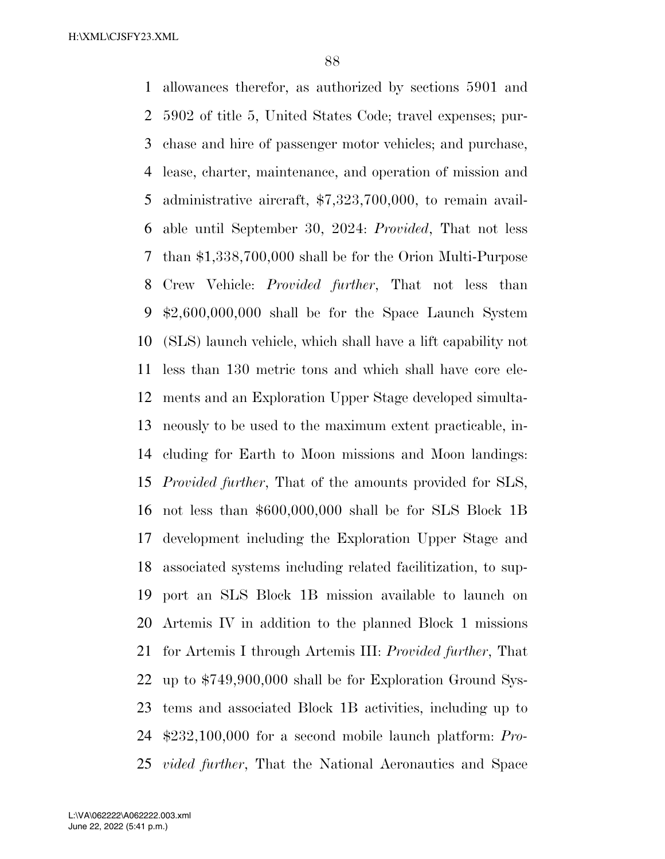allowances therefor, as authorized by sections 5901 and 5902 of title 5, United States Code; travel expenses; pur- chase and hire of passenger motor vehicles; and purchase, lease, charter, maintenance, and operation of mission and administrative aircraft, \$7,323,700,000, to remain avail- able until September 30, 2024: *Provided*, That not less than \$1,338,700,000 shall be for the Orion Multi-Purpose Crew Vehicle: *Provided further*, That not less than \$2,600,000,000 shall be for the Space Launch System (SLS) launch vehicle, which shall have a lift capability not less than 130 metric tons and which shall have core ele- ments and an Exploration Upper Stage developed simulta- neously to be used to the maximum extent practicable, in- cluding for Earth to Moon missions and Moon landings: *Provided further*, That of the amounts provided for SLS, not less than \$600,000,000 shall be for SLS Block 1B development including the Exploration Upper Stage and associated systems including related facilitization, to sup- port an SLS Block 1B mission available to launch on Artemis IV in addition to the planned Block 1 missions for Artemis I through Artemis III: *Provided further*, That up to \$749,900,000 shall be for Exploration Ground Sys- tems and associated Block 1B activities, including up to \$232,100,000 for a second mobile launch platform: *Pro-vided further*, That the National Aeronautics and Space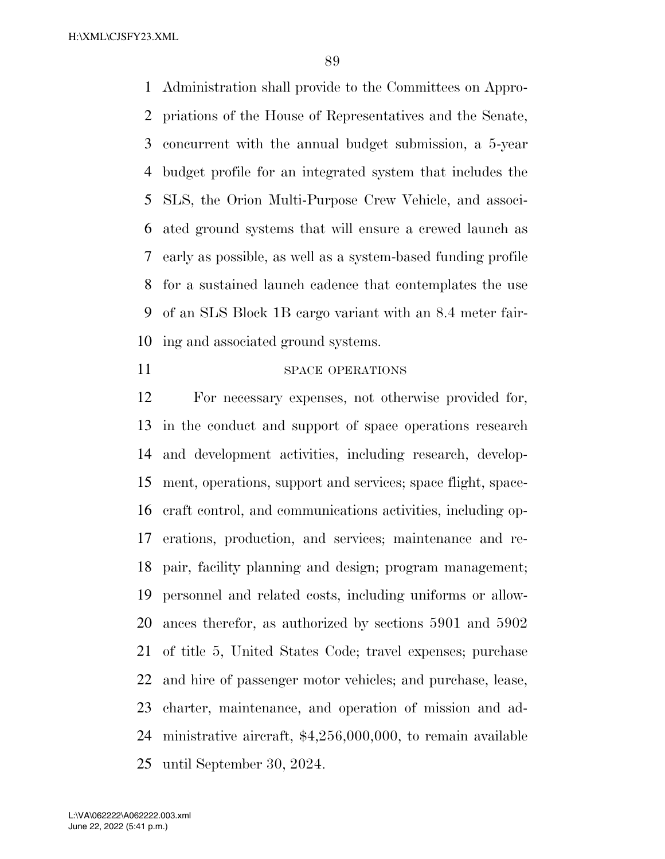Administration shall provide to the Committees on Appro- priations of the House of Representatives and the Senate, concurrent with the annual budget submission, a 5-year budget profile for an integrated system that includes the SLS, the Orion Multi-Purpose Crew Vehicle, and associ- ated ground systems that will ensure a crewed launch as early as possible, as well as a system-based funding profile for a sustained launch cadence that contemplates the use of an SLS Block 1B cargo variant with an 8.4 meter fair-ing and associated ground systems.

#### 11 SPACE OPERATIONS

 For necessary expenses, not otherwise provided for, in the conduct and support of space operations research and development activities, including research, develop- ment, operations, support and services; space flight, space- craft control, and communications activities, including op- erations, production, and services; maintenance and re- pair, facility planning and design; program management; personnel and related costs, including uniforms or allow- ances therefor, as authorized by sections 5901 and 5902 of title 5, United States Code; travel expenses; purchase and hire of passenger motor vehicles; and purchase, lease, charter, maintenance, and operation of mission and ad- ministrative aircraft, \$4,256,000,000, to remain available until September 30, 2024.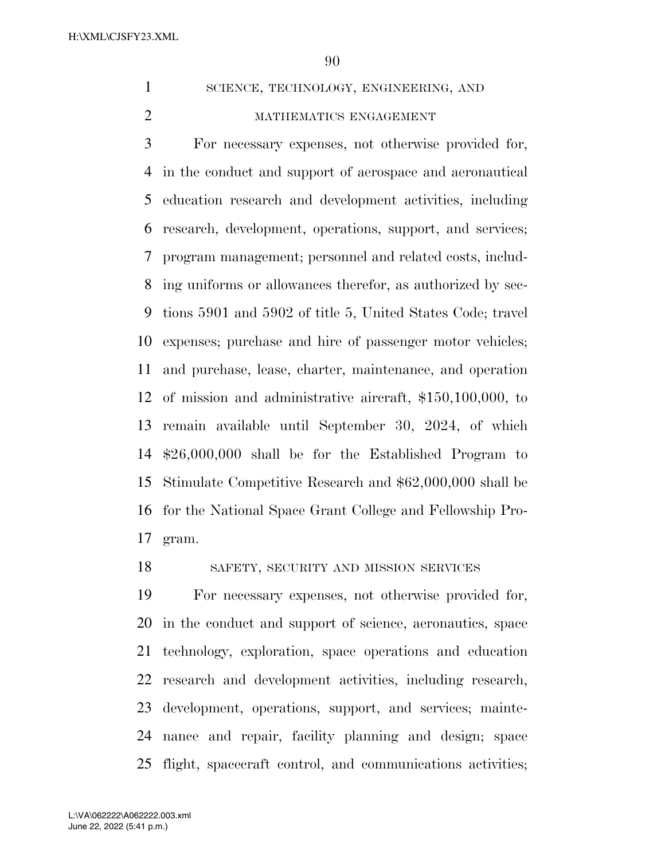1 SCIENCE, TECHNOLOGY, ENGINEERING, AND

#### 2 MATHEMATICS ENGAGEMENT

 For necessary expenses, not otherwise provided for, in the conduct and support of aerospace and aeronautical education research and development activities, including research, development, operations, support, and services; program management; personnel and related costs, includ- ing uniforms or allowances therefor, as authorized by sec- tions 5901 and 5902 of title 5, United States Code; travel expenses; purchase and hire of passenger motor vehicles; and purchase, lease, charter, maintenance, and operation of mission and administrative aircraft, \$150,100,000, to remain available until September 30, 2024, of which \$26,000,000 shall be for the Established Program to Stimulate Competitive Research and \$62,000,000 shall be for the National Space Grant College and Fellowship Pro-gram.

SAFETY, SECURITY AND MISSION SERVICES

 For necessary expenses, not otherwise provided for, in the conduct and support of science, aeronautics, space technology, exploration, space operations and education research and development activities, including research, development, operations, support, and services; mainte- nance and repair, facility planning and design; space flight, spacecraft control, and communications activities;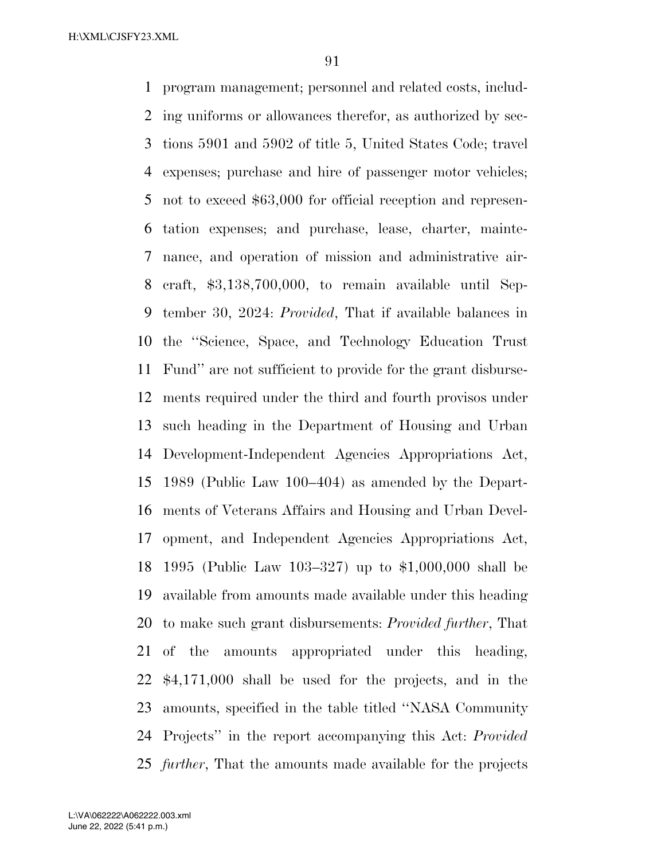program management; personnel and related costs, includ- ing uniforms or allowances therefor, as authorized by sec- tions 5901 and 5902 of title 5, United States Code; travel expenses; purchase and hire of passenger motor vehicles; not to exceed \$63,000 for official reception and represen- tation expenses; and purchase, lease, charter, mainte- nance, and operation of mission and administrative air- craft, \$3,138,700,000, to remain available until Sep- tember 30, 2024: *Provided*, That if available balances in the ''Science, Space, and Technology Education Trust Fund'' are not sufficient to provide for the grant disburse- ments required under the third and fourth provisos under such heading in the Department of Housing and Urban Development-Independent Agencies Appropriations Act, 1989 (Public Law 100–404) as amended by the Depart- ments of Veterans Affairs and Housing and Urban Devel- opment, and Independent Agencies Appropriations Act, 1995 (Public Law 103–327) up to \$1,000,000 shall be available from amounts made available under this heading to make such grant disbursements: *Provided further*, That of the amounts appropriated under this heading, \$4,171,000 shall be used for the projects, and in the amounts, specified in the table titled ''NASA Community Projects'' in the report accompanying this Act: *Provided further*, That the amounts made available for the projects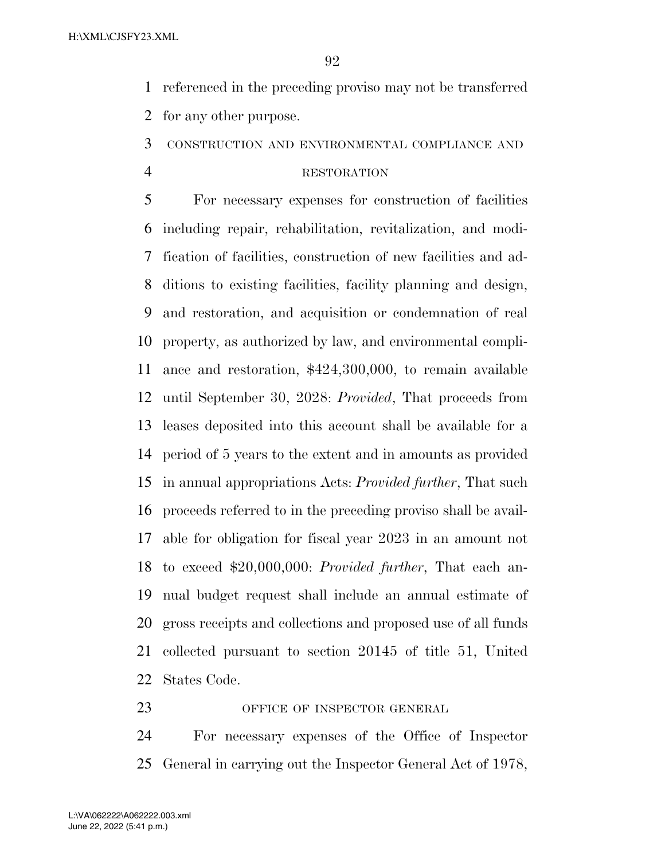referenced in the preceding proviso may not be transferred for any other purpose.

CONSTRUCTION AND ENVIRONMENTAL COMPLIANCE AND

#### RESTORATION

 For necessary expenses for construction of facilities including repair, rehabilitation, revitalization, and modi- fication of facilities, construction of new facilities and ad- ditions to existing facilities, facility planning and design, and restoration, and acquisition or condemnation of real property, as authorized by law, and environmental compli- ance and restoration, \$424,300,000, to remain available until September 30, 2028: *Provided*, That proceeds from leases deposited into this account shall be available for a period of 5 years to the extent and in amounts as provided in annual appropriations Acts: *Provided further*, That such proceeds referred to in the preceding proviso shall be avail- able for obligation for fiscal year 2023 in an amount not to exceed \$20,000,000: *Provided further*, That each an- nual budget request shall include an annual estimate of gross receipts and collections and proposed use of all funds collected pursuant to section 20145 of title 51, United States Code.

#### 23 OFFICE OF INSPECTOR GENERAL

 For necessary expenses of the Office of Inspector General in carrying out the Inspector General Act of 1978,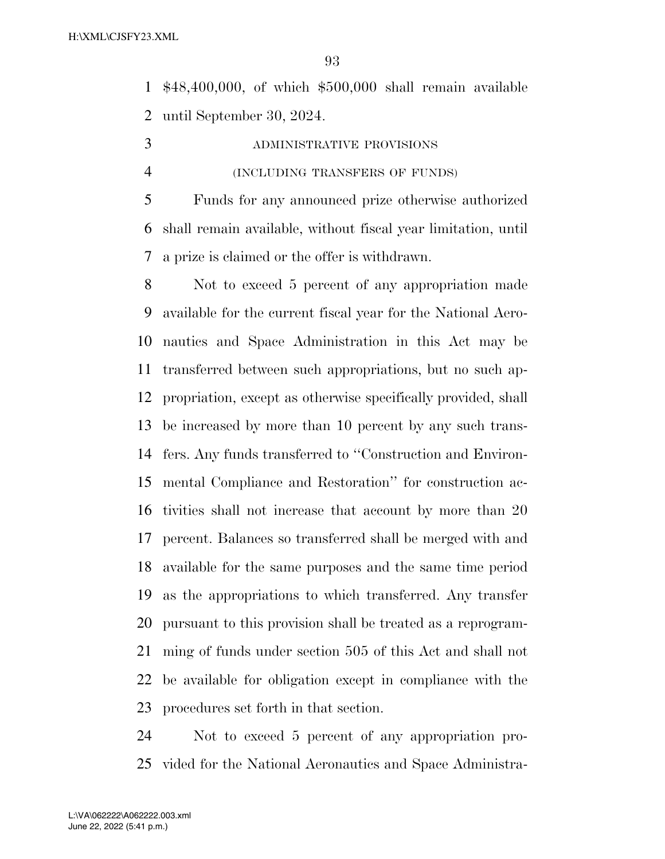\$48,400,000, of which \$500,000 shall remain available until September 30, 2024.

- ADMINISTRATIVE PROVISIONS
- (INCLUDING TRANSFERS OF FUNDS)

 Funds for any announced prize otherwise authorized shall remain available, without fiscal year limitation, until a prize is claimed or the offer is withdrawn.

 Not to exceed 5 percent of any appropriation made available for the current fiscal year for the National Aero- nautics and Space Administration in this Act may be transferred between such appropriations, but no such ap- propriation, except as otherwise specifically provided, shall be increased by more than 10 percent by any such trans- fers. Any funds transferred to ''Construction and Environ- mental Compliance and Restoration'' for construction ac- tivities shall not increase that account by more than 20 percent. Balances so transferred shall be merged with and available for the same purposes and the same time period as the appropriations to which transferred. Any transfer pursuant to this provision shall be treated as a reprogram- ming of funds under section 505 of this Act and shall not be available for obligation except in compliance with the procedures set forth in that section.

 Not to exceed 5 percent of any appropriation pro-vided for the National Aeronautics and Space Administra-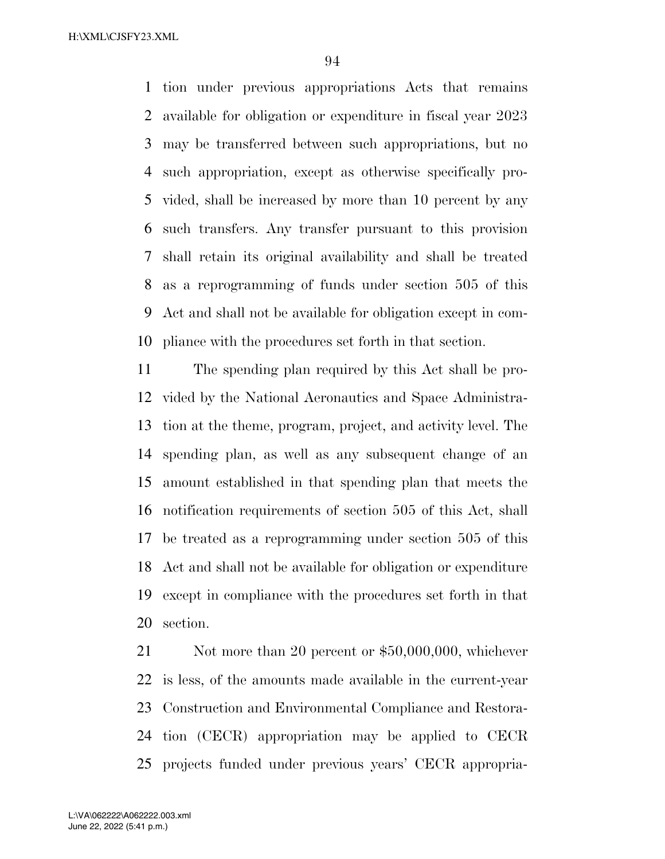tion under previous appropriations Acts that remains available for obligation or expenditure in fiscal year 2023 may be transferred between such appropriations, but no such appropriation, except as otherwise specifically pro- vided, shall be increased by more than 10 percent by any such transfers. Any transfer pursuant to this provision shall retain its original availability and shall be treated as a reprogramming of funds under section 505 of this Act and shall not be available for obligation except in com-pliance with the procedures set forth in that section.

 The spending plan required by this Act shall be pro- vided by the National Aeronautics and Space Administra- tion at the theme, program, project, and activity level. The spending plan, as well as any subsequent change of an amount established in that spending plan that meets the notification requirements of section 505 of this Act, shall be treated as a reprogramming under section 505 of this Act and shall not be available for obligation or expenditure except in compliance with the procedures set forth in that section.

21 Not more than 20 percent or \$50,000,000, whichever is less, of the amounts made available in the current-year Construction and Environmental Compliance and Restora- tion (CECR) appropriation may be applied to CECR projects funded under previous years' CECR appropria-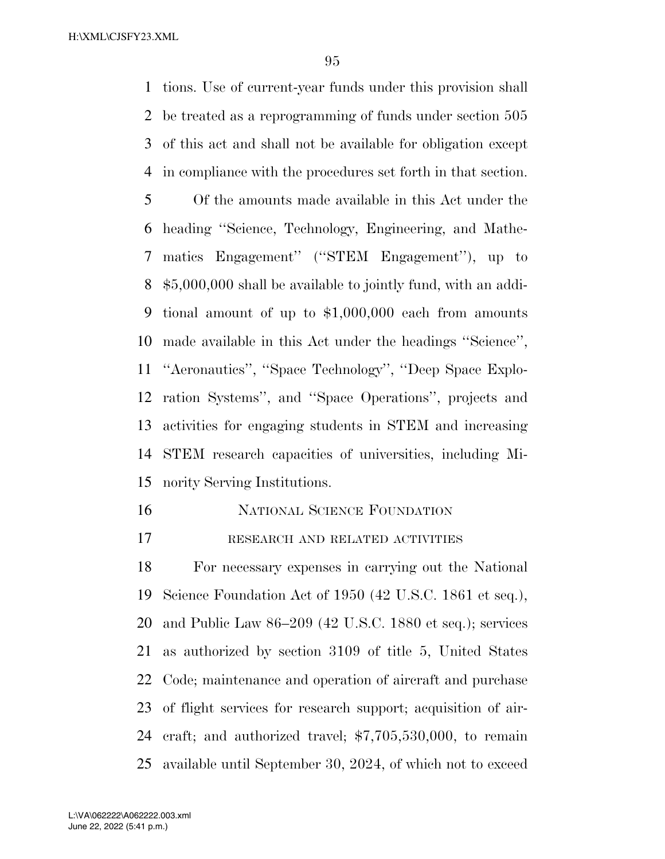tions. Use of current-year funds under this provision shall be treated as a reprogramming of funds under section 505 of this act and shall not be available for obligation except in compliance with the procedures set forth in that section. Of the amounts made available in this Act under the heading ''Science, Technology, Engineering, and Mathe- matics Engagement'' (''STEM Engagement''), up to \$5,000,000 shall be available to jointly fund, with an addi- tional amount of up to \$1,000,000 each from amounts made available in this Act under the headings ''Science'', ''Aeronautics'', ''Space Technology'', ''Deep Space Explo- ration Systems'', and ''Space Operations'', projects and activities for engaging students in STEM and increasing STEM research capacities of universities, including Mi-nority Serving Institutions.

- NATIONAL SCIENCE FOUNDATION
- RESEARCH AND RELATED ACTIVITIES

 For necessary expenses in carrying out the National Science Foundation Act of 1950 (42 U.S.C. 1861 et seq.), and Public Law 86–209 (42 U.S.C. 1880 et seq.); services as authorized by section 3109 of title 5, United States Code; maintenance and operation of aircraft and purchase of flight services for research support; acquisition of air- craft; and authorized travel; \$7,705,530,000, to remain available until September 30, 2024, of which not to exceed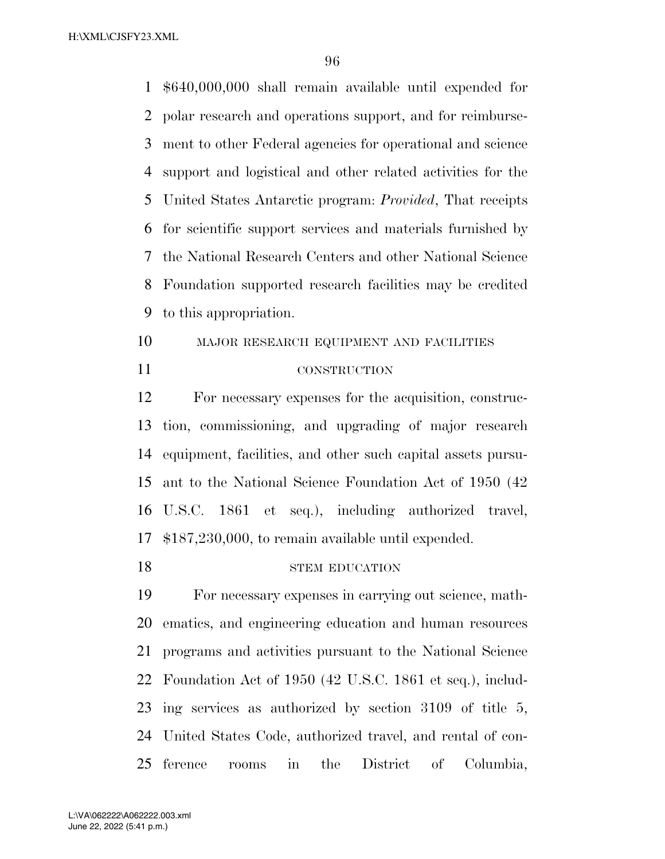\$640,000,000 shall remain available until expended for polar research and operations support, and for reimburse- ment to other Federal agencies for operational and science support and logistical and other related activities for the United States Antarctic program: *Provided*, That receipts for scientific support services and materials furnished by the National Research Centers and other National Science Foundation supported research facilities may be credited to this appropriation.

 MAJOR RESEARCH EQUIPMENT AND FACILITIES CONSTRUCTION

 For necessary expenses for the acquisition, construc- tion, commissioning, and upgrading of major research equipment, facilities, and other such capital assets pursu- ant to the National Science Foundation Act of 1950 (42 U.S.C. 1861 et seq.), including authorized travel, \$187,230,000, to remain available until expended.

#### 18 STEM EDUCATION

 For necessary expenses in carrying out science, math- ematics, and engineering education and human resources programs and activities pursuant to the National Science Foundation Act of 1950 (42 U.S.C. 1861 et seq.), includ- ing services as authorized by section 3109 of title 5, United States Code, authorized travel, and rental of con-ference rooms in the District of Columbia,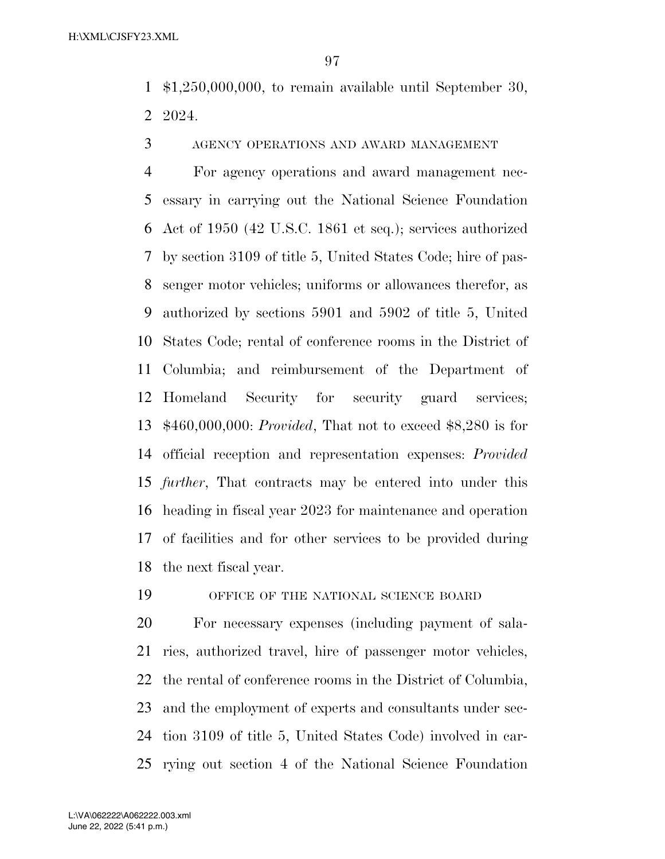\$1,250,000,000, to remain available until September 30, 2024.

AGENCY OPERATIONS AND AWARD MANAGEMENT

 For agency operations and award management nec- essary in carrying out the National Science Foundation Act of 1950 (42 U.S.C. 1861 et seq.); services authorized by section 3109 of title 5, United States Code; hire of pas- senger motor vehicles; uniforms or allowances therefor, as authorized by sections 5901 and 5902 of title 5, United States Code; rental of conference rooms in the District of Columbia; and reimbursement of the Department of Homeland Security for security guard services; \$460,000,000: *Provided*, That not to exceed \$8,280 is for official reception and representation expenses: *Provided further*, That contracts may be entered into under this heading in fiscal year 2023 for maintenance and operation of facilities and for other services to be provided during the next fiscal year.

OFFICE OF THE NATIONAL SCIENCE BOARD

 For necessary expenses (including payment of sala- ries, authorized travel, hire of passenger motor vehicles, the rental of conference rooms in the District of Columbia, and the employment of experts and consultants under sec- tion 3109 of title 5, United States Code) involved in car-rying out section 4 of the National Science Foundation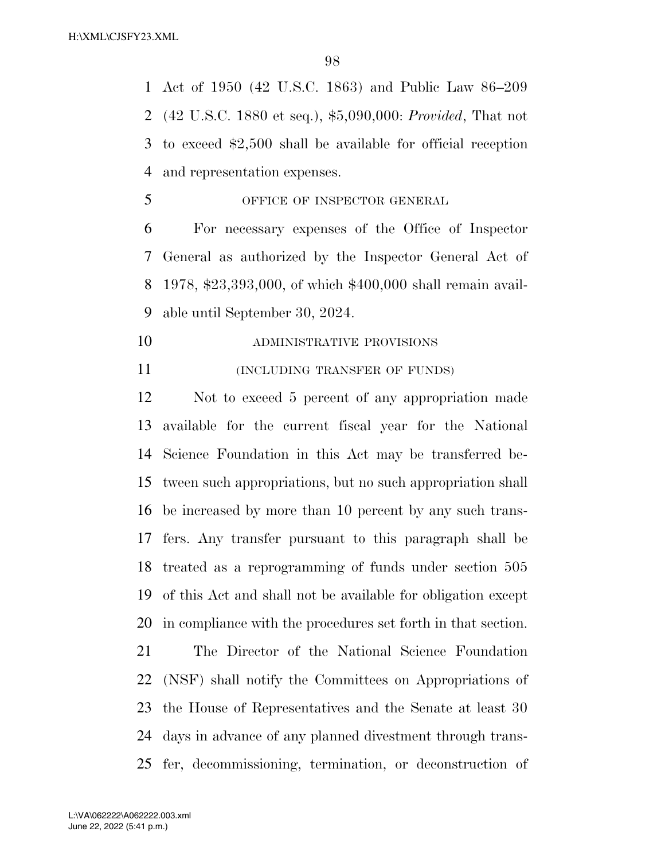Act of 1950 (42 U.S.C. 1863) and Public Law 86–209 (42 U.S.C. 1880 et seq.), \$5,090,000: *Provided*, That not to exceed \$2,500 shall be available for official reception and representation expenses.

OFFICE OF INSPECTOR GENERAL

 For necessary expenses of the Office of Inspector General as authorized by the Inspector General Act of 1978, \$23,393,000, of which \$400,000 shall remain avail-able until September 30, 2024.

- ADMINISTRATIVE PROVISIONS
- **INCLUDING TRANSFER OF FUNDS**)

 Not to exceed 5 percent of any appropriation made available for the current fiscal year for the National Science Foundation in this Act may be transferred be- tween such appropriations, but no such appropriation shall be increased by more than 10 percent by any such trans- fers. Any transfer pursuant to this paragraph shall be treated as a reprogramming of funds under section 505 of this Act and shall not be available for obligation except in compliance with the procedures set forth in that section.

 The Director of the National Science Foundation (NSF) shall notify the Committees on Appropriations of the House of Representatives and the Senate at least 30 days in advance of any planned divestment through trans-fer, decommissioning, termination, or deconstruction of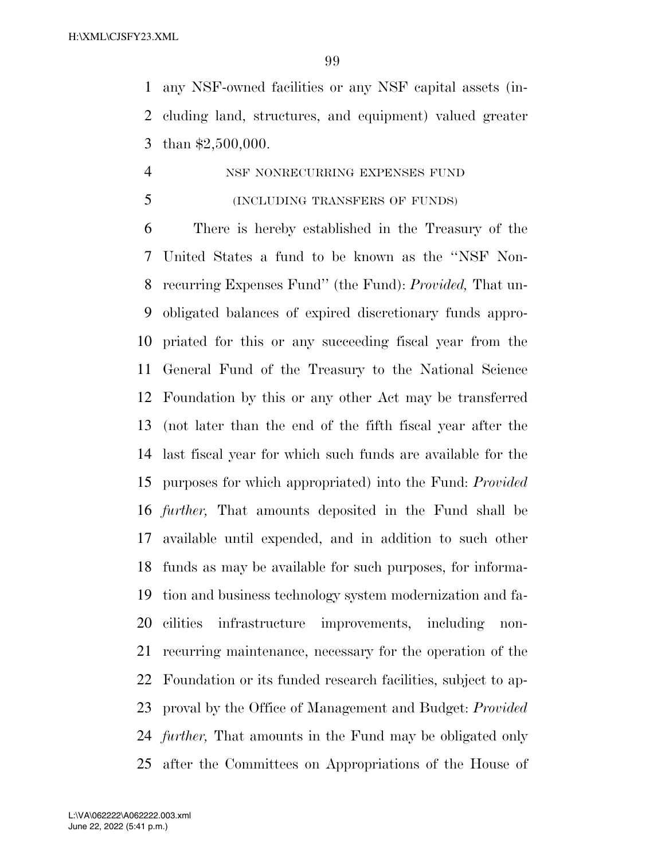any NSF-owned facilities or any NSF capital assets (in- cluding land, structures, and equipment) valued greater than \$2,500,000.

## NSF NONRECURRING EXPENSES FUND

(INCLUDING TRANSFERS OF FUNDS)

 There is hereby established in the Treasury of the United States a fund to be known as the ''NSF Non- recurring Expenses Fund'' (the Fund): *Provided,* That un- obligated balances of expired discretionary funds appro- priated for this or any succeeding fiscal year from the General Fund of the Treasury to the National Science Foundation by this or any other Act may be transferred (not later than the end of the fifth fiscal year after the last fiscal year for which such funds are available for the purposes for which appropriated) into the Fund: *Provided further,* That amounts deposited in the Fund shall be available until expended, and in addition to such other funds as may be available for such purposes, for informa- tion and business technology system modernization and fa- cilities infrastructure improvements, including non- recurring maintenance, necessary for the operation of the Foundation or its funded research facilities, subject to ap- proval by the Office of Management and Budget: *Provided further,* That amounts in the Fund may be obligated only after the Committees on Appropriations of the House of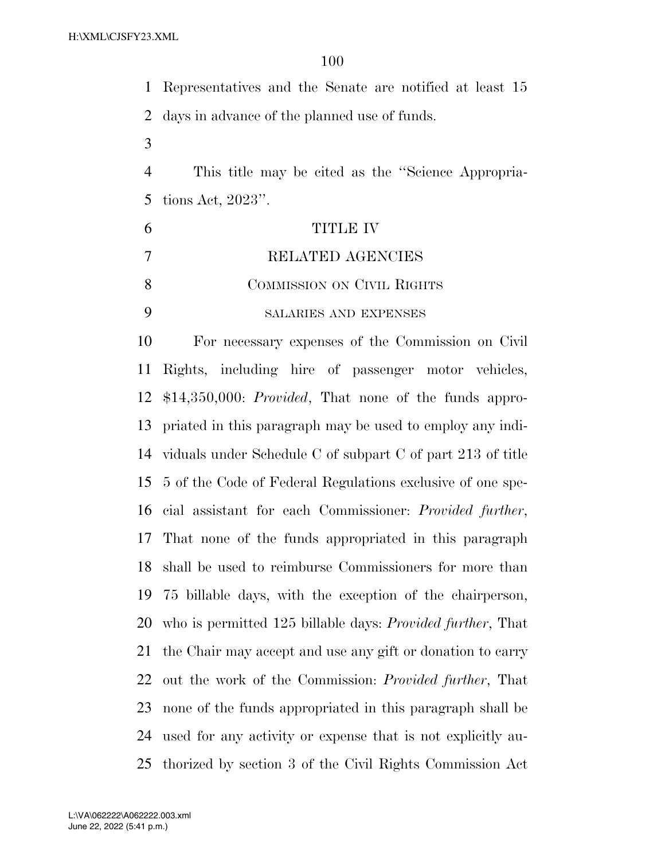Representatives and the Senate are notified at least 15 days in advance of the planned use of funds. This title may be cited as the ''Science Appropria- tions Act, 2023''. TITLE IV RELATED AGENCIES 8 COMMISSION ON CIVIL RIGHTS SALARIES AND EXPENSES For necessary expenses of the Commission on Civil Rights, including hire of passenger motor vehicles, \$14,350,000: *Provided*, That none of the funds appro- priated in this paragraph may be used to employ any indi- viduals under Schedule C of subpart C of part 213 of title 5 of the Code of Federal Regulations exclusive of one spe- cial assistant for each Commissioner: *Provided further*, That none of the funds appropriated in this paragraph shall be used to reimburse Commissioners for more than 75 billable days, with the exception of the chairperson, who is permitted 125 billable days: *Provided further*, That the Chair may accept and use any gift or donation to carry out the work of the Commission: *Provided further*, That none of the funds appropriated in this paragraph shall be used for any activity or expense that is not explicitly au-thorized by section 3 of the Civil Rights Commission Act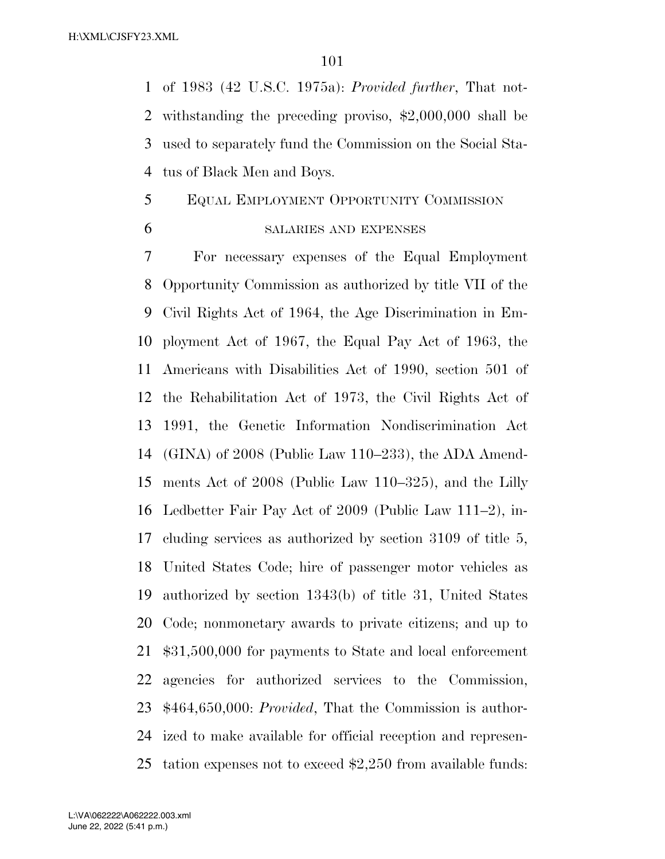of 1983 (42 U.S.C. 1975a): *Provided further*, That not- withstanding the preceding proviso, \$2,000,000 shall be used to separately fund the Commission on the Social Sta-tus of Black Men and Boys.

#### EQUAL EMPLOYMENT OPPORTUNITY COMMISSION

#### SALARIES AND EXPENSES

 For necessary expenses of the Equal Employment Opportunity Commission as authorized by title VII of the Civil Rights Act of 1964, the Age Discrimination in Em- ployment Act of 1967, the Equal Pay Act of 1963, the Americans with Disabilities Act of 1990, section 501 of the Rehabilitation Act of 1973, the Civil Rights Act of 1991, the Genetic Information Nondiscrimination Act (GINA) of 2008 (Public Law 110–233), the ADA Amend- ments Act of 2008 (Public Law 110–325), and the Lilly Ledbetter Fair Pay Act of 2009 (Public Law 111–2), in- cluding services as authorized by section 3109 of title 5, United States Code; hire of passenger motor vehicles as authorized by section 1343(b) of title 31, United States Code; nonmonetary awards to private citizens; and up to \$31,500,000 for payments to State and local enforcement agencies for authorized services to the Commission, \$464,650,000: *Provided*, That the Commission is author- ized to make available for official reception and represen-tation expenses not to exceed \$2,250 from available funds: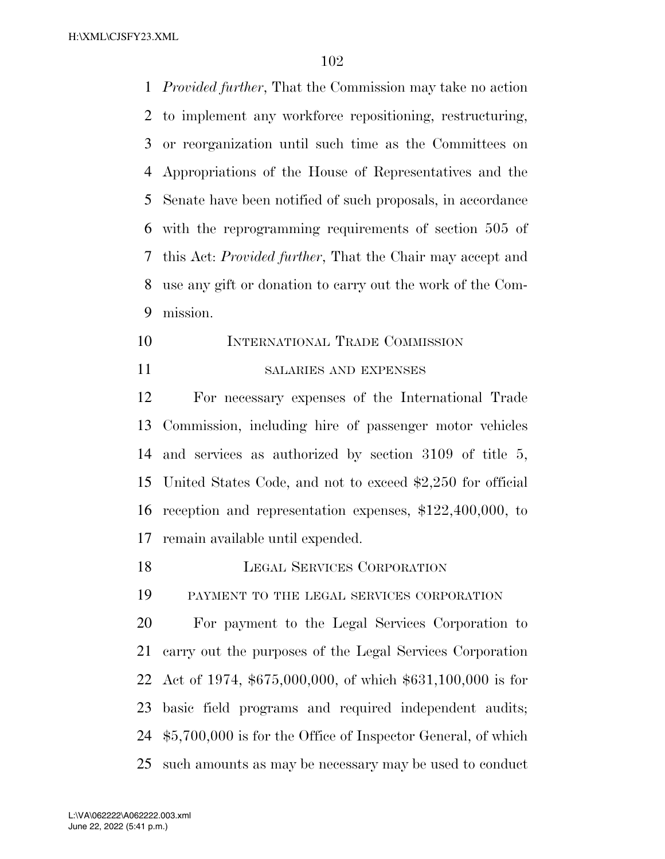*Provided further*, That the Commission may take no action to implement any workforce repositioning, restructuring, or reorganization until such time as the Committees on Appropriations of the House of Representatives and the Senate have been notified of such proposals, in accordance with the reprogramming requirements of section 505 of this Act: *Provided further*, That the Chair may accept and use any gift or donation to carry out the work of the Com-mission.

 INTERNATIONAL TRADE COMMISSION SALARIES AND EXPENSES

 For necessary expenses of the International Trade Commission, including hire of passenger motor vehicles and services as authorized by section 3109 of title 5, United States Code, and not to exceed \$2,250 for official reception and representation expenses, \$122,400,000, to remain available until expended.

LEGAL SERVICES CORPORATION

PAYMENT TO THE LEGAL SERVICES CORPORATION

 For payment to the Legal Services Corporation to carry out the purposes of the Legal Services Corporation Act of 1974, \$675,000,000, of which \$631,100,000 is for basic field programs and required independent audits; \$5,700,000 is for the Office of Inspector General, of which such amounts as may be necessary may be used to conduct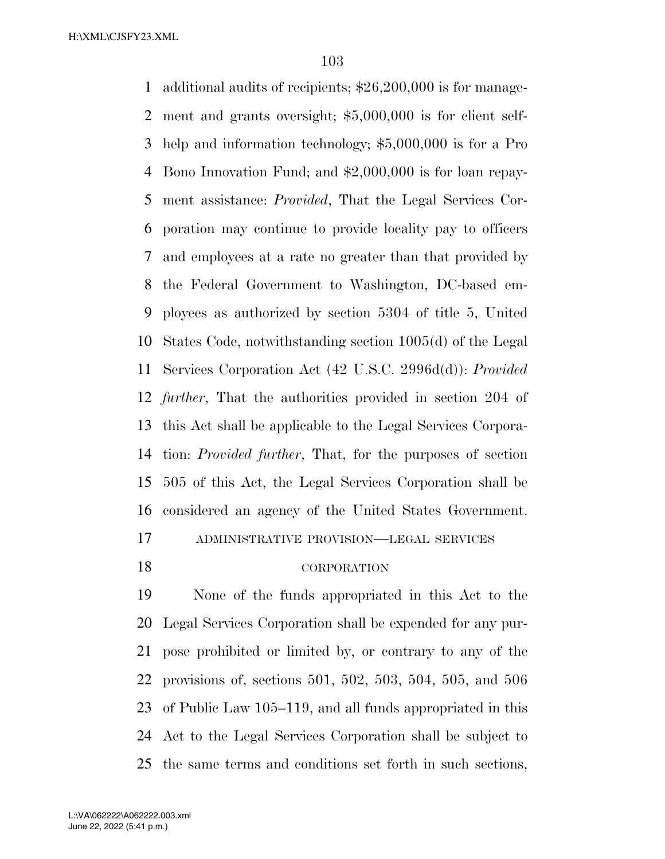additional audits of recipients; \$26,200,000 is for manage- ment and grants oversight; \$5,000,000 is for client self- help and information technology; \$5,000,000 is for a Pro Bono Innovation Fund; and \$2,000,000 is for loan repay- ment assistance: *Provided*, That the Legal Services Cor- poration may continue to provide locality pay to officers and employees at a rate no greater than that provided by the Federal Government to Washington, DC-based em- ployees as authorized by section 5304 of title 5, United States Code, notwithstanding section 1005(d) of the Legal Services Corporation Act (42 U.S.C. 2996d(d)): *Provided further*, That the authorities provided in section 204 of this Act shall be applicable to the Legal Services Corpora- tion: *Provided further*, That, for the purposes of section 505 of this Act, the Legal Services Corporation shall be considered an agency of the United States Government. ADMINISTRATIVE PROVISION—LEGAL SERVICES

#### CORPORATION

 None of the funds appropriated in this Act to the Legal Services Corporation shall be expended for any pur- pose prohibited or limited by, or contrary to any of the provisions of, sections 501, 502, 503, 504, 505, and 506 of Public Law 105–119, and all funds appropriated in this Act to the Legal Services Corporation shall be subject to the same terms and conditions set forth in such sections,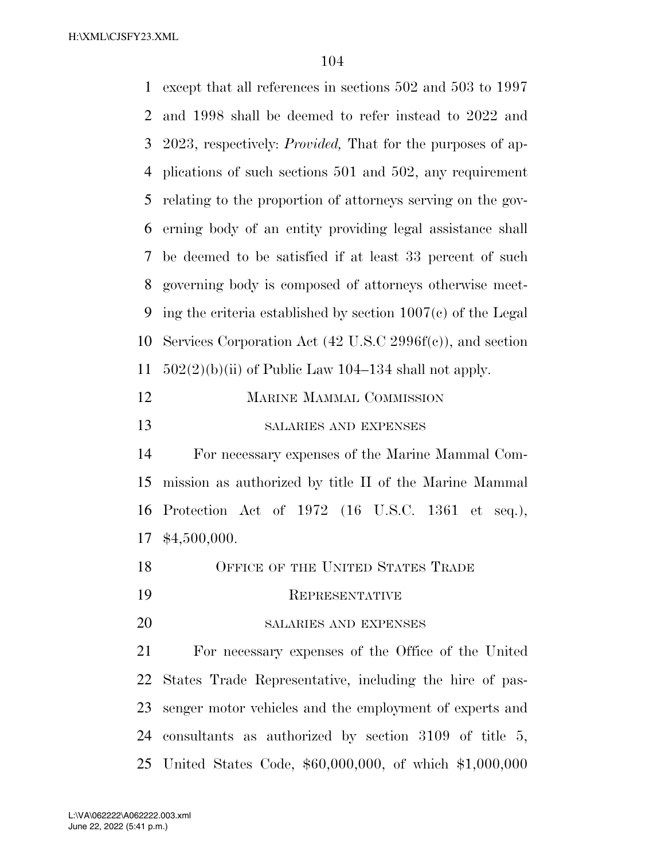| $\mathbf{1}$ | except that all references in sections 502 and 503 to 1997             |
|--------------|------------------------------------------------------------------------|
| 2            | and 1998 shall be deemed to refer instead to 2022 and                  |
| 3            | 2023, respectively: <i>Provided</i> , That for the purposes of ap-     |
| 4            | plications of such sections 501 and 502, any requirement               |
| 5            | relating to the proportion of attorneys serving on the gov-            |
| 6            | erning body of an entity providing legal assistance shall              |
| 7            | be deemed to be satisfied if at least 33 percent of such               |
| 8            | governing body is composed of attorneys otherwise meet-                |
| 9            | ing the criteria established by section $1007(c)$ of the Legal         |
| 10           | Services Corporation Act $(42 \text{ U.S. C } 2996f(c))$ , and section |
| 11           | $502(2)(b)(ii)$ of Public Law 104–134 shall not apply.                 |
| 12           | <b>MARINE MAMMAL COMMISSION</b>                                        |
| 13           | SALARIES AND EXPENSES                                                  |
| 14           | For necessary expenses of the Marine Mammal Com-                       |
| 15           | mission as authorized by title II of the Marine Mammal                 |
| 16           | Protection Act of 1972 (16 U.S.C. 1361 et<br>$seq.$ ),                 |
| 17           | \$4,500,000.                                                           |
| 18           | OFFICE OF THE UNITED STATES TRADE                                      |
| 19           | REPRESENTATIVE                                                         |
| 20           | SALARIES AND EXPENSES                                                  |
| 21           | For necessary expenses of the Office of the United                     |
| 22           | States Trade Representative, including the hire of pas-                |
| 23           | senger motor vehicles and the employment of experts and                |
| 24           | consultants as authorized by section $3109$ of title 5,                |
|              | 25 United States Code, \$60,000,000, of which \$1,000,000              |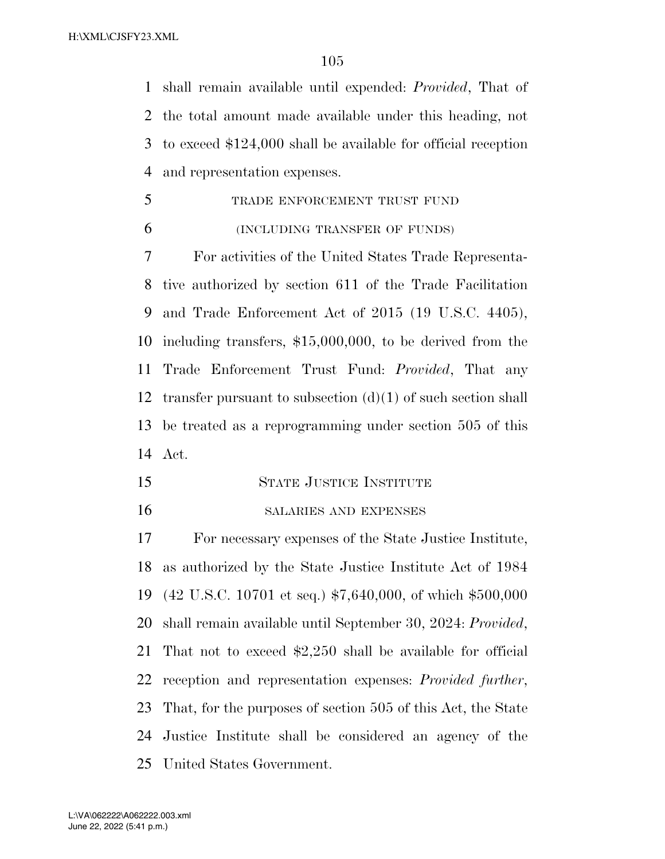shall remain available until expended: *Provided*, That of the total amount made available under this heading, not to exceed \$124,000 shall be available for official reception and representation expenses.

 TRADE ENFORCEMENT TRUST FUND (INCLUDING TRANSFER OF FUNDS)

 For activities of the United States Trade Representa- tive authorized by section 611 of the Trade Facilitation and Trade Enforcement Act of 2015 (19 U.S.C. 4405), including transfers, \$15,000,000, to be derived from the Trade Enforcement Trust Fund: *Provided*, That any 12 transfer pursuant to subsection  $(d)(1)$  of such section shall be treated as a reprogramming under section 505 of this Act.

- STATE JUSTICE INSTITUTE
- SALARIES AND EXPENSES

 For necessary expenses of the State Justice Institute, as authorized by the State Justice Institute Act of 1984 (42 U.S.C. 10701 et seq.) \$7,640,000, of which \$500,000 shall remain available until September 30, 2024: *Provided*, That not to exceed \$2,250 shall be available for official reception and representation expenses: *Provided further*, That, for the purposes of section 505 of this Act, the State Justice Institute shall be considered an agency of the United States Government.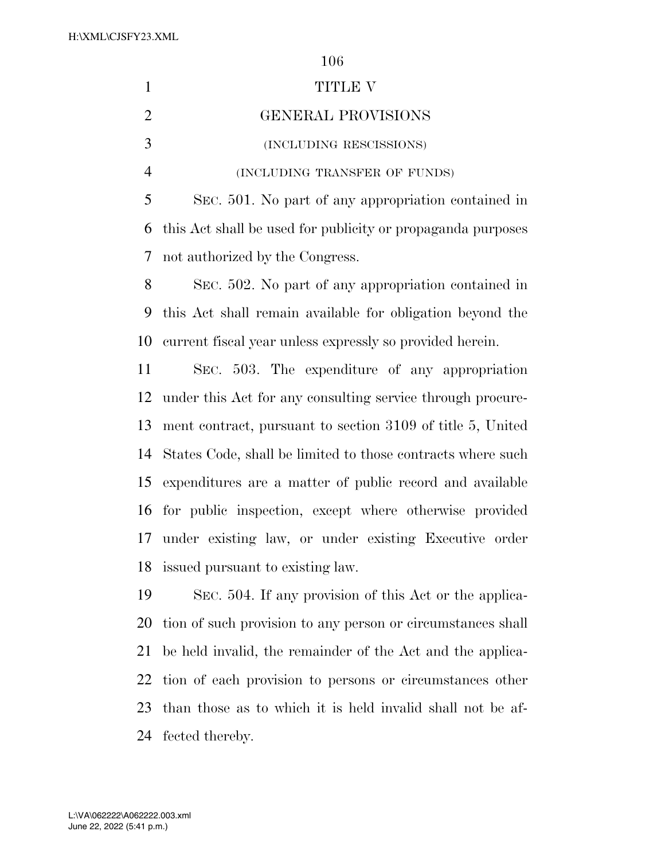|                | 106                                                         |
|----------------|-------------------------------------------------------------|
| $\mathbf{1}$   | TITLE V                                                     |
| $\overline{2}$ | <b>GENERAL PROVISIONS</b>                                   |
| 3              | (INCLUDING RESCISSIONS)                                     |
| $\overline{4}$ | (INCLUDING TRANSFER OF FUNDS)                               |
| 5              | SEC. 501. No part of any appropriation contained in         |
| 6              | this Act shall be used for publicity or propaganda purposes |
| $\overline{7}$ | not authorized by the Congress.                             |
| 8              | SEC. 502. No part of any appropriation contained in         |
| 9              | this Act shall remain available for obligation beyond the   |
| 10             | current fiscal year unless expressly so provided herein.    |
| 11             | SEC. 503. The expenditure of any appropriation              |
| 12             | under this Act for any consulting service through procure-  |
| 13             | ment contract, pursuant to section 3109 of title 5, United  |
| 14             | States Code, shall be limited to those contracts where such |
| 15             | expenditures are a matter of public record and available    |
| 16             | for public inspection, except where otherwise provided      |
| 17             | under existing law, or under existing Executive order       |
| 18             | issued pursuant to existing law.                            |
|                |                                                             |

 SEC. 504. If any provision of this Act or the applica- tion of such provision to any person or circumstances shall be held invalid, the remainder of the Act and the applica- tion of each provision to persons or circumstances other than those as to which it is held invalid shall not be af-fected thereby.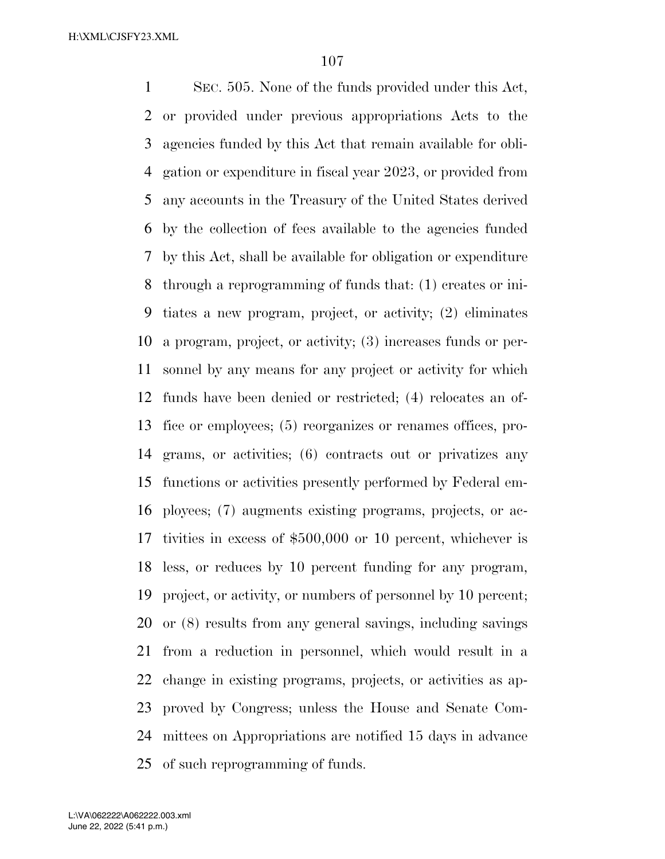SEC. 505. None of the funds provided under this Act, or provided under previous appropriations Acts to the agencies funded by this Act that remain available for obli- gation or expenditure in fiscal year 2023, or provided from any accounts in the Treasury of the United States derived by the collection of fees available to the agencies funded by this Act, shall be available for obligation or expenditure through a reprogramming of funds that: (1) creates or ini- tiates a new program, project, or activity; (2) eliminates a program, project, or activity; (3) increases funds or per- sonnel by any means for any project or activity for which funds have been denied or restricted; (4) relocates an of- fice or employees; (5) reorganizes or renames offices, pro- grams, or activities; (6) contracts out or privatizes any functions or activities presently performed by Federal em- ployees; (7) augments existing programs, projects, or ac- tivities in excess of \$500,000 or 10 percent, whichever is less, or reduces by 10 percent funding for any program, project, or activity, or numbers of personnel by 10 percent; or (8) results from any general savings, including savings from a reduction in personnel, which would result in a change in existing programs, projects, or activities as ap- proved by Congress; unless the House and Senate Com- mittees on Appropriations are notified 15 days in advance of such reprogramming of funds.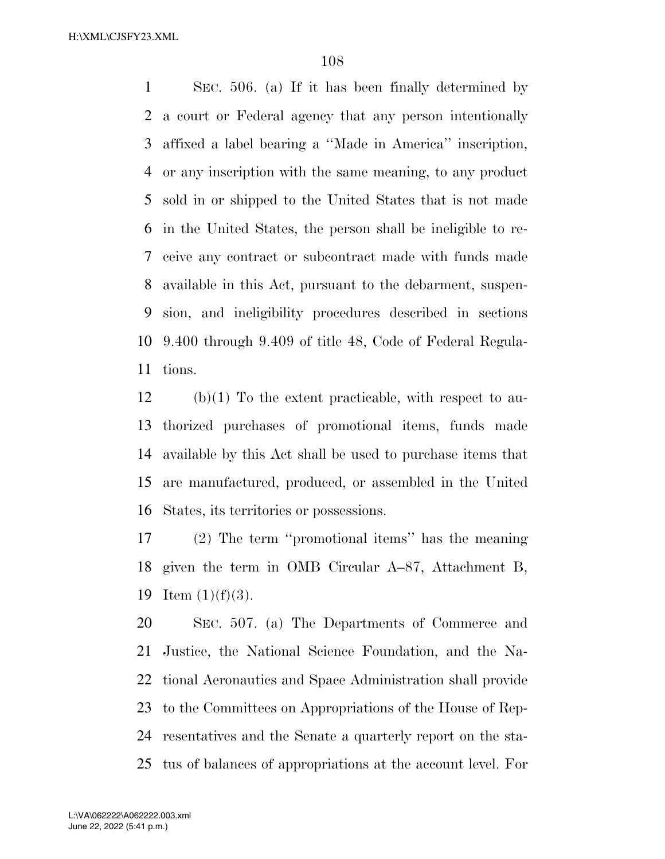SEC. 506. (a) If it has been finally determined by a court or Federal agency that any person intentionally affixed a label bearing a ''Made in America'' inscription, or any inscription with the same meaning, to any product sold in or shipped to the United States that is not made in the United States, the person shall be ineligible to re- ceive any contract or subcontract made with funds made available in this Act, pursuant to the debarment, suspen- sion, and ineligibility procedures described in sections 9.400 through 9.409 of title 48, Code of Federal Regula-tions.

 (b)(1) To the extent practicable, with respect to au- thorized purchases of promotional items, funds made available by this Act shall be used to purchase items that are manufactured, produced, or assembled in the United States, its territories or possessions.

 (2) The term ''promotional items'' has the meaning given the term in OMB Circular A–87, Attachment B, 19 Item  $(1)(f)(3)$ .

 SEC. 507. (a) The Departments of Commerce and Justice, the National Science Foundation, and the Na- tional Aeronautics and Space Administration shall provide to the Committees on Appropriations of the House of Rep- resentatives and the Senate a quarterly report on the sta-tus of balances of appropriations at the account level. For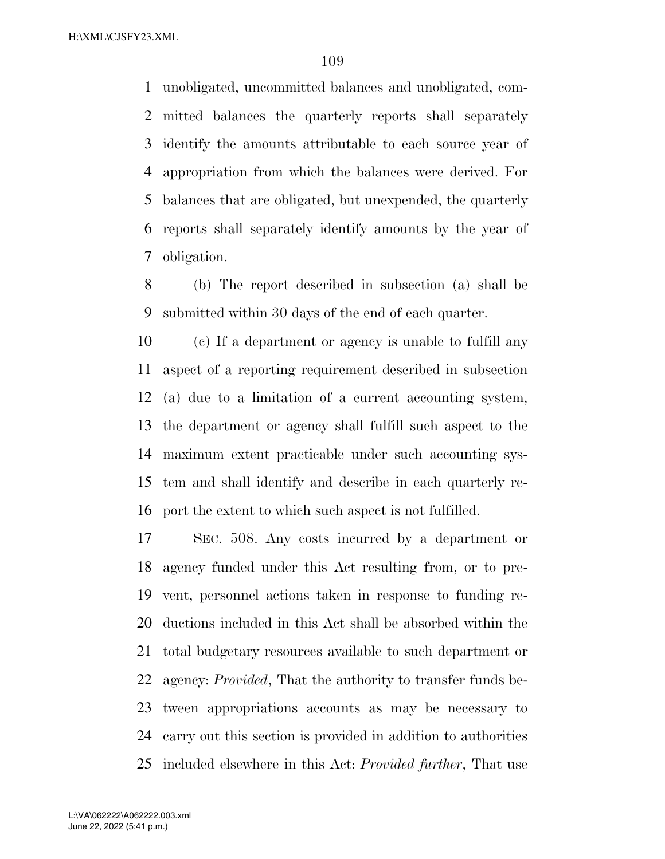unobligated, uncommitted balances and unobligated, com- mitted balances the quarterly reports shall separately identify the amounts attributable to each source year of appropriation from which the balances were derived. For balances that are obligated, but unexpended, the quarterly reports shall separately identify amounts by the year of obligation.

 (b) The report described in subsection (a) shall be submitted within 30 days of the end of each quarter.

 (c) If a department or agency is unable to fulfill any aspect of a reporting requirement described in subsection (a) due to a limitation of a current accounting system, the department or agency shall fulfill such aspect to the maximum extent practicable under such accounting sys- tem and shall identify and describe in each quarterly re-port the extent to which such aspect is not fulfilled.

 SEC. 508. Any costs incurred by a department or agency funded under this Act resulting from, or to pre- vent, personnel actions taken in response to funding re- ductions included in this Act shall be absorbed within the total budgetary resources available to such department or agency: *Provided*, That the authority to transfer funds be- tween appropriations accounts as may be necessary to carry out this section is provided in addition to authorities included elsewhere in this Act: *Provided further*, That use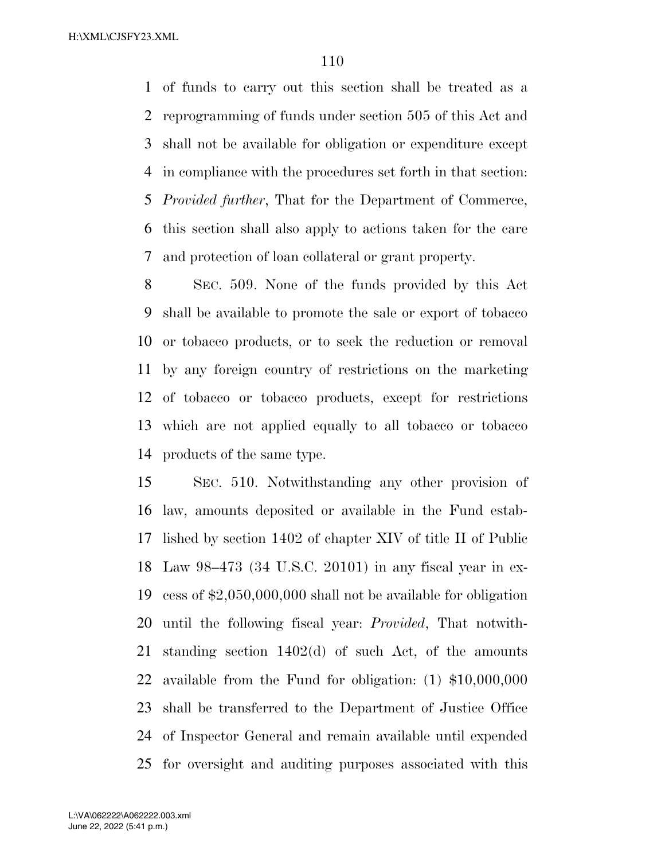of funds to carry out this section shall be treated as a reprogramming of funds under section 505 of this Act and shall not be available for obligation or expenditure except in compliance with the procedures set forth in that section: *Provided further*, That for the Department of Commerce, this section shall also apply to actions taken for the care and protection of loan collateral or grant property.

 SEC. 509. None of the funds provided by this Act shall be available to promote the sale or export of tobacco or tobacco products, or to seek the reduction or removal by any foreign country of restrictions on the marketing of tobacco or tobacco products, except for restrictions which are not applied equally to all tobacco or tobacco products of the same type.

 SEC. 510. Notwithstanding any other provision of law, amounts deposited or available in the Fund estab- lished by section 1402 of chapter XIV of title II of Public Law 98–473 (34 U.S.C. 20101) in any fiscal year in ex- cess of \$2,050,000,000 shall not be available for obligation until the following fiscal year: *Provided*, That notwith- standing section 1402(d) of such Act, of the amounts available from the Fund for obligation: (1) \$10,000,000 shall be transferred to the Department of Justice Office of Inspector General and remain available until expended for oversight and auditing purposes associated with this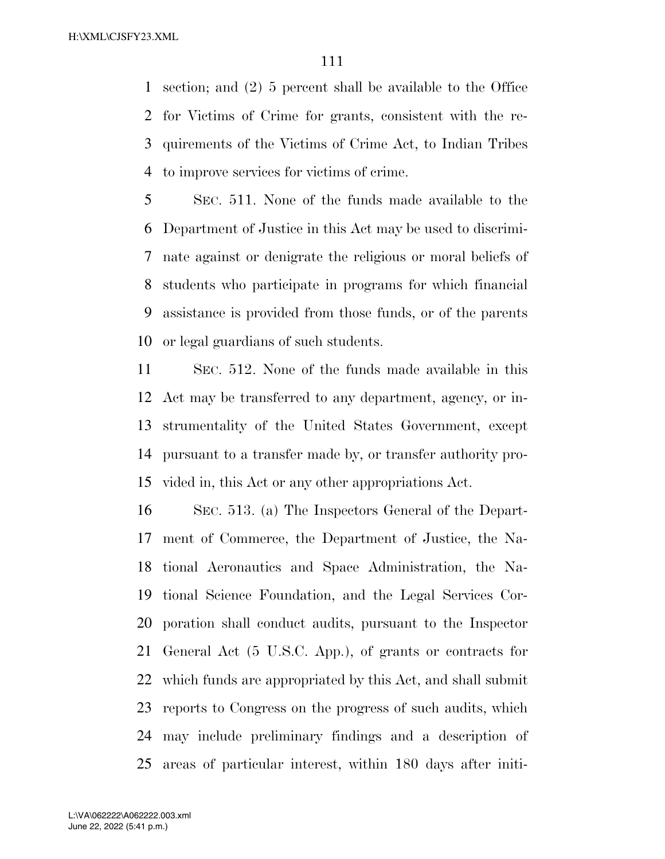section; and (2) 5 percent shall be available to the Office for Victims of Crime for grants, consistent with the re- quirements of the Victims of Crime Act, to Indian Tribes to improve services for victims of crime.

 SEC. 511. None of the funds made available to the Department of Justice in this Act may be used to discrimi- nate against or denigrate the religious or moral beliefs of students who participate in programs for which financial assistance is provided from those funds, or of the parents or legal guardians of such students.

 SEC. 512. None of the funds made available in this Act may be transferred to any department, agency, or in- strumentality of the United States Government, except pursuant to a transfer made by, or transfer authority pro-vided in, this Act or any other appropriations Act.

 SEC. 513. (a) The Inspectors General of the Depart- ment of Commerce, the Department of Justice, the Na- tional Aeronautics and Space Administration, the Na- tional Science Foundation, and the Legal Services Cor- poration shall conduct audits, pursuant to the Inspector General Act (5 U.S.C. App.), of grants or contracts for which funds are appropriated by this Act, and shall submit reports to Congress on the progress of such audits, which may include preliminary findings and a description of areas of particular interest, within 180 days after initi-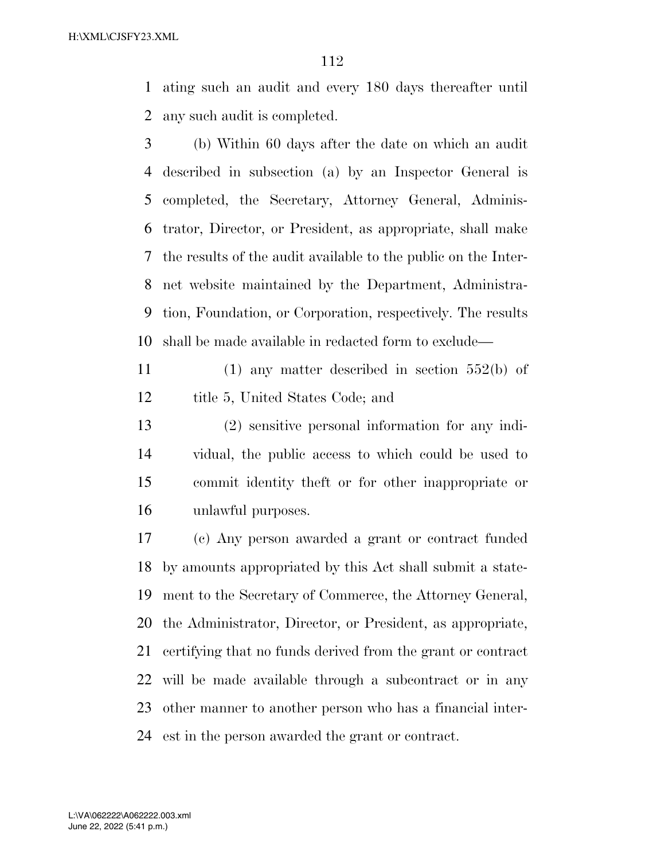ating such an audit and every 180 days thereafter until any such audit is completed.

- (b) Within 60 days after the date on which an audit described in subsection (a) by an Inspector General is completed, the Secretary, Attorney General, Adminis- trator, Director, or President, as appropriate, shall make the results of the audit available to the public on the Inter- net website maintained by the Department, Administra- tion, Foundation, or Corporation, respectively. The results shall be made available in redacted form to exclude—
- (1) any matter described in section 552(b) of 12 title 5, United States Code; and
- (2) sensitive personal information for any indi- vidual, the public access to which could be used to commit identity theft or for other inappropriate or unlawful purposes.

 (c) Any person awarded a grant or contract funded by amounts appropriated by this Act shall submit a state- ment to the Secretary of Commerce, the Attorney General, the Administrator, Director, or President, as appropriate, certifying that no funds derived from the grant or contract will be made available through a subcontract or in any other manner to another person who has a financial inter-est in the person awarded the grant or contract.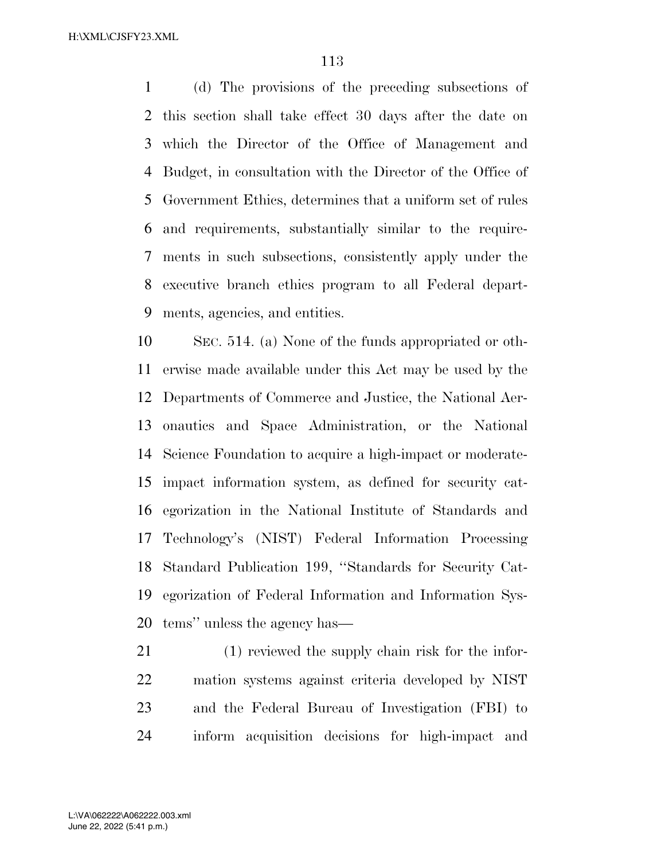(d) The provisions of the preceding subsections of this section shall take effect 30 days after the date on which the Director of the Office of Management and Budget, in consultation with the Director of the Office of Government Ethics, determines that a uniform set of rules and requirements, substantially similar to the require- ments in such subsections, consistently apply under the executive branch ethics program to all Federal depart-ments, agencies, and entities.

 SEC. 514. (a) None of the funds appropriated or oth- erwise made available under this Act may be used by the Departments of Commerce and Justice, the National Aer- onautics and Space Administration, or the National Science Foundation to acquire a high-impact or moderate- impact information system, as defined for security cat- egorization in the National Institute of Standards and Technology's (NIST) Federal Information Processing Standard Publication 199, ''Standards for Security Cat- egorization of Federal Information and Information Sys-tems'' unless the agency has—

 (1) reviewed the supply chain risk for the infor- mation systems against criteria developed by NIST and the Federal Bureau of Investigation (FBI) to inform acquisition decisions for high-impact and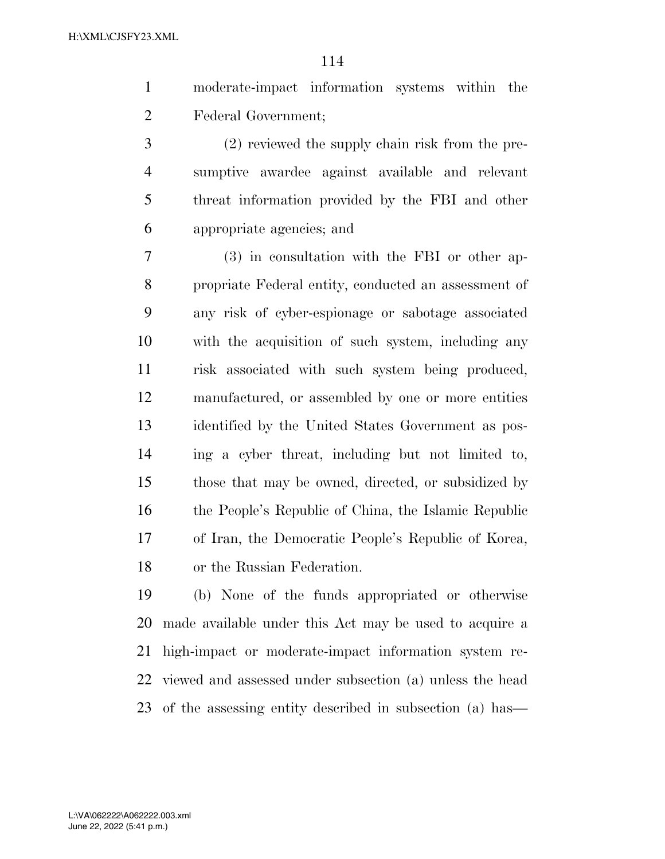- moderate-impact information systems within the Federal Government;
- (2) reviewed the supply chain risk from the pre- sumptive awardee against available and relevant threat information provided by the FBI and other appropriate agencies; and

 (3) in consultation with the FBI or other ap- propriate Federal entity, conducted an assessment of any risk of cyber-espionage or sabotage associated with the acquisition of such system, including any risk associated with such system being produced, manufactured, or assembled by one or more entities identified by the United States Government as pos- ing a cyber threat, including but not limited to, those that may be owned, directed, or subsidized by the People's Republic of China, the Islamic Republic of Iran, the Democratic People's Republic of Korea, or the Russian Federation.

 (b) None of the funds appropriated or otherwise made available under this Act may be used to acquire a high-impact or moderate-impact information system re- viewed and assessed under subsection (a) unless the head of the assessing entity described in subsection (a) has—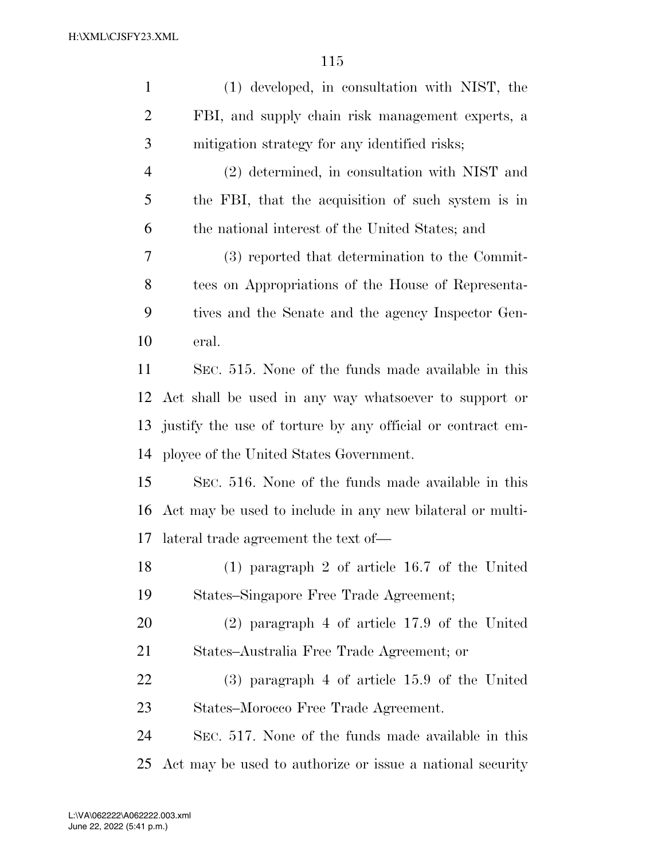| $\mathbf{1}$   | (1) developed, in consultation with NIST, the              |
|----------------|------------------------------------------------------------|
| $\overline{2}$ | FBI, and supply chain risk management experts, a           |
| 3              | mitigation strategy for any identified risks;              |
| $\overline{4}$ | (2) determined, in consultation with NIST and              |
| 5              | the FBI, that the acquisition of such system is in         |
| 6              | the national interest of the United States; and            |
| 7              | (3) reported that determination to the Commit-             |
| 8              | tees on Appropriations of the House of Representa-         |
| 9              | tives and the Senate and the agency Inspector Gen-         |
| 10             | eral.                                                      |
| 11             | SEC. 515. None of the funds made available in this         |
| 12             | Act shall be used in any way whatsoever to support or      |
| 13             | justify the use of torture by any official or contract em- |
| 14             | ployee of the United States Government.                    |
| 15             | SEC. 516. None of the funds made available in this         |
| 16             | Act may be used to include in any new bilateral or multi-  |
|                | 17 lateral trade agreement the text of—                    |
| 18             | $(1)$ paragraph 2 of article 16.7 of the United            |
| 19             | States–Singapore Free Trade Agreement;                     |
| 20             | $(2)$ paragraph 4 of article 17.9 of the United            |
| 21             | States–Australia Free Trade Agreement; or                  |
| 22             | $(3)$ paragraph 4 of article 15.9 of the United            |
| 23             | States–Morocco Free Trade Agreement.                       |
| 24             | SEC. 517. None of the funds made available in this         |
| 25             | Act may be used to authorize or issue a national security  |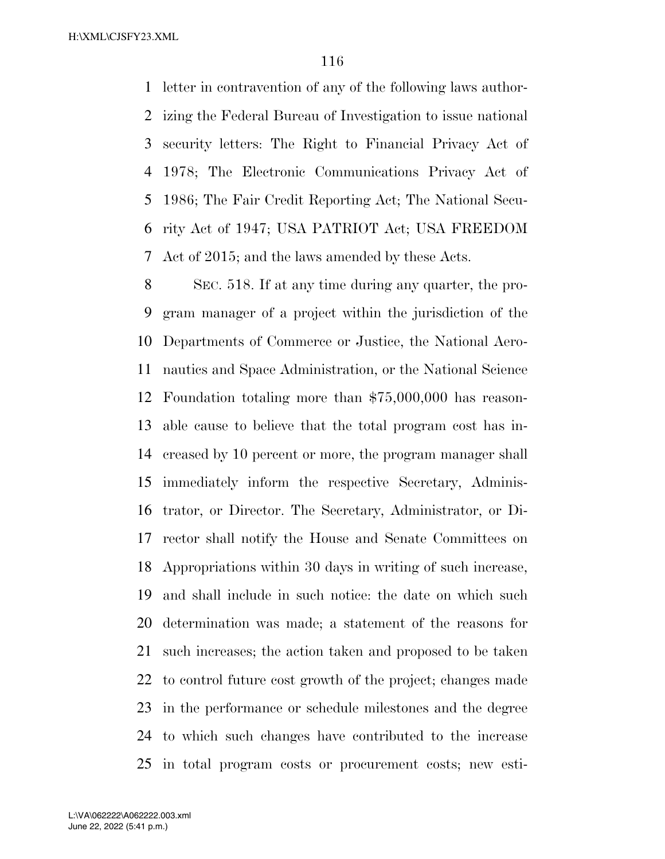letter in contravention of any of the following laws author- izing the Federal Bureau of Investigation to issue national security letters: The Right to Financial Privacy Act of 1978; The Electronic Communications Privacy Act of 1986; The Fair Credit Reporting Act; The National Secu- rity Act of 1947; USA PATRIOT Act; USA FREEDOM Act of 2015; and the laws amended by these Acts.

 SEC. 518. If at any time during any quarter, the pro- gram manager of a project within the jurisdiction of the Departments of Commerce or Justice, the National Aero- nautics and Space Administration, or the National Science Foundation totaling more than \$75,000,000 has reason- able cause to believe that the total program cost has in- creased by 10 percent or more, the program manager shall immediately inform the respective Secretary, Adminis- trator, or Director. The Secretary, Administrator, or Di- rector shall notify the House and Senate Committees on Appropriations within 30 days in writing of such increase, and shall include in such notice: the date on which such determination was made; a statement of the reasons for such increases; the action taken and proposed to be taken to control future cost growth of the project; changes made in the performance or schedule milestones and the degree to which such changes have contributed to the increase in total program costs or procurement costs; new esti-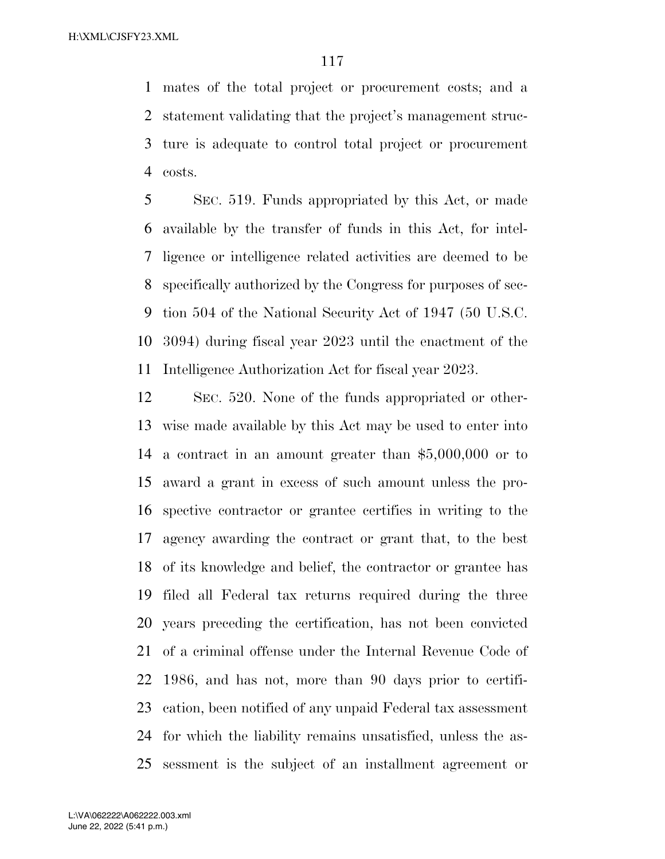mates of the total project or procurement costs; and a statement validating that the project's management struc- ture is adequate to control total project or procurement costs.

 SEC. 519. Funds appropriated by this Act, or made available by the transfer of funds in this Act, for intel- ligence or intelligence related activities are deemed to be specifically authorized by the Congress for purposes of sec- tion 504 of the National Security Act of 1947 (50 U.S.C. 3094) during fiscal year 2023 until the enactment of the Intelligence Authorization Act for fiscal year 2023.

 SEC. 520. None of the funds appropriated or other- wise made available by this Act may be used to enter into a contract in an amount greater than \$5,000,000 or to award a grant in excess of such amount unless the pro- spective contractor or grantee certifies in writing to the agency awarding the contract or grant that, to the best of its knowledge and belief, the contractor or grantee has filed all Federal tax returns required during the three years preceding the certification, has not been convicted of a criminal offense under the Internal Revenue Code of 1986, and has not, more than 90 days prior to certifi- cation, been notified of any unpaid Federal tax assessment for which the liability remains unsatisfied, unless the as-sessment is the subject of an installment agreement or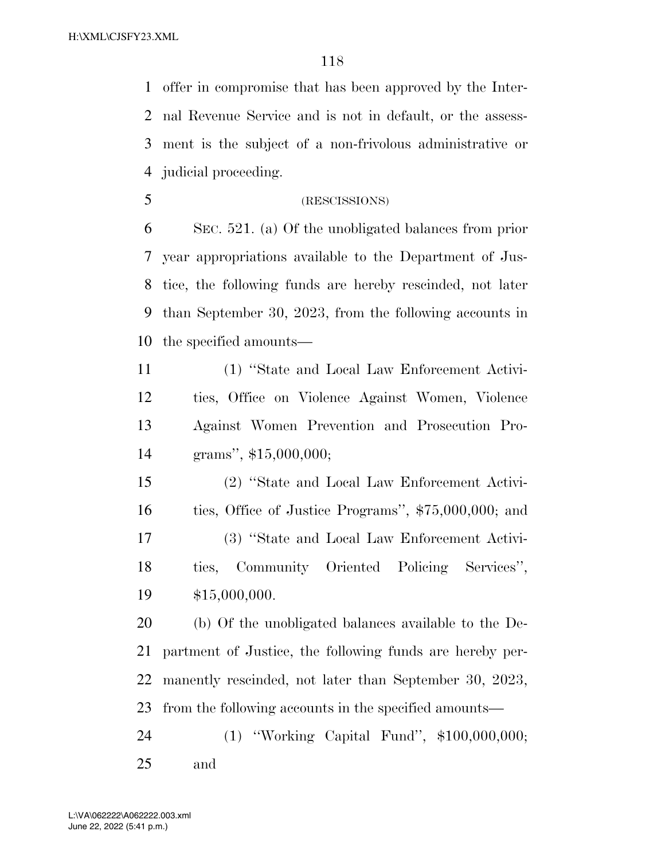offer in compromise that has been approved by the Inter- nal Revenue Service and is not in default, or the assess- ment is the subject of a non-frivolous administrative or judicial proceeding.

(RESCISSIONS)

 SEC. 521. (a) Of the unobligated balances from prior year appropriations available to the Department of Jus- tice, the following funds are hereby rescinded, not later than September 30, 2023, from the following accounts in the specified amounts—

 (1) ''State and Local Law Enforcement Activi- ties, Office on Violence Against Women, Violence Against Women Prevention and Prosecution Pro-grams'', \$15,000,000;

 (2) ''State and Local Law Enforcement Activi- ties, Office of Justice Programs'', \$75,000,000; and (3) ''State and Local Law Enforcement Activi- ties, Community Oriented Policing Services'', \$15,000,000.

 (b) Of the unobligated balances available to the De- partment of Justice, the following funds are hereby per- manently rescinded, not later than September 30, 2023, from the following accounts in the specified amounts—

 (1) ''Working Capital Fund'', \$100,000,000; and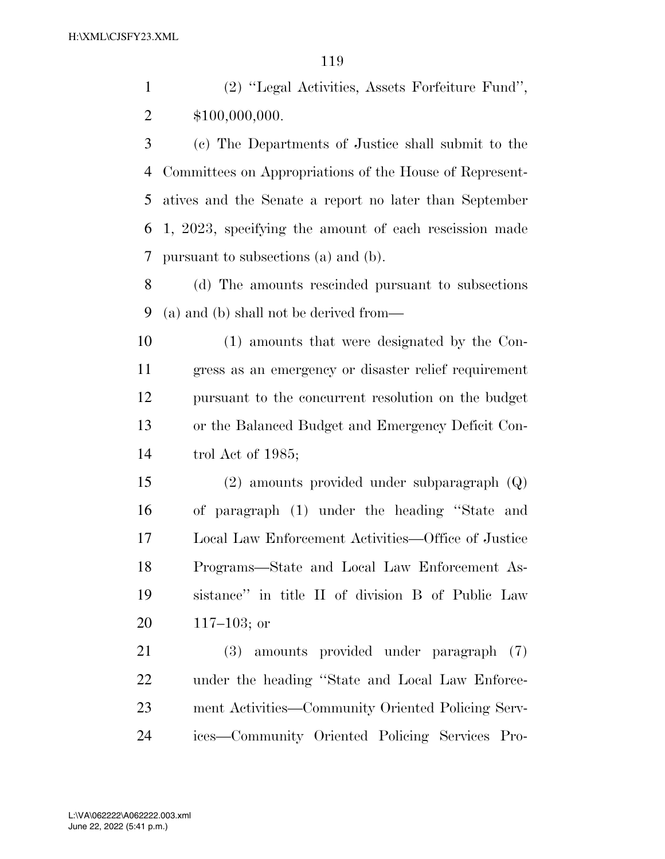(2) ''Legal Activities, Assets Forfeiture Fund'', \$100,000,000.

 (c) The Departments of Justice shall submit to the Committees on Appropriations of the House of Represent- atives and the Senate a report no later than September 1, 2023, specifying the amount of each rescission made pursuant to subsections (a) and (b).

 (d) The amounts rescinded pursuant to subsections (a) and (b) shall not be derived from—

 (1) amounts that were designated by the Con- gress as an emergency or disaster relief requirement pursuant to the concurrent resolution on the budget or the Balanced Budget and Emergency Deficit Con-trol Act of 1985;

 (2) amounts provided under subparagraph (Q) of paragraph (1) under the heading ''State and Local Law Enforcement Activities—Office of Justice Programs—State and Local Law Enforcement As- sistance'' in title II of division B of Public Law 117–103; or

 (3) amounts provided under paragraph (7) under the heading ''State and Local Law Enforce- ment Activities—Community Oriented Policing Serv-ices—Community Oriented Policing Services Pro-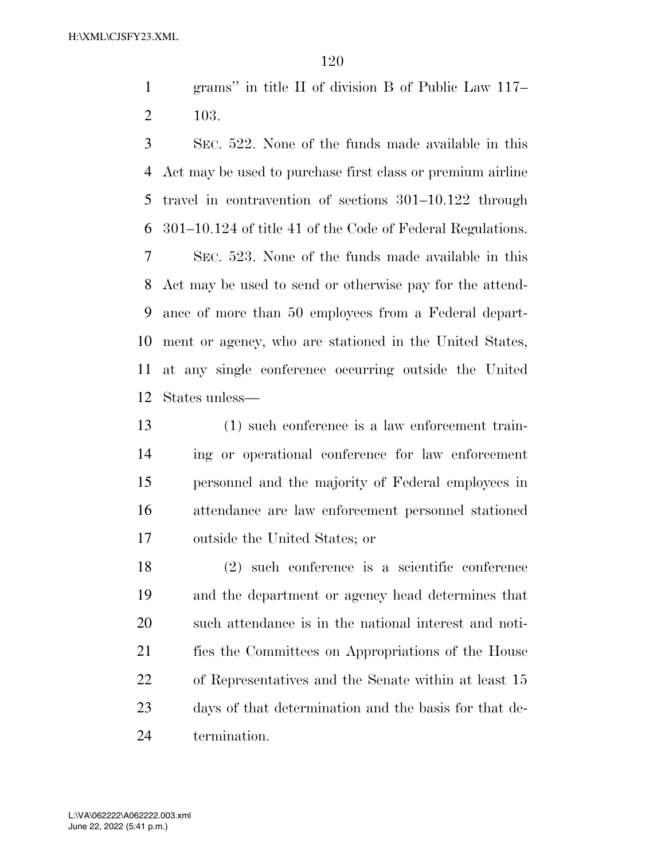grams'' in title II of division B of Public Law 117– 103.

 SEC. 522. None of the funds made available in this Act may be used to purchase first class or premium airline travel in contravention of sections 301–10.122 through 301–10.124 of title 41 of the Code of Federal Regulations. SEC. 523. None of the funds made available in this Act may be used to send or otherwise pay for the attend- ance of more than 50 employees from a Federal depart- ment or agency, who are stationed in the United States, at any single conference occurring outside the United States unless—

 (1) such conference is a law enforcement train- ing or operational conference for law enforcement personnel and the majority of Federal employees in attendance are law enforcement personnel stationed outside the United States; or

 (2) such conference is a scientific conference and the department or agency head determines that such attendance is in the national interest and noti- fies the Committees on Appropriations of the House of Representatives and the Senate within at least 15 days of that determination and the basis for that de-termination.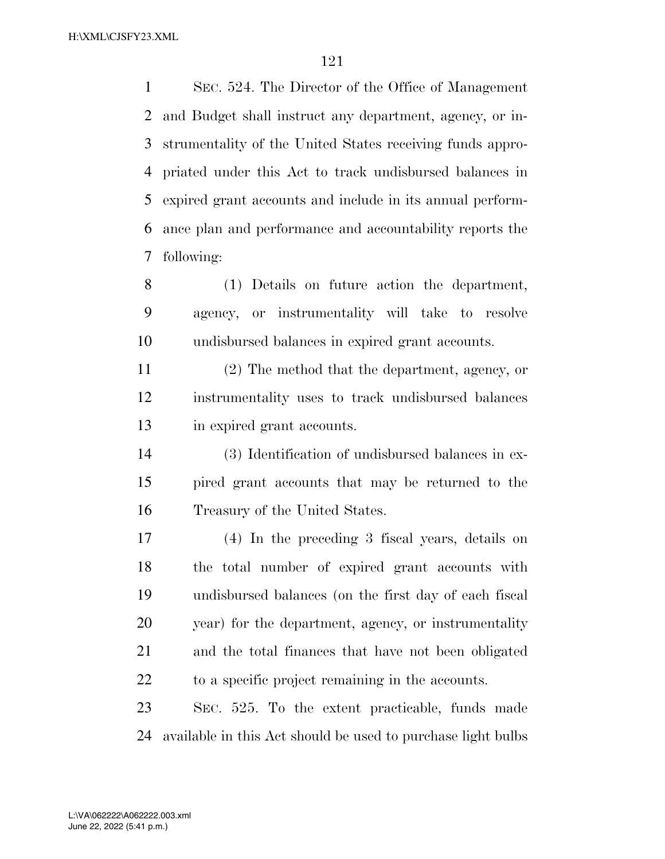SEC. 524. The Director of the Office of Management and Budget shall instruct any department, agency, or in- strumentality of the United States receiving funds appro- priated under this Act to track undisbursed balances in expired grant accounts and include in its annual perform- ance plan and performance and accountability reports the following:

 (1) Details on future action the department, agency, or instrumentality will take to resolve undisbursed balances in expired grant accounts.

 (2) The method that the department, agency, or instrumentality uses to track undisbursed balances in expired grant accounts.

 (3) Identification of undisbursed balances in ex- pired grant accounts that may be returned to the Treasury of the United States.

 (4) In the preceding 3 fiscal years, details on the total number of expired grant accounts with undisbursed balances (on the first day of each fiscal year) for the department, agency, or instrumentality and the total finances that have not been obligated to a specific project remaining in the accounts.

 SEC. 525. To the extent practicable, funds made available in this Act should be used to purchase light bulbs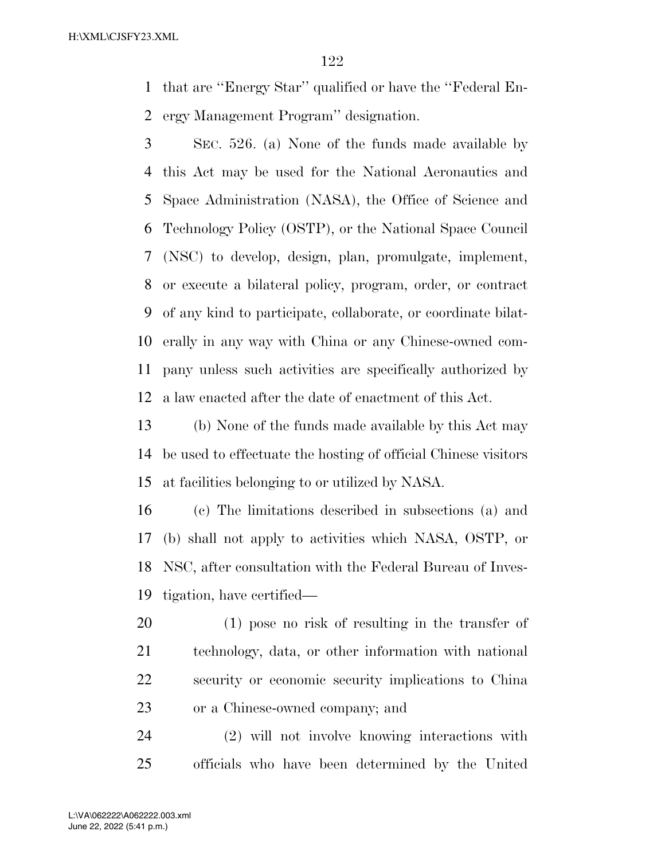that are ''Energy Star'' qualified or have the ''Federal En-ergy Management Program'' designation.

 SEC. 526. (a) None of the funds made available by this Act may be used for the National Aeronautics and Space Administration (NASA), the Office of Science and Technology Policy (OSTP), or the National Space Council (NSC) to develop, design, plan, promulgate, implement, or execute a bilateral policy, program, order, or contract of any kind to participate, collaborate, or coordinate bilat- erally in any way with China or any Chinese-owned com- pany unless such activities are specifically authorized by a law enacted after the date of enactment of this Act.

 (b) None of the funds made available by this Act may be used to effectuate the hosting of official Chinese visitors at facilities belonging to or utilized by NASA.

 (c) The limitations described in subsections (a) and (b) shall not apply to activities which NASA, OSTP, or NSC, after consultation with the Federal Bureau of Inves-tigation, have certified—

 (1) pose no risk of resulting in the transfer of technology, data, or other information with national security or economic security implications to China or a Chinese-owned company; and

 (2) will not involve knowing interactions with officials who have been determined by the United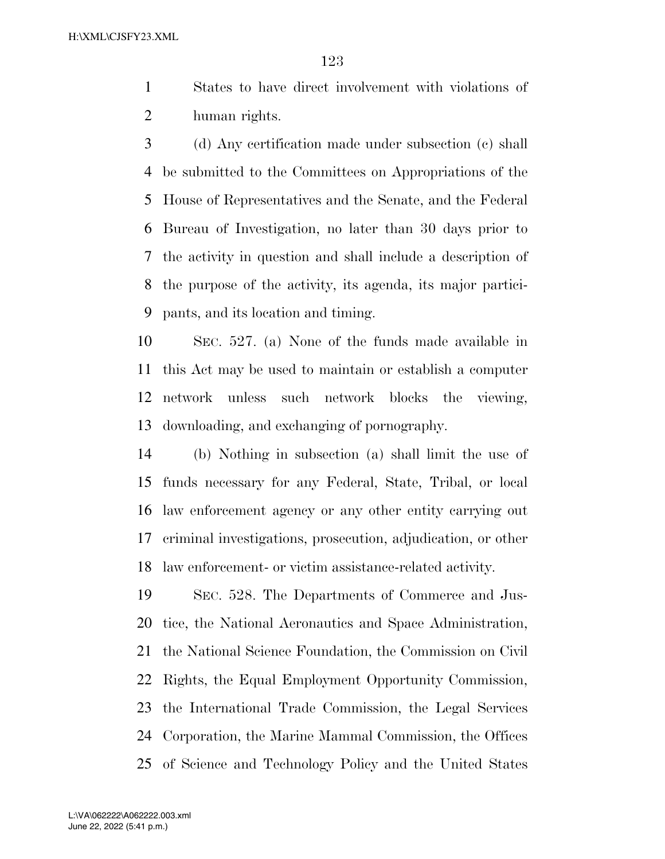States to have direct involvement with violations of human rights.

 (d) Any certification made under subsection (c) shall be submitted to the Committees on Appropriations of the House of Representatives and the Senate, and the Federal Bureau of Investigation, no later than 30 days prior to the activity in question and shall include a description of the purpose of the activity, its agenda, its major partici-pants, and its location and timing.

 SEC. 527. (a) None of the funds made available in this Act may be used to maintain or establish a computer network unless such network blocks the viewing, downloading, and exchanging of pornography.

 (b) Nothing in subsection (a) shall limit the use of funds necessary for any Federal, State, Tribal, or local law enforcement agency or any other entity carrying out criminal investigations, prosecution, adjudication, or other law enforcement- or victim assistance-related activity.

 SEC. 528. The Departments of Commerce and Jus- tice, the National Aeronautics and Space Administration, the National Science Foundation, the Commission on Civil Rights, the Equal Employment Opportunity Commission, the International Trade Commission, the Legal Services Corporation, the Marine Mammal Commission, the Offices of Science and Technology Policy and the United States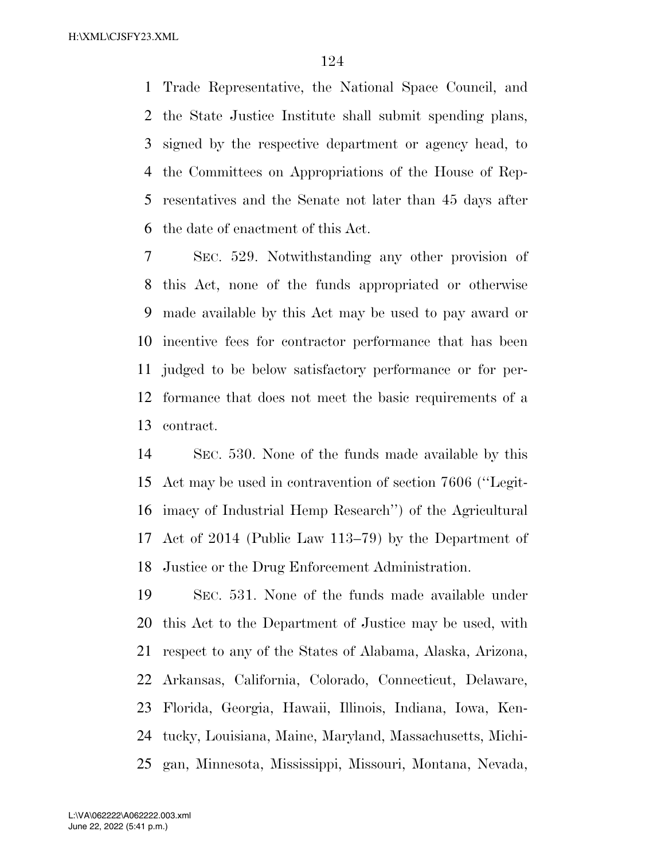Trade Representative, the National Space Council, and the State Justice Institute shall submit spending plans, signed by the respective department or agency head, to the Committees on Appropriations of the House of Rep- resentatives and the Senate not later than 45 days after the date of enactment of this Act.

 SEC. 529. Notwithstanding any other provision of this Act, none of the funds appropriated or otherwise made available by this Act may be used to pay award or incentive fees for contractor performance that has been judged to be below satisfactory performance or for per- formance that does not meet the basic requirements of a contract.

 SEC. 530. None of the funds made available by this Act may be used in contravention of section 7606 (''Legit- imacy of Industrial Hemp Research'') of the Agricultural Act of 2014 (Public Law 113–79) by the Department of Justice or the Drug Enforcement Administration.

 SEC. 531. None of the funds made available under this Act to the Department of Justice may be used, with respect to any of the States of Alabama, Alaska, Arizona, Arkansas, California, Colorado, Connecticut, Delaware, Florida, Georgia, Hawaii, Illinois, Indiana, Iowa, Ken- tucky, Louisiana, Maine, Maryland, Massachusetts, Michi-gan, Minnesota, Mississippi, Missouri, Montana, Nevada,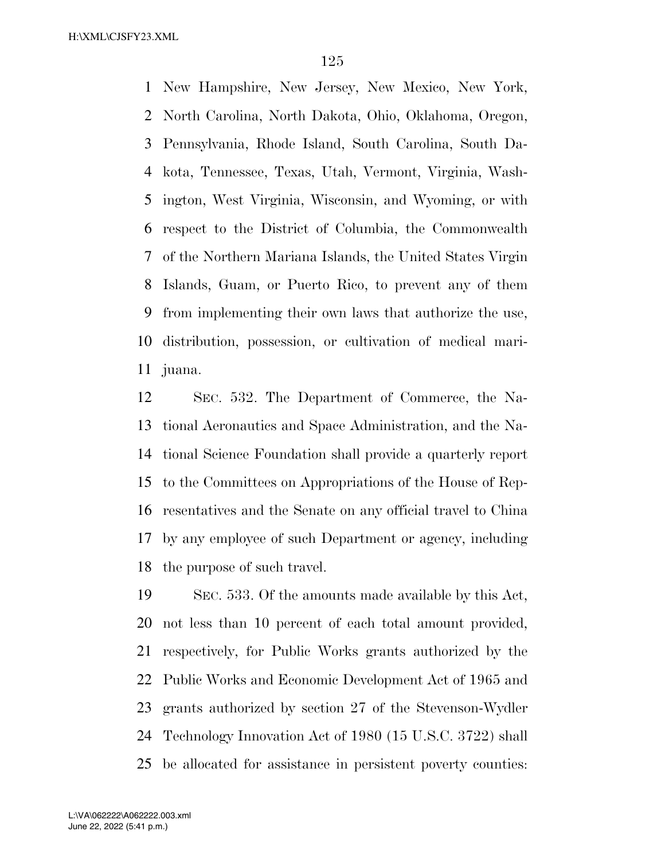New Hampshire, New Jersey, New Mexico, New York, North Carolina, North Dakota, Ohio, Oklahoma, Oregon, Pennsylvania, Rhode Island, South Carolina, South Da- kota, Tennessee, Texas, Utah, Vermont, Virginia, Wash- ington, West Virginia, Wisconsin, and Wyoming, or with respect to the District of Columbia, the Commonwealth of the Northern Mariana Islands, the United States Virgin Islands, Guam, or Puerto Rico, to prevent any of them from implementing their own laws that authorize the use, distribution, possession, or cultivation of medical mari-juana.

 SEC. 532. The Department of Commerce, the Na- tional Aeronautics and Space Administration, and the Na- tional Science Foundation shall provide a quarterly report to the Committees on Appropriations of the House of Rep- resentatives and the Senate on any official travel to China by any employee of such Department or agency, including the purpose of such travel.

 SEC. 533. Of the amounts made available by this Act, not less than 10 percent of each total amount provided, respectively, for Public Works grants authorized by the Public Works and Economic Development Act of 1965 and grants authorized by section 27 of the Stevenson-Wydler Technology Innovation Act of 1980 (15 U.S.C. 3722) shall be allocated for assistance in persistent poverty counties: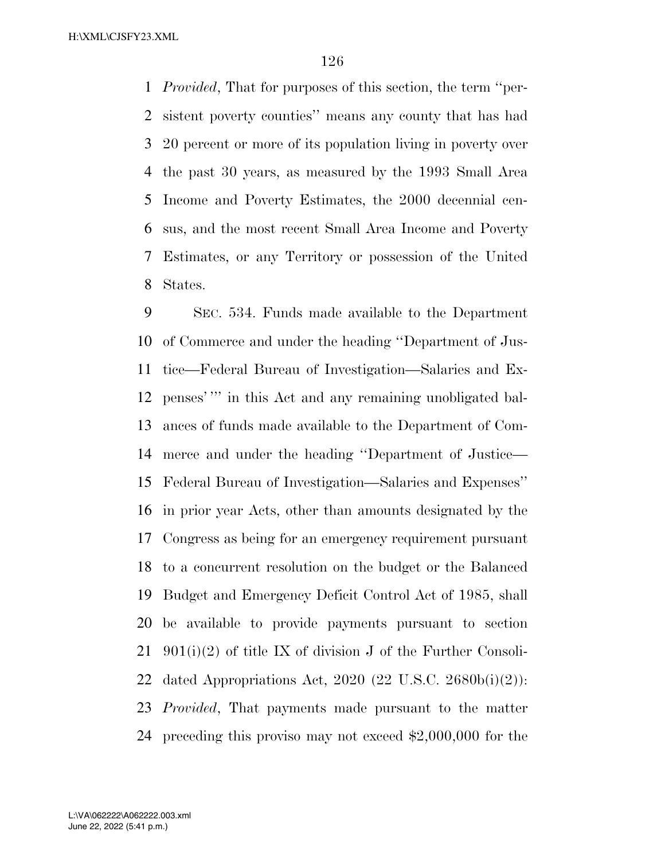*Provided*, That for purposes of this section, the term ''per- sistent poverty counties'' means any county that has had 20 percent or more of its population living in poverty over the past 30 years, as measured by the 1993 Small Area Income and Poverty Estimates, the 2000 decennial cen- sus, and the most recent Small Area Income and Poverty Estimates, or any Territory or possession of the United States.

 SEC. 534. Funds made available to the Department of Commerce and under the heading ''Department of Jus- tice—Federal Bureau of Investigation—Salaries and Ex- penses' ''' in this Act and any remaining unobligated bal- ances of funds made available to the Department of Com- merce and under the heading ''Department of Justice— Federal Bureau of Investigation—Salaries and Expenses'' in prior year Acts, other than amounts designated by the Congress as being for an emergency requirement pursuant to a concurrent resolution on the budget or the Balanced Budget and Emergency Deficit Control Act of 1985, shall be available to provide payments pursuant to section 901(i)(2) of title IX of division J of the Further Consoli-22 dated Appropriations Act, 2020 (22 U.S.C. 2680b(i)(2)): *Provided*, That payments made pursuant to the matter preceding this proviso may not exceed \$2,000,000 for the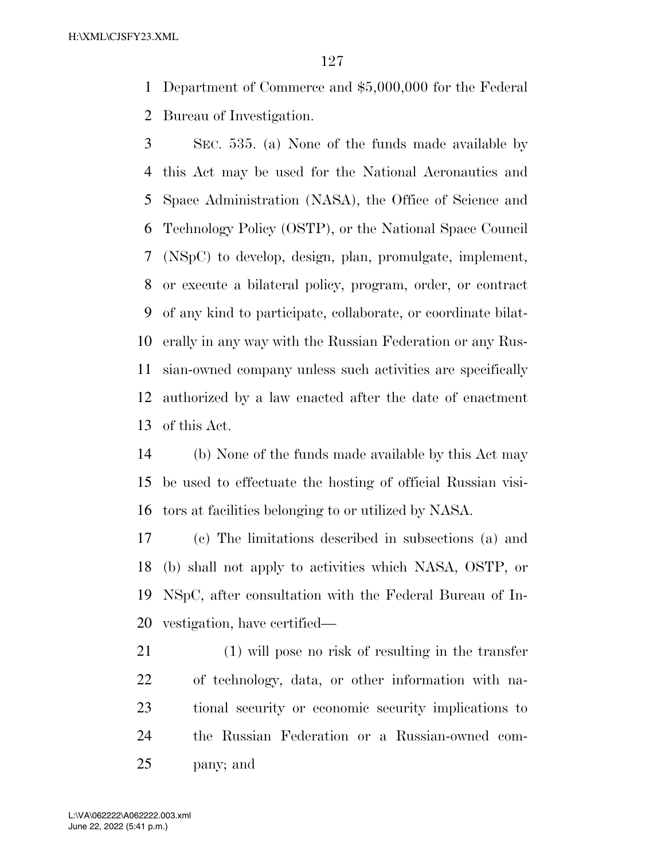Department of Commerce and \$5,000,000 for the Federal Bureau of Investigation.

 SEC. 535. (a) None of the funds made available by this Act may be used for the National Aeronautics and Space Administration (NASA), the Office of Science and Technology Policy (OSTP), or the National Space Council (NSpC) to develop, design, plan, promulgate, implement, or execute a bilateral policy, program, order, or contract of any kind to participate, collaborate, or coordinate bilat- erally in any way with the Russian Federation or any Rus- sian-owned company unless such activities are specifically authorized by a law enacted after the date of enactment of this Act.

 (b) None of the funds made available by this Act may be used to effectuate the hosting of official Russian visi-tors at facilities belonging to or utilized by NASA.

 (c) The limitations described in subsections (a) and (b) shall not apply to activities which NASA, OSTP, or NSpC, after consultation with the Federal Bureau of In-vestigation, have certified—

 (1) will pose no risk of resulting in the transfer of technology, data, or other information with na- tional security or economic security implications to the Russian Federation or a Russian-owned com-pany; and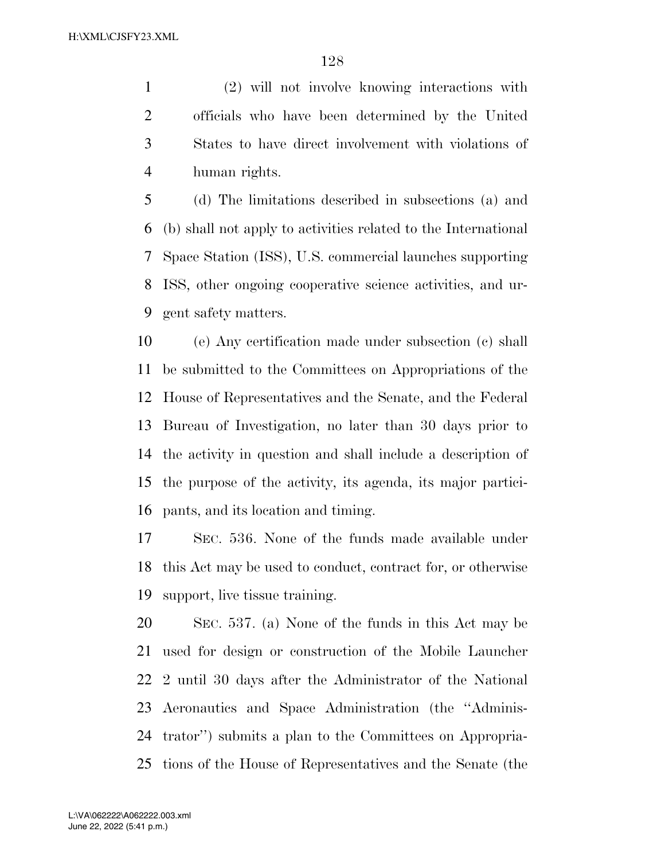(2) will not involve knowing interactions with officials who have been determined by the United States to have direct involvement with violations of human rights.

 (d) The limitations described in subsections (a) and (b) shall not apply to activities related to the International Space Station (ISS), U.S. commercial launches supporting ISS, other ongoing cooperative science activities, and ur-gent safety matters.

 (e) Any certification made under subsection (c) shall be submitted to the Committees on Appropriations of the House of Representatives and the Senate, and the Federal Bureau of Investigation, no later than 30 days prior to the activity in question and shall include a description of the purpose of the activity, its agenda, its major partici-pants, and its location and timing.

 SEC. 536. None of the funds made available under this Act may be used to conduct, contract for, or otherwise support, live tissue training.

 SEC. 537. (a) None of the funds in this Act may be used for design or construction of the Mobile Launcher 2 until 30 days after the Administrator of the National Aeronautics and Space Administration (the ''Adminis- trator'') submits a plan to the Committees on Appropria-tions of the House of Representatives and the Senate (the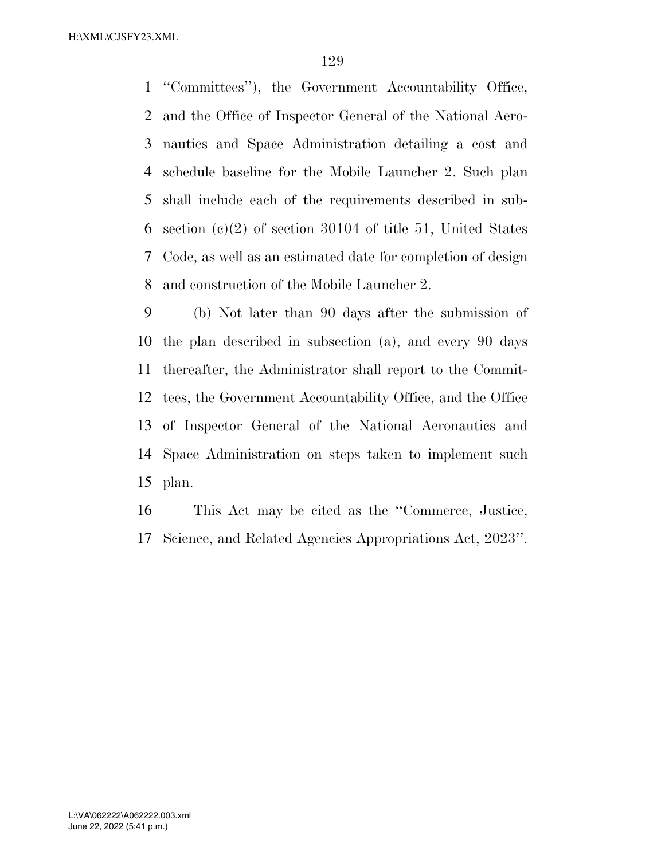''Committees''), the Government Accountability Office, and the Office of Inspector General of the National Aero- nautics and Space Administration detailing a cost and schedule baseline for the Mobile Launcher 2. Such plan shall include each of the requirements described in sub- section (c)(2) of section 30104 of title 51, United States Code, as well as an estimated date for completion of design and construction of the Mobile Launcher 2.

 (b) Not later than 90 days after the submission of the plan described in subsection (a), and every 90 days thereafter, the Administrator shall report to the Commit- tees, the Government Accountability Office, and the Office of Inspector General of the National Aeronautics and Space Administration on steps taken to implement such plan.

 This Act may be cited as the ''Commerce, Justice, Science, and Related Agencies Appropriations Act, 2023''.